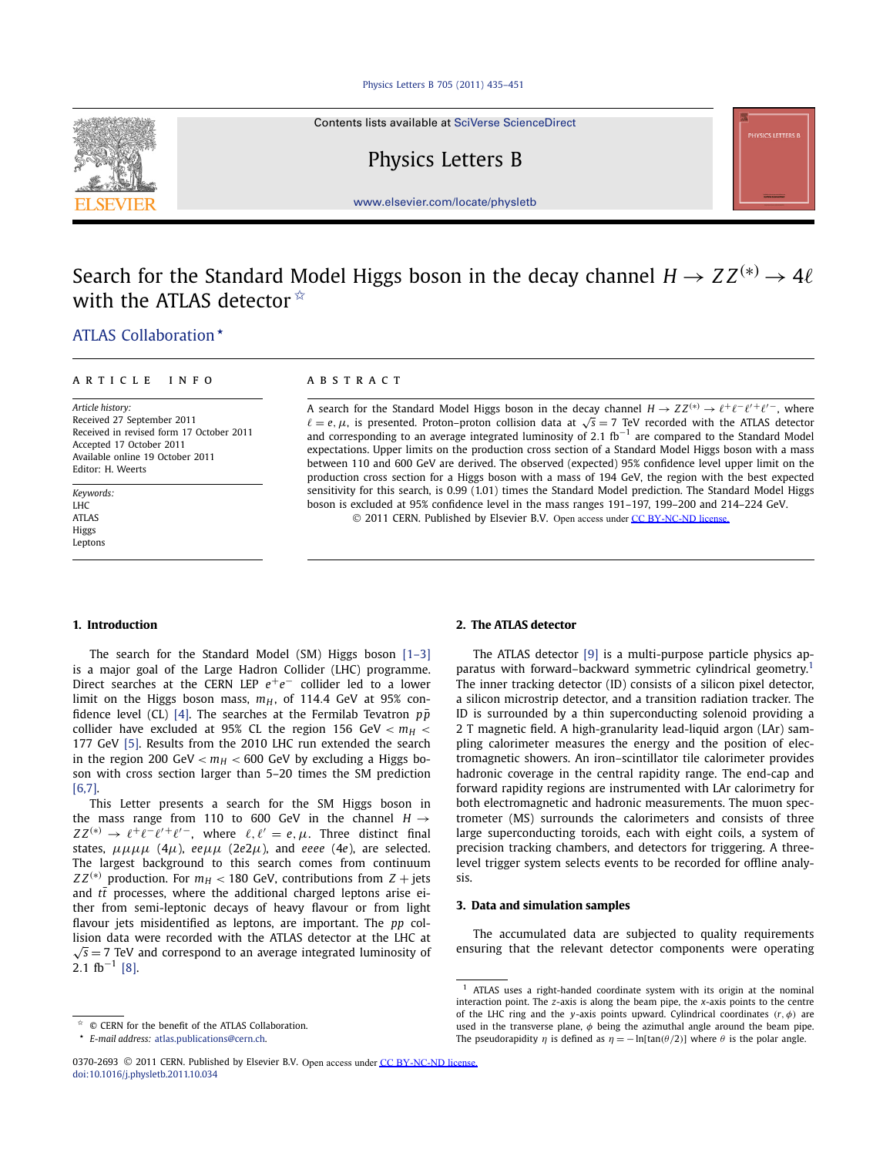#### [Physics Letters B 705 \(2011\) 435–451](http://dx.doi.org/10.1016/j.physletb.2011.10.034)

Contents lists available at [SciVerse ScienceDirect](http://www.ScienceDirect.com/)

Physics Letters B

[www.elsevier.com/locate/physletb](http://www.elsevier.com/locate/physletb)

# Search for the Standard Model Higgs boson in the decay channel  $H \to ZZ^{(*)} \to 4\ell$ with the ATLAS detector  $\hat{X}$

[.ATLAS Collaboration](#page-5-0)

#### article info abstract

*Article history:* Received 27 September 2011 Received in revised form 17 October 2011 Accepted 17 October 2011 Available online 19 October 2011 Editor: H. Weerts

*Keywords:* LHC ATLAS Higgs Leptons

A search for the Standard Model Higgs boson in the decay channel  $H \to ZZ^{(*)} \to \ell^+ \ell^- \ell'^+ \ell'^-$ , where  $\ell = e, \mu$ , is presented. Proton–proton collision data at  $\sqrt{s} = 7$  TeV recorded with the ATLAS detector and corresponding to an average integrated luminosity of 2*.*1 fb−<sup>1</sup> are compared to the Standard Model expectations. Upper limits on the production cross section of a Standard Model Higgs boson with a mass between 110 and 600 GeV are derived. The observed (expected) 95% confidence level upper limit on the production cross section for a Higgs boson with a mass of 194 GeV, the region with the best expected sensitivity for this search, is 0.99 (1.01) times the Standard Model prediction. The Standard Model Higgs boson is excluded at 95% confidence level in the mass ranges 191–197, 199–200 and 214–224 GeV. © 2011 CERN. Published by Elsevier B.V. Open access under [CC BY-NC-ND license.](http://creativecommons.org/licenses/by-nc-nd/4.0/)

**1. Introduction**

The search for the Standard Model (SM) Higgs boson [\[1–3\]](#page-4-0) is a major goal of the Large Hadron Collider (LHC) programme. Direct searches at the CERN LEP  $e^+e^-$  collider led to a lower limit on the Higgs boson mass,  $m_H$ , of 114.4 GeV at 95% con-fidence level (CL) [\[4\].](#page-4-0) The searches at the Fermilab Tevatron  $p\bar{p}$ collider have excluded at 95% CL the region 156 GeV  $< m_H <$ 177 GeV [\[5\].](#page-4-0) Results from the 2010 LHC run extended the search in the region 200 GeV  $< m_H < 600$  GeV by excluding a Higgs boson with cross section larger than 5–20 times the SM prediction [\[6,7\].](#page-4-0)

This Letter presents a search for the SM Higgs boson in the mass range from 110 to 600 GeV in the channel  $H \rightarrow$  $ZZ^{(*)} \rightarrow \ell^+\ell^-\ell'^+\ell'^-,$  where  $\ell, \ell' = e, \mu$ . Three distinct final states,  $\mu\mu\mu\mu$  (4 $\mu$ ),  $ee\mu\mu$  (2*e*2 $\mu$ ), and *eeee* (4*e*), are selected. The largest background to this search comes from continuum *ZZ*<sup>(\*)</sup> production. For  $m_H < 180$  GeV, contributions from  $Z + \text{jets}$ and  $t\bar{t}$  processes, where the additional charged leptons arise either from semi-leptonic decays of heavy flavour or from light flavour jets misidentified as leptons, are important. The *pp* collision data were recorded with the ATLAS detector at the LHC at  $\sqrt{s}$  = 7 TeV and correspond to an average integrated luminosity of  $2.1$  fb<sup>-1</sup> [\[8\].](#page-4-0)

# **2. The ATLAS detector**

The ATLAS detector [\[9\]](#page-4-0) is a multi-purpose particle physics apparatus with forward–backward symmetric cylindrical geometry.<sup>1</sup> The inner tracking detector (ID) consists of a silicon pixel detector, a silicon microstrip detector, and a transition radiation tracker. The ID is surrounded by a thin superconducting solenoid providing a 2 T magnetic field. A high-granularity lead-liquid argon (LAr) sampling calorimeter measures the energy and the position of electromagnetic showers. An iron–scintillator tile calorimeter provides hadronic coverage in the central rapidity range. The end-cap and forward rapidity regions are instrumented with LAr calorimetry for both electromagnetic and hadronic measurements. The muon spectrometer (MS) surrounds the calorimeters and consists of three large superconducting toroids, each with eight coils, a system of precision tracking chambers, and detectors for triggering. A threelevel trigger system selects events to be recorded for offline analysis.

### **3. Data and simulation samples**

The accumulated data are subjected to quality requirements ensuring that the relevant detector components were operating



<sup>✩</sup> © CERN for the benefit of the ATLAS Collaboration.

*E-mail address:* [atlas.publications@cern.ch](mailto:atlas.publications@cern.ch).

 $1$  ATLAS uses a right-handed coordinate system with its origin at the nominal interaction point. The *z*-axis is along the beam pipe, the *x*-axis points to the centre of the LHC ring and the *y*-axis points upward. Cylindrical coordinates *(r,φ)* are used in the transverse plane, *φ* being the azimuthal angle around the beam pipe. The pseudorapidity  $\eta$  is defined as  $\eta = -\ln[\tan(\theta/2)]$  where  $\theta$  is the polar angle.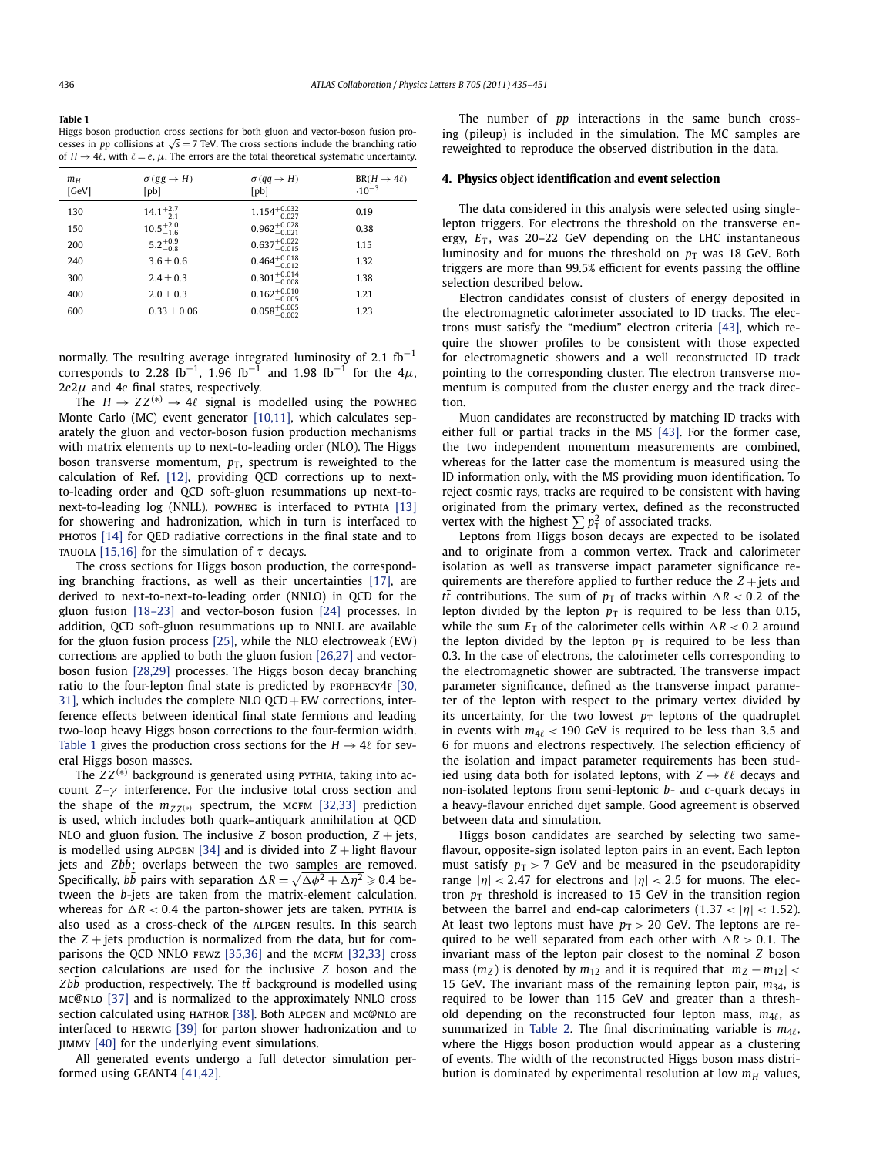**Table 1**

Higgs boson production cross sections for both gluon and vector-boson fusion processes in *pp* collisions at  $\sqrt{s}$  = 7 TeV. The cross sections include the branching ratio of  $H \rightarrow 4\ell$ , with  $\ell = e, \mu$ . The errors are the total theoretical systematic uncertainty.

| $m_H$<br>[GeV] | $\sigma(gg \to H)$<br>[pb] | $\sigma(qq \rightarrow H)$<br>[pb] | $BR(H \rightarrow 4\ell)$<br>$.10^{-3}$ |
|----------------|----------------------------|------------------------------------|-----------------------------------------|
| 130            | $14.1^{+2.7}_{-2.1}$       | $1.154^{+0.032}_{-0.027}$          | 0.19                                    |
| 150            | $10.5^{+2.0}_{-1.6}$       | $0.962^{+0.028}_{-0.021}$          | 0.38                                    |
| 200            | $5.2^{+0.9}_{-0.8}$        | $0.637^{+0.022}_{-0.015}$          | 1.15                                    |
| 240            | $3.6 + 0.6$                | $0.464^{+0.018}_{-0.012}$          | 1.32                                    |
| 300            | $2.4 + 0.3$                | $0.301^{+0.014}_{-0.008}$          | 1.38                                    |
| 400            | $2.0 + 0.3$                | $0.162^{+0.010}_{-0.005}$          | 1.21                                    |
| 600            | $0.33 + 0.06$              | $0.058^{+0.005}_{-0.002}$          | 1.23                                    |

normally. The resulting average integrated luminosity of 2*.*1 fb−<sup>1</sup> corresponds to 2.28 fb<sup>-1</sup>, 1.96 fb<sup>-1</sup> and 1.98 fb<sup>-1</sup> for the 4 $\mu$ , 2*e*2*μ* and 4*e* final states, respectively.

The  $H \to ZZ^{(*)} \to 4\ell$  signal is modelled using the powhere Monte Carlo (MC) event generator [\[10,11\],](#page-4-0) which calculates separately the gluon and vector-boson fusion production mechanisms with matrix elements up to next-to-leading order (NLO). The Higgs boson transverse momentum,  $p<sub>T</sub>$ , spectrum is reweighted to the calculation of Ref. [\[12\],](#page-4-0) providing QCD corrections up to nextto-leading order and QCD soft-gluon resummations up next-to-next-to-leading log (NNLL). POWHEG is interfaced to PYTHIA [\[13\]](#page-4-0) for showering and hadronization, which in turn is interfaced to PHOTOS [\[14\]](#page-4-0) for QED radiative corrections in the final state and to TAUOLA [\[15,16\]](#page-4-0) for the simulation of  $τ$  decays.

The cross sections for Higgs boson production, the corresponding branching fractions, as well as their uncertainties [\[17\],](#page-4-0) are derived to next-to-next-to-leading order (NNLO) in QCD for the gluon fusion [\[18–23\]](#page-4-0) and vector-boson fusion [\[24\]](#page-4-0) processes. In addition, QCD soft-gluon resummations up to NNLL are available for the gluon fusion process [\[25\],](#page-4-0) while the NLO electroweak (EW) corrections are applied to both the gluon fusion [\[26,27\]](#page-4-0) and vectorboson fusion [\[28,29\]](#page-4-0) processes. The Higgs boson decay branching ratio to the four-lepton final state is predicted by  $PROPHECY4F$  [\[30,](#page-4-0) [31\],](#page-4-0) which includes the complete NLO  $QCD + EW$  corrections, interference effects between identical final state fermions and leading two-loop heavy Higgs boson corrections to the four-fermion width. Table 1 gives the production cross sections for the  $H \to 4\ell$  for several Higgs boson masses.

The *Z Z(*∗*)* background is generated using pythia, taking into account *Z*–*γ* interference. For the inclusive total cross section and the shape of the  $m_{ZZ}$ <sup>(\*)</sup> spectrum, the MCFM [\[32,33\]](#page-4-0) prediction is used, which includes both quark–antiquark annihilation at QCD NLO and gluon fusion. The inclusive *Z* boson production,  $Z + \text{jets}$ , is modelled using ALPGEN [\[34\]](#page-4-0) and is divided into  $Z +$  light flavour jets and *Zbb*; overlaps between the two samples are removed. Specifically, *bb* pairs with separation  $\Delta R = \sqrt{\Delta \phi^2 + \Delta \eta^2} \geqslant 0.4$  between the *b*-jets are taken from the matrix-element calculation, whereas for  $\Delta R < 0.4$  the parton-shower jets are taken. PYTHIA is also used as a cross-check of the alpgen results. In this search the  $Z$  + jets production is normalized from the data, but for com-parisons the QCD NNLO FEWZ [\[35,36\]](#page-4-0) and the MCFM [\[32,33\]](#page-4-0) cross section calculations are used for the inclusive *Z* boson and the *Zb*¯ *b* production, respectively. The *tt*¯ background is modelled using mc@nlo [\[37\]](#page-4-0) and is normalized to the approximately NNLO cross section calculated using HATHOR [\[38\].](#page-4-0) Both ALPGEN and MC@NLO are interfaced to herwig [\[39\]](#page-4-0) for parton shower hadronization and to jimmy [\[40\]](#page-4-0) for the underlying event simulations.

All generated events undergo a full detector simulation performed using GEANT4 [\[41,42\].](#page-4-0)

The number of *pp* interactions in the same bunch crossing (pileup) is included in the simulation. The MC samples are reweighted to reproduce the observed distribution in the data.

# **4. Physics object identification and event selection**

The data considered in this analysis were selected using singlelepton triggers. For electrons the threshold on the transverse energy,  $E_T$ , was 20–22 GeV depending on the LHC instantaneous luminosity and for muons the threshold on  $p_T$  was 18 GeV. Both triggers are more than 99.5% efficient for events passing the offline selection described below.

Electron candidates consist of clusters of energy deposited in the electromagnetic calorimeter associated to ID tracks. The electrons must satisfy the "medium" electron criteria [\[43\],](#page-4-0) which require the shower profiles to be consistent with those expected for electromagnetic showers and a well reconstructed ID track pointing to the corresponding cluster. The electron transverse momentum is computed from the cluster energy and the track direction.

Muon candidates are reconstructed by matching ID tracks with either full or partial tracks in the MS [\[43\].](#page-4-0) For the former case, the two independent momentum measurements are combined, whereas for the latter case the momentum is measured using the ID information only, with the MS providing muon identification. To reject cosmic rays, tracks are required to be consistent with having originated from the primary vertex, defined as the reconstructed vertex with the highest  $\sum p_{\rm T}^2$  of associated tracks.

Leptons from Higgs boson decays are expected to be isolated and to originate from a common vertex. Track and calorimeter isolation as well as transverse impact parameter significance requirements are therefore applied to further reduce the  $Z +$  jets and *tt* contributions. The sum of  $p<sub>T</sub>$  of tracks within  $\Delta R < 0.2$  of the lepton divided by the lepton  $p<sub>T</sub>$  is required to be less than 0.15, while the sum  $E_T$  of the calorimeter cells within  $\Delta R < 0.2$  around the lepton divided by the lepton  $p<sub>T</sub>$  is required to be less than 0.3. In the case of electrons, the calorimeter cells corresponding to the electromagnetic shower are subtracted. The transverse impact parameter significance, defined as the transverse impact parameter of the lepton with respect to the primary vertex divided by its uncertainty, for the two lowest  $p<sub>T</sub>$  leptons of the quadruplet in events with  $m_{4\ell}$  < 190 GeV is required to be less than 3.5 and 6 for muons and electrons respectively. The selection efficiency of the isolation and impact parameter requirements has been studied using data both for isolated leptons, with  $Z \rightarrow \ell \ell$  decays and non-isolated leptons from semi-leptonic *b*- and *c*-quark decays in a heavy-flavour enriched dijet sample. Good agreement is observed between data and simulation.

Higgs boson candidates are searched by selecting two sameflavour, opposite-sign isolated lepton pairs in an event. Each lepton must satisfy  $p_T > 7$  GeV and be measured in the pseudorapidity range  $|\eta|$  < 2.47 for electrons and  $|\eta|$  < 2.5 for muons. The electron  $p<sub>T</sub>$  threshold is increased to 15 GeV in the transition region between the barrel and end-cap calorimeters  $(1.37 < |\eta| < 1.52)$ . At least two leptons must have  $p_T > 20$  GeV. The leptons are required to be well separated from each other with  $\Delta R > 0.1$ . The invariant mass of the lepton pair closest to the nominal *Z* boson mass ( $m_Z$ ) is denoted by  $m_{12}$  and it is required that  $|m_Z - m_{12}| <$ 15 GeV. The invariant mass of the remaining lepton pair, *m*34, is required to be lower than 115 GeV and greater than a threshold depending on the reconstructed four lepton mass,  $m_{4\ell}$ , as summarized in [Table 2.](#page-2-0) The final discriminating variable is  $m_{4\ell}$ , where the Higgs boson production would appear as a clustering of events. The width of the reconstructed Higgs boson mass distribution is dominated by experimental resolution at low  $m_H$  values,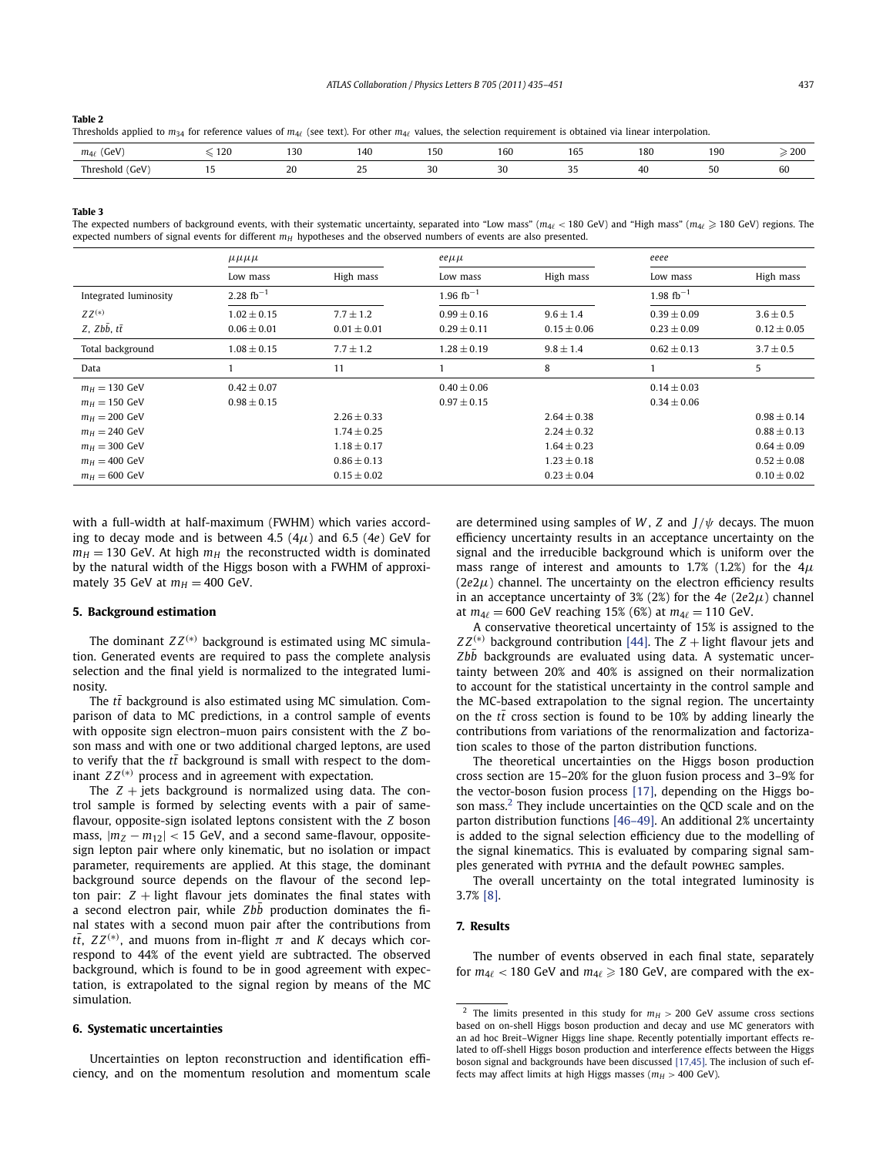<span id="page-2-0"></span>

| ٦D.<br>я<br>. . |
|-----------------|
|-----------------|

Thresholds applied to  $m_{34}$  for reference values of  $m_{4\ell}$  (see text). For other  $m_{4\ell}$  values, the selection requirement is obtained via linear interpolation.

| (GeV)<br>$m_{4}$<br>≖ | 120<br>12U<br>and the state of the state | 121<br>1 J J<br>___ | 140           | $\overline{\phantom{a}}$<br>ں ر<br>___ | 160 | 107<br>1 U.        | 10'<br>ιοι | 190       | $\geqslant 200$<br>___ |
|-----------------------|------------------------------------------|---------------------|---------------|----------------------------------------|-----|--------------------|------------|-----------|------------------------|
| GeV).<br>Threshold    |                                          | C.<br>້             | $\sim$ $\sim$ | ີ<br>טע                                | JU  | $\sim$ $\sim$<br>ັ | 40         | - 1<br>5U | υu                     |

#### **Table 3**

The expected numbers of background events, with their systematic uncertainty, separated into "Low mass" (*m*4*- <* 180 GeV) and "High mass" (*m*4*-* 180 GeV) regions. The expected numbers of signal events for different  $m_H$  hypotheses and the observed numbers of events are also presented.

|                                | $\mu\mu\mu\mu$  |                 | $ee\mu\mu$             |                 | eeee            |                 |
|--------------------------------|-----------------|-----------------|------------------------|-----------------|-----------------|-----------------|
|                                | Low mass        | High mass       | Low mass               | High mass       | Low mass        | High mass       |
| Integrated luminosity          | 2.28 $fb^{-1}$  |                 | $1.96 \text{ fb}^{-1}$ |                 | 1.98 $fb^{-1}$  |                 |
| $ZZ^{(*)}$                     | $1.02 \pm 0.15$ | $7.7 \pm 1.2$   | $0.99 \pm 0.16$        | $9.6 \pm 1.4$   | $0.39 \pm 0.09$ | $3.6 \pm 0.5$   |
| $Z$ , $Zb\bar{b}$ , $t\bar{t}$ | $0.06 \pm 0.01$ | $0.01 \pm 0.01$ | $0.29 \pm 0.11$        | $0.15 \pm 0.06$ | $0.23 \pm 0.09$ | $0.12 \pm 0.05$ |
| Total background               | $1.08 \pm 0.15$ | $7.7 \pm 1.2$   | $1.28 \pm 0.19$        | $9.8 \pm 1.4$   | $0.62 \pm 0.13$ | $3.7 \pm 0.5$   |
| Data                           |                 | 11              |                        | 8               |                 | 5               |
| $m_H = 130 \text{ GeV}$        | $0.42 \pm 0.07$ |                 | $0.40 \pm 0.06$        |                 | $0.14 \pm 0.03$ |                 |
| $m_H = 150 \text{ GeV}$        | $0.98 \pm 0.15$ |                 | $0.97 \pm 0.15$        |                 | $0.34 \pm 0.06$ |                 |
| $m_H = 200 \text{ GeV}$        |                 | $2.26 \pm 0.33$ |                        | $2.64 \pm 0.38$ |                 | $0.98 \pm 0.14$ |
| $m_H = 240 \text{ GeV}$        |                 | $1.74 \pm 0.25$ |                        | $2.24 \pm 0.32$ |                 | $0.88 \pm 0.13$ |
| $m_H = 300 \text{ GeV}$        |                 | $1.18 \pm 0.17$ |                        | $1.64 \pm 0.23$ |                 | $0.64 \pm 0.09$ |
| $m_H = 400 \text{ GeV}$        |                 | $0.86 \pm 0.13$ |                        | $1.23 \pm 0.18$ |                 | $0.52 \pm 0.08$ |
| $m_H = 600 \text{ GeV}$        |                 | $0.15 \pm 0.02$ |                        | $0.23 \pm 0.04$ |                 | $0.10 \pm 0.02$ |

with a full-width at half-maximum (FWHM) which varies according to decay mode and is between 4.5 (4*μ*) and 6.5 (4*e*) GeV for  $m_H = 130$  GeV. At high  $m_H$  the reconstructed width is dominated by the natural width of the Higgs boson with a FWHM of approximately 35 GeV at  $m_H = 400$  GeV.

# **5. Background estimation**

The dominant  $ZZ^{(*)}$  background is estimated using MC simulation. Generated events are required to pass the complete analysis selection and the final yield is normalized to the integrated luminosity.

The  $t\bar{t}$  background is also estimated using MC simulation. Comparison of data to MC predictions, in a control sample of events with opposite sign electron–muon pairs consistent with the *Z* boson mass and with one or two additional charged leptons, are used to verify that the  $t\bar{t}$  background is small with respect to the dominant *Z Z(*∗*)* process and in agreement with expectation.

The *Z* + jets background is normalized using data. The control sample is formed by selecting events with a pair of sameflavour, opposite-sign isolated leptons consistent with the *Z* boson mass,  $|m_Z - m_{12}| < 15$  GeV, and a second same-flavour, oppositesign lepton pair where only kinematic, but no isolation or impact parameter, requirements are applied. At this stage, the dominant background source depends on the flavour of the second lepton pair:  $Z +$  light flavour jets dominates the final states with a second electron pair, while *Zbb* production dominates the final states with a second muon pair after the contributions from *tt*,  $ZZ^{(*)}$ , and muons from in-flight  $\pi$  and  $K$  decays which correspond to 44% of the event yield are subtracted. The observed background, which is found to be in good agreement with expectation, is extrapolated to the signal region by means of the MC simulation.

#### **6. Systematic uncertainties**

Uncertainties on lepton reconstruction and identification efficiency, and on the momentum resolution and momentum scale are determined using samples of *W*, *Z* and  $J/\psi$  decays. The muon efficiency uncertainty results in an acceptance uncertainty on the signal and the irreducible background which is uniform over the mass range of interest and amounts to 1.7% (1.2%) for the 4*μ*  $(2e2\mu)$  channel. The uncertainty on the electron efficiency results in an acceptance uncertainty of 3% (2%) for the 4*e* (2*e*2*μ*) channel at  $m_{4\ell} = 600$  GeV reaching 15% (6%) at  $m_{4\ell} = 110$  GeV.

A conservative theoretical uncertainty of 15% is assigned to the  $ZZ^{(*)}$  background contribution [\[44\].](#page-4-0) The  $Z +$  light flavour jets and *Zb*¯ *b* backgrounds are evaluated using data. A systematic uncertainty between 20% and 40% is assigned on their normalization to account for the statistical uncertainty in the control sample and the MC-based extrapolation to the signal region. The uncertainty on the  $t\bar{t}$  cross section is found to be 10% by adding linearly the contributions from variations of the renormalization and factorization scales to those of the parton distribution functions.

The theoretical uncertainties on the Higgs boson production cross section are 15–20% for the gluon fusion process and 3–9% for the vector-boson fusion process [\[17\],](#page-4-0) depending on the Higgs boson mass.2 They include uncertainties on the QCD scale and on the parton distribution functions [\[46–49\].](#page-4-0) An additional 2% uncertainty is added to the signal selection efficiency due to the modelling of the signal kinematics. This is evaluated by comparing signal samples generated with PYTHIA and the default POWHEG samples.

The overall uncertainty on the total integrated luminosity is 3.7% [\[8\].](#page-4-0)

# **7. Results**

The number of events observed in each final state, separately for  $m_{4\ell}$  < 180 GeV and  $m_{4\ell} \geqslant 180$  GeV, are compared with the ex-

<sup>&</sup>lt;sup>2</sup> The limits presented in this study for  $m_H > 200$  GeV assume cross sections based on on-shell Higgs boson production and decay and use MC generators with an ad hoc Breit–Wigner Higgs line shape. Recently potentially important effects related to off-shell Higgs boson production and interference effects between the Higgs boson signal and backgrounds have been discussed [\[17,45\].](#page-4-0) The inclusion of such effects may affect limits at high Higgs masses ( $m_H > 400$  GeV).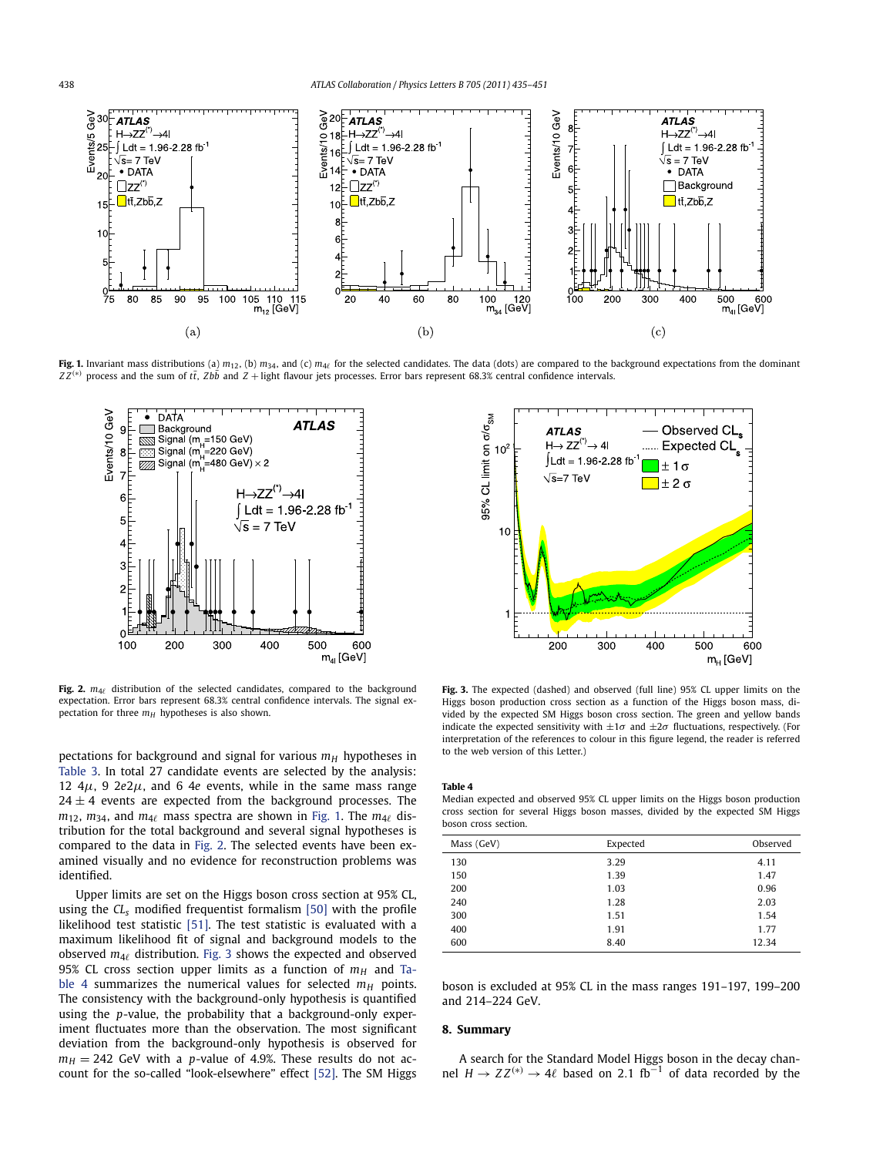

**Fig. 1.** Invariant mass distributions (a)  $m_{12}$ , (b)  $m_{34}$ , and (c)  $m_{4\ell}$  for the selected candidates. The data (dots) are compared to the background expectations from the dominant  $ZZ^{(*)}$  process and the sum of *tt*̄,  $Zb\bar{b}$  and  $Z +$  light flavour jets processes. Error bars represent 68.3% central confidence intervals.



**Fig. 2.**  $m_{4\ell}$  distribution of the selected candidates, compared to the background expectation. Error bars represent 68.3% central confidence intervals. The signal expectation for three  $m_H$  hypotheses is also shown.

pectations for background and signal for various  $m_H$  hypotheses in [Table 3.](#page-2-0) In total 27 candidate events are selected by the analysis: 12  $4\mu$ , 9  $2e2\mu$ , and 6  $4e$  events, while in the same mass range  $24 \pm 4$  events are expected from the background processes. The  $m_{12}$ ,  $m_{34}$ , and  $m_{4\ell}$  mass spectra are shown in Fig. 1. The  $m_{4\ell}$  distribution for the total background and several signal hypotheses is compared to the data in Fig. 2. The selected events have been examined visually and no evidence for reconstruction problems was identified.

Upper limits are set on the Higgs boson cross section at 95% CL, using the *CLs* modified frequentist formalism [\[50\]](#page-4-0) with the profile likelihood test statistic [\[51\].](#page-4-0) The test statistic is evaluated with a maximum likelihood fit of signal and background models to the observed  $m_{4\ell}$  distribution. Fig. 3 shows the expected and observed 95% CL cross section upper limits as a function of  $m_H$  and Table 4 summarizes the numerical values for selected  $m_H$  points. The consistency with the background-only hypothesis is quantified using the *p*-value, the probability that a background-only experiment fluctuates more than the observation. The most significant deviation from the background-only hypothesis is observed for  $m_H = 242$  GeV with a *p*-value of 4.9%. These results do not account for the so-called "look-elsewhere" effect [\[52\].](#page-4-0) The SM Higgs



**Fig. 3.** The expected (dashed) and observed (full line) 95% CL upper limits on the Higgs boson production cross section as a function of the Higgs boson mass, divided by the expected SM Higgs boson cross section. The green and yellow bands indicate the expected sensitivity with  $\pm 1\sigma$  and  $\pm 2\sigma$  fluctuations, respectively. (For interpretation of the references to colour in this figure legend, the reader is referred to the web version of this Letter.)

#### **Table 4**

Median expected and observed 95% CL upper limits on the Higgs boson production cross section for several Higgs boson masses, divided by the expected SM Higgs boson cross section.

| Mass (GeV) | Expected | Observed |
|------------|----------|----------|
| 130        | 3.29     | 4.11     |
| 150        | 1.39     | 1.47     |
| 200        | 1.03     | 0.96     |
| 240        | 1.28     | 2.03     |
| 300        | 1.51     | 1.54     |
| 400        | 1.91     | 1.77     |
| 600        | 8.40     | 12.34    |

boson is excluded at 95% CL in the mass ranges 191–197, 199–200 and 214–224 GeV.

#### **8. Summary**

A search for the Standard Model Higgs boson in the decay channel  $H \rightarrow ZZ^{(*)} \rightarrow 4\ell$  based on 2.1 fb<sup>-1</sup> of data recorded by the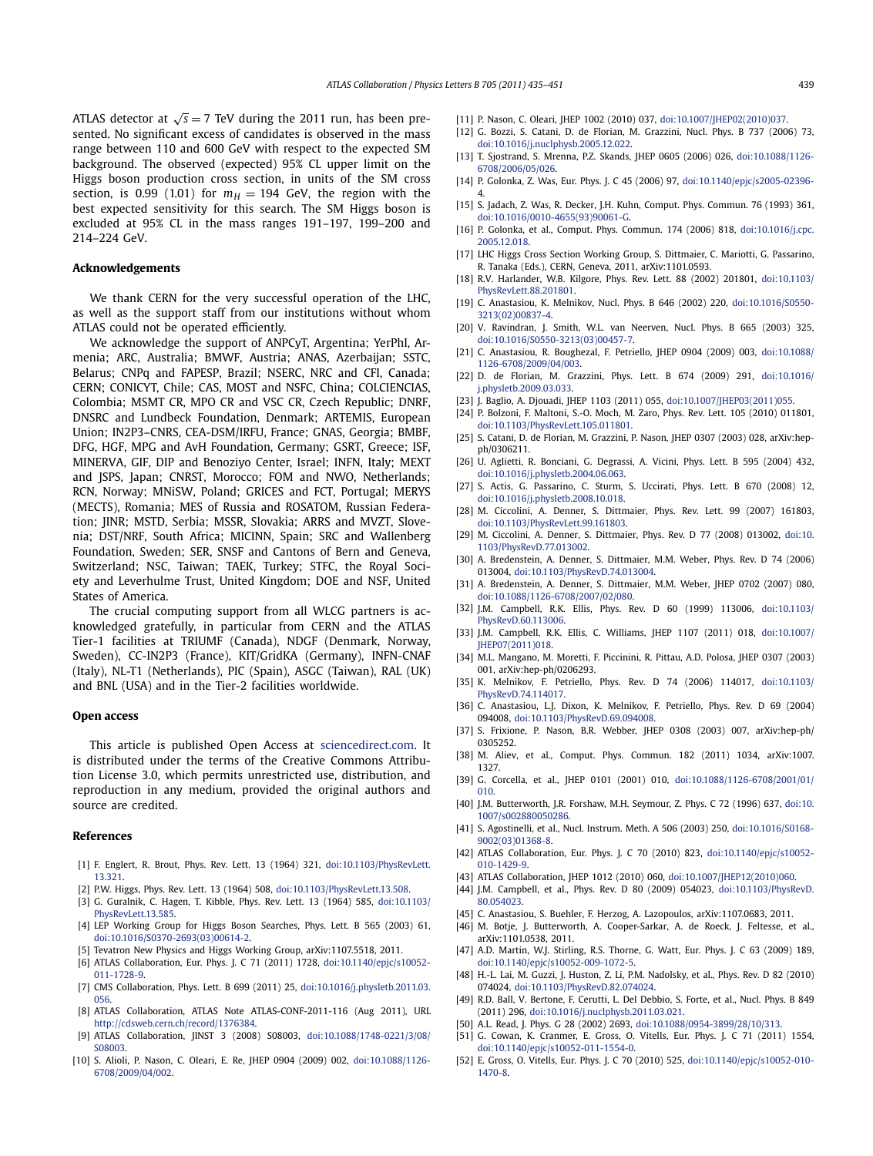<span id="page-4-0"></span>ATLAS detector at  $\sqrt{s}$  = 7 TeV during the 2011 run, has been presented. No significant excess of candidates is observed in the mass range between 110 and 600 GeV with respect to the expected SM background. The observed (expected) 95% CL upper limit on the Higgs boson production cross section, in units of the SM cross section, is 0.99 (1.01) for  $m_H = 194$  GeV, the region with the best expected sensitivity for this search. The SM Higgs boson is excluded at 95% CL in the mass ranges 191–197, 199–200 and 214–224 GeV.

#### **Acknowledgements**

We thank CERN for the very successful operation of the LHC, as well as the support staff from our institutions without whom ATLAS could not be operated efficiently.

We acknowledge the support of ANPCyT, Argentina; YerPhI, Armenia; ARC, Australia; BMWF, Austria; ANAS, Azerbaijan; SSTC, Belarus; CNPq and FAPESP, Brazil; NSERC, NRC and CFI, Canada; CERN; CONICYT, Chile; CAS, MOST and NSFC, China; COLCIENCIAS, Colombia; MSMT CR, MPO CR and VSC CR, Czech Republic; DNRF, DNSRC and Lundbeck Foundation, Denmark; ARTEMIS, European Union; IN2P3–CNRS, CEA-DSM/IRFU, France; GNAS, Georgia; BMBF, DFG, HGF, MPG and AvH Foundation, Germany; GSRT, Greece; ISF, MINERVA, GIF, DIP and Benoziyo Center, Israel; INFN, Italy; MEXT and JSPS, Japan; CNRST, Morocco; FOM and NWO, Netherlands; RCN, Norway; MNiSW, Poland; GRICES and FCT, Portugal; MERYS (MECTS), Romania; MES of Russia and ROSATOM, Russian Federation; JINR; MSTD, Serbia; MSSR, Slovakia; ARRS and MVZT, Slovenia; DST/NRF, South Africa; MICINN, Spain; SRC and Wallenberg Foundation, Sweden; SER, SNSF and Cantons of Bern and Geneva, Switzerland; NSC, Taiwan; TAEK, Turkey; STFC, the Royal Society and Leverhulme Trust, United Kingdom; DOE and NSF, United States of America.

The crucial computing support from all WLCG partners is acknowledged gratefully, in particular from CERN and the ATLAS Tier-1 facilities at TRIUMF (Canada), NDGF (Denmark, Norway, Sweden), CC-IN2P3 (France), KIT/GridKA (Germany), INFN-CNAF (Italy), NL-T1 (Netherlands), PIC (Spain), ASGC (Taiwan), RAL (UK) and BNL (USA) and in the Tier-2 facilities worldwide.

#### **Open access**

This article is published Open Access at [sciencedirect.com.](http://www.sciencedirect.com) It is distributed under the terms of the Creative Commons Attribution License 3.0, which permits unrestricted use, distribution, and reproduction in any medium, provided the original authors and source are credited.

#### **References**

- [1] F. Englert, R. Brout, Phys. Rev. Lett. 13 (1964) 321, [doi:10.1103/PhysRevLett.](http://dx.doi.org/10.1103/PhysRevLett.13.321) [13.321](http://dx.doi.org/10.1103/PhysRevLett.13.321).
- [2] P.W. Higgs, Phys. Rev. Lett. 13 (1964) 508, [doi:10.1103/PhysRevLett.13.508](http://dx.doi.org/10.1103/PhysRevLett.13.508).
- [3] G. Guralnik, C. Hagen, T. Kibble, Phys. Rev. Lett. 13 (1964) 585, [doi:10.1103/](http://dx.doi.org/10.1103/PhysRevLett.13.585) [PhysRevLett.13.585.](http://dx.doi.org/10.1103/PhysRevLett.13.585)
- [4] LEP Working Group for Higgs Boson Searches, Phys. Lett. B 565 (2003) 61, [doi:10.1016/S0370-2693\(03\)00614-2](http://dx.doi.org/10.1016/S0370-2693(03)00614-2).
- [5] Tevatron New Physics and Higgs Working Group, arXiv:1107.5518, 2011.
- [6] ATLAS Collaboration, Eur. Phys. J. C 71 (2011) 1728, [doi:10.1140/epjc/s10052-](http://dx.doi.org/10.1140/epjc/s10052-011-1728-9) [011-1728-9](http://dx.doi.org/10.1140/epjc/s10052-011-1728-9).
- [7] CMS Collaboration, Phys. Lett. B 699 (2011) 25, [doi:10.1016/j.physletb.2011.03.](http://dx.doi.org/10.1016/j.physletb.2011.03.056) [056](http://dx.doi.org/10.1016/j.physletb.2011.03.056).
- [8] ATLAS Collaboration, ATLAS Note ATLAS-CONF-2011-116 (Aug 2011), URL <http://cdsweb.cern.ch/record/1376384>.
- [9] ATLAS Collaboration, JINST 3 (2008) S08003, [doi:10.1088/1748-0221/3/08/](http://dx.doi.org/10.1088/1748-0221/3/08/S08003) [S08003](http://dx.doi.org/10.1088/1748-0221/3/08/S08003).
- [10] S. Alioli, P. Nason, C. Oleari, E. Re, JHEP 0904 (2009) 002, [doi:10.1088/1126-](http://dx.doi.org/10.1088/1126-6708/2009/04/002) [6708/2009/04/002.](http://dx.doi.org/10.1088/1126-6708/2009/04/002)
- [11] P. Nason, C. Oleari, JHEP 1002 (2010) 037, [doi:10.1007/JHEP02\(2010\)037.](http://dx.doi.org/10.1007/JHEP02(2010)037)
- [12] G. Bozzi, S. Catani, D. de Florian, M. Grazzini, Nucl. Phys. B 737 (2006) 73, [doi:10.1016/j.nuclphysb.2005.12.022.](http://dx.doi.org/10.1016/j.nuclphysb.2005.12.022)
- [13] T. Sjostrand, S. Mrenna, P.Z. Skands, JHEP 0605 (2006) 026, [doi:10.1088/1126-](http://dx.doi.org/10.1088/1126-6708/2006/05/026) [6708/2006/05/026.](http://dx.doi.org/10.1088/1126-6708/2006/05/026)
- [14] P. Golonka, Z. Was, Eur. Phys. J. C 45 (2006) 97, [doi:10.1140/epjc/s2005-02396-](http://dx.doi.org/10.1140/epjc/s2005-02396-4) 4.
- [15] S. Jadach, Z. Was, R. Decker, J.H. Kuhn, Comput. Phys. Commun. 76 (1993) 361, [doi:10.1016/0010-4655\(93\)90061-G.](http://dx.doi.org/10.1016/0010-4655(93)90061-G)
- [16] P. Golonka, et al., Comput. Phys. Commun. 174 (2006) 818, [doi:10.1016/j.cpc.](http://dx.doi.org/10.1016/j.cpc.2005.12.018) [2005.12.018](http://dx.doi.org/10.1016/j.cpc.2005.12.018).
- [17] LHC Higgs Cross Section Working Group, S. Dittmaier, C. Mariotti, G. Passarino, R. Tanaka (Eds.), CERN, Geneva, 2011, arXiv:1101.0593.
- [18] R.V. Harlander, W.B. Kilgore, Phys. Rev. Lett. 88 (2002) 201801, [doi:10.1103/](http://dx.doi.org/10.1103/PhysRevLett.88.201801) [PhysRevLett.88.201801](http://dx.doi.org/10.1103/PhysRevLett.88.201801).
- [19] C. Anastasiou, K. Melnikov, Nucl. Phys. B 646 (2002) 220, [doi:10.1016/S0550-](http://dx.doi.org/10.1016/S0550-3213(02)00837-4) [3213\(02\)00837-4.](http://dx.doi.org/10.1016/S0550-3213(02)00837-4)
- [20] V. Ravindran, J. Smith, W.L. van Neerven, Nucl. Phys. B 665 (2003) 325, [doi:10.1016/S0550-3213\(03\)00457-7](http://dx.doi.org/10.1016/S0550-3213(03)00457-7).
- [21] C. Anastasiou, R. Boughezal, F. Petriello, JHEP 0904 (2009) 003, [doi:10.1088/](http://dx.doi.org/10.1088/1126-6708/2009/04/003) [1126-6708/2009/04/003](http://dx.doi.org/10.1088/1126-6708/2009/04/003).
- [22] D. de Florian, M. Grazzini, Phys. Lett. B 674 (2009) 291, [doi:10.1016/](http://dx.doi.org/10.1016/j.physletb.2009.03.033) [j.physletb.2009.03.033](http://dx.doi.org/10.1016/j.physletb.2009.03.033).
- [23] J. Baglio, A. Djouadi, JHEP 1103 (2011) 055, [doi:10.1007/JHEP03\(2011\)055.](http://dx.doi.org/10.1007/JHEP03(2011)055)
- [24] P. Bolzoni, F. Maltoni, S.-O. Moch, M. Zaro, Phys. Rev. Lett. 105 (2010) 011801, [doi:10.1103/PhysRevLett.105.011801.](http://dx.doi.org/10.1103/PhysRevLett.105.011801)
- [25] S. Catani, D. de Florian, M. Grazzini, P. Nason, JHEP 0307 (2003) 028, arXiv:hepph/0306211.
- [26] U. Aglietti, R. Bonciani, G. Degrassi, A. Vicini, Phys. Lett. B 595 (2004) 432, [doi:10.1016/j.physletb.2004.06.063](http://dx.doi.org/10.1016/j.physletb.2004.06.063).
- [27] S. Actis, G. Passarino, C. Sturm, S. Uccirati, Phys. Lett. B 670 (2008) 12, [doi:10.1016/j.physletb.2008.10.018.](http://dx.doi.org/10.1016/j.physletb.2008.10.018)
- [28] M. Ciccolini, A. Denner, S. Dittmaier, Phys. Rev. Lett. 99 (2007) 161803, [doi:10.1103/PhysRevLett.99.161803](http://dx.doi.org/10.1103/PhysRevLett.99.161803).
- [29] M. Ciccolini, A. Denner, S. Dittmaier, Phys. Rev. D 77 (2008) 013002, [doi:10.](http://dx.doi.org/10.1103/PhysRevD.77.013002) [1103/PhysRevD.77.013002.](http://dx.doi.org/10.1103/PhysRevD.77.013002)
- [30] A. Bredenstein, A. Denner, S. Dittmaier, M.M. Weber, Phys. Rev. D 74 (2006) 013004, [doi:10.1103/PhysRevD.74.013004](http://dx.doi.org/10.1103/PhysRevD.74.013004).
- [31] A. Bredenstein, A. Denner, S. Dittmaier, M.M. Weber, JHEP 0702 (2007) 080, [doi:10.1088/1126-6708/2007/02/080.](http://dx.doi.org/10.1088/1126-6708/2007/02/080)
- [32] J.M. Campbell, R.K. Ellis, Phys. Rev. D 60 (1999) 113006, [doi:10.1103/](http://dx.doi.org/10.1103/PhysRevD.60.113006) [PhysRevD.60.113006.](http://dx.doi.org/10.1103/PhysRevD.60.113006)
- [33] J.M. Campbell, R.K. Ellis, C. Williams, JHEP 1107 (2011) 018, [doi:10.1007/](http://dx.doi.org/10.1007/JHEP07(2011)018) [JHEP07\(2011\)018](http://dx.doi.org/10.1007/JHEP07(2011)018).
- [34] M.L. Mangano, M. Moretti, F. Piccinini, R. Pittau, A.D. Polosa, JHEP 0307 (2003) 001, arXiv:hep-ph/0206293.
- [35] K. Melnikov, F. Petriello, Phys. Rev. D 74 (2006) 114017, [doi:10.1103/](http://dx.doi.org/10.1103/PhysRevD.74.114017) [PhysRevD.74.114017.](http://dx.doi.org/10.1103/PhysRevD.74.114017)
- [36] C. Anastasiou, L.J. Dixon, K. Melnikov, F. Petriello, Phys. Rev. D 69 (2004) 094008, [doi:10.1103/PhysRevD.69.094008](http://dx.doi.org/10.1103/PhysRevD.69.094008).
- [37] S. Frixione, P. Nason, B.R. Webber, JHEP 0308 (2003) 007, arXiv:hep-ph/ 0305252.
- [38] M. Aliev, et al., Comput. Phys. Commun. 182 (2011) 1034, arXiv:1007. 1327.
- [39] G. Corcella, et al., JHEP 0101 (2001) 010, [doi:10.1088/1126-6708/2001/01/](http://dx.doi.org/10.1088/1126-6708/2001/01/010) [010](http://dx.doi.org/10.1088/1126-6708/2001/01/010).
- [40] J.M. Butterworth, J.R. Forshaw, M.H. Seymour, Z. Phys. C 72 (1996) 637, [doi:10.](http://dx.doi.org/10.1007/s002880050286) [1007/s002880050286](http://dx.doi.org/10.1007/s002880050286).
- [41] S. Agostinelli, et al., Nucl. Instrum. Meth. A 506 (2003) 250, [doi:10.1016/S0168-](http://dx.doi.org/10.1016/S0168-9002(03)01368-8) [9002\(03\)01368-8.](http://dx.doi.org/10.1016/S0168-9002(03)01368-8)
- [42] ATLAS Collaboration, Eur. Phys. J. C 70 (2010) 823, [doi:10.1140/epjc/s10052-](http://dx.doi.org/10.1140/epjc/s10052-010-1429-9) [010-1429-9](http://dx.doi.org/10.1140/epjc/s10052-010-1429-9).
- [43] ATLAS Collaboration, JHEP 1012 (2010) 060, [doi:10.1007/JHEP12\(2010\)060.](http://dx.doi.org/10.1007/JHEP12(2010)060)
- [44] J.M. Campbell, et al., Phys. Rev. D 80 (2009) 054023, [doi:10.1103/PhysRevD.](http://dx.doi.org/10.1103/PhysRevD.80.054023) [80.054023](http://dx.doi.org/10.1103/PhysRevD.80.054023).
- [45] C. Anastasiou, S. Buehler, F. Herzog, A. Lazopoulos, arXiv:1107.0683, 2011.
- [46] M. Botje, J. Butterworth, A. Cooper-Sarkar, A. de Roeck, J. Feltesse, et al., arXiv:1101.0538, 2011.
- [47] A.D. Martin, W.J. Stirling, R.S. Thorne, G. Watt, Eur. Phys. J. C 63 (2009) 189, [doi:10.1140/epjc/s10052-009-1072-5](http://dx.doi.org/10.1140/epjc/s10052-009-1072-5).
- [48] H.-L. Lai, M. Guzzi, J. Huston, Z. Li, P.M. Nadolsky, et al., Phys. Rev. D 82 (2010) 074024, [doi:10.1103/PhysRevD.82.074024](http://dx.doi.org/10.1103/PhysRevD.82.074024).
- [49] R.D. Ball, V. Bertone, F. Cerutti, L. Del Debbio, S. Forte, et al., Nucl. Phys. B 849 (2011) 296, [doi:10.1016/j.nuclphysb.2011.03.021](http://dx.doi.org/10.1016/j.nuclphysb.2011.03.021).
- [50] A.L. Read, J. Phys. G 28 (2002) 2693, [doi:10.1088/0954-3899/28/10/313.](http://dx.doi.org/10.1088/0954-3899/28/10/313)
- [51] G. Cowan, K. Cranmer, E. Gross, O. Vitells, Eur. Phys. J. C 71 (2011) 1554, [doi:10.1140/epjc/s10052-011-1554-0](http://dx.doi.org/10.1140/epjc/s10052-011-1554-0).
- [52] E. Gross, O. Vitells, Eur. Phys. J. C 70 (2010) 525, [doi:10.1140/epjc/s10052-010-](http://dx.doi.org/10.1140/epjc/s10052-010-1470-8) [1470-8](http://dx.doi.org/10.1140/epjc/s10052-010-1470-8).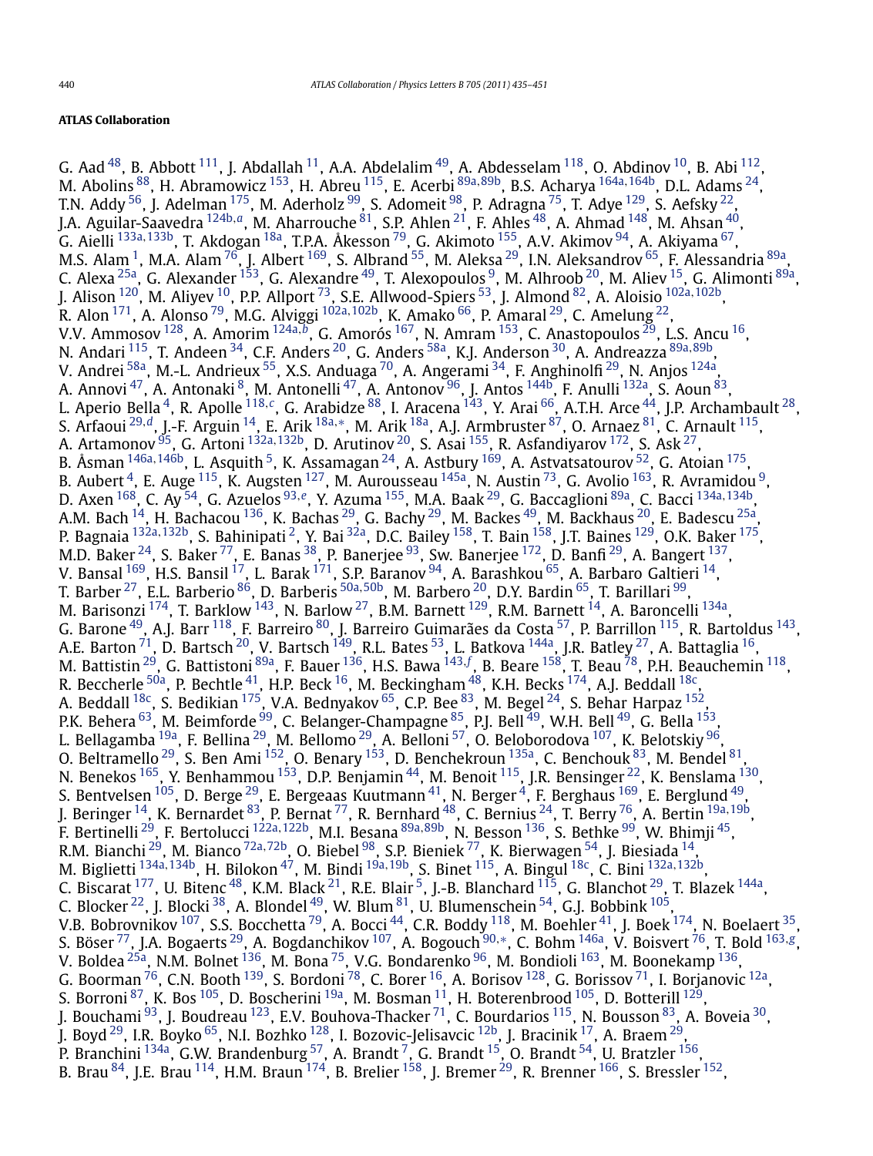# <span id="page-5-0"></span>**ATLAS Collaboration**

G. Aad  $^{48}$  $^{48}$  $^{48}$ , B. Abbott  $^{111}$ , J. Abdallah  $^{11}$ , A.A. Abdelalim  $^{49}$ , A. Abdesselam  $^{118}$ , O. Abdinov  $^{10}$ , B. Abi  $^{112}$ , M. Abolins [88,](#page-15-0) H. Abramowicz [153,](#page-16-0) H. Abreu [115,](#page-15-0) E. Acerbi [89a](#page-15-0)*,*[89b,](#page-15-0) B.S. Acharya [164a](#page-16-0)*,*[164b,](#page-16-0) D.L. Adams [24,](#page-14-0) T.N. Addy <sup>56</sup>, J. Adelman  $^{175}$ , M. Aderholz  $^{99}$  $^{99}$  $^{99}$ , S. Adomeit  $^{98}$ , P. Adragna  $^{75}$ , T. Adye  $^{129}$ , S. Aefsky  $^{22}$ , J.A. Aguilar-Saavedra <sup>[124b](#page-15-0),*[a](#page-16-0)*, M. Aharrouche [81,](#page-15-0) S.P. Ahlen [21,](#page-14-0) F. Ahles <sup>48</sup>, A. Ahmad <sup>148</sup>, M. Ahsan <sup>40</sup>,</sup> G. Aielli [133a](#page-15-0)*,*[133b,](#page-15-0) T. Akdogan [18a,](#page-14-0) T.P.A. Åkesson [79,](#page-15-0) G. Akimoto [155,](#page-16-0) A.V. Akimov [94,](#page-15-0) A. Akiyama [67](#page-14-0), M.S. Alam <sup>1</sup>, M.A. Alam <sup>76</sup>, J. Albert <sup>169</sup>, S. Albrand <sup>55</sup>, M. Aleksa <sup>29</sup>, I.N. Aleksandrov <sup>[65](#page-14-0)</sup>, F. Alessandria <sup>89a</sup>, C. Alexa  $^{25a}$  $^{25a}$  $^{25a}$ , G. Alexander  $^{153}$  $^{153}$  $^{153}$ , G. Alexandre  $^{49}$ , T. Alexopoulos  $^9$ , M. Alhroob  $^{20}$ , M. Aliev  $^{15}$ , G. Alimonti  $^{89a}$ , J. Alison [120,](#page-15-0) M. Aliyev [10,](#page-14-0) P.P. Allport [73](#page-15-0), S.E. Allwood-Spiers [53,](#page-14-0) J. Almond [82,](#page-15-0) A. Aloisio [102a](#page-15-0)*,*[102b,](#page-15-0) R. Alon [171,](#page-16-0) A. Alonso [79,](#page-15-0) M.G. Alviggi [102a](#page-15-0)*,*[102b,](#page-15-0) K. Amako [66,](#page-14-0) P. Amaral [29,](#page-14-0) C. Amelung [22,](#page-14-0) V.V. Ammosov [128,](#page-15-0) A. Amorim [124a](#page-15-0)*,[b](#page-16-0)*, G. Amorós [167,](#page-16-0) N. Amram [153,](#page-16-0) C. Anastopoulos [29,](#page-14-0) L.S. Ancu [16,](#page-14-0) N. Andari [115,](#page-15-0) T. Andeen [34,](#page-14-0) C.F. Anders [20,](#page-14-0) G. Anders [58a,](#page-14-0) K.J. Anderson [30,](#page-14-0) A. Andreazza [89a](#page-15-0)*,*[89b](#page-15-0), V. Andrei  $^{58\text{a}}$ , M.-L. Andrieux  $^{55}$ , X.S. Anduaga  $^{70}$ , A. Angerami  $^{34}$ , F. Anghinolfi  $^{29}$ , N. Anjos  $^{124\text{a}}$ , A. Annovi <sup>47</sup>, A. Antonaki <sup>8</sup>, M. Antonelli <sup>47</sup>, A. Antonov <sup>96</sup>, J. Antos <sup>144b</sup>, F. Anulli <sup>132a</sup>, S. Aoun <sup>83</sup>, L. Aperio Bella [4,](#page-14-0) R. Apolle [118](#page-15-0)*,[c](#page-16-0)*, G. Arabidze [88,](#page-15-0) I. Aracena [143,](#page-15-0) Y. Arai [66,](#page-14-0) A.T.H. Arce [44,](#page-14-0) J.P. Archambault [28,](#page-14-0) S. Arfaoui [29](#page-14-0)*,[d](#page-16-0)*, J.-F. Arguin [14,](#page-14-0) E. Arik [18a](#page-14-0)*,*[∗](#page-16-0), M. Arik [18a,](#page-14-0) A.J. Armbruster [87,](#page-15-0) O. Arnaez [81,](#page-15-0) C. Arnault [115](#page-15-0), A. Artamonov [95,](#page-15-0) G. Artoni [132a](#page-15-0)*,*[132b,](#page-15-0) D. Arutinov [20,](#page-14-0) S. Asai [155,](#page-16-0) R. Asfandiyarov [172,](#page-16-0) S. Ask [27,](#page-14-0) B. Åsman <sup>[146a](#page-16-0),146b</sup>, L. Asquith <sup>5</sup>, K. Assamagan <sup>24</sup>, A. Astbury <sup>169</sup>, A. Astvatsatourov <sup>52</sup>, G. Atoian <sup>175</sup>, B. Aubert  $^4$ , E. Auge  $^{115}$ , K. Augsten  $^{127}$ , M. Aurousseau  $^{145$ a, N. Austin  $^{73}$ , G. Avolio  $^{163}$ , R. Avramidou  $^9$  $^9$ , D. Axen [168,](#page-16-0) C. Ay [54,](#page-14-0) G. Azuelos [93](#page-15-0)*,[e](#page-16-0)*, Y. Azuma [155,](#page-16-0) M.A. Baak [29,](#page-14-0) G. Baccaglioni [89a,](#page-15-0) C. Bacci [134a](#page-15-0)*,*[134b,](#page-15-0) A.M. Bach  $^{14}$ , H. Bachacou  $^{136}$ , K. Bachas  $^{29}$ , G. Bachy  $^{29}$ , M. Backes  $^{49}$ , M. Backhaus  $^{20}$ , E. Badescu  $^{25\mathrm{a}}$ , P. Bagnaia [132a](#page-15-0)*,*[132b,](#page-15-0) S. Bahinipati [2,](#page-14-0) Y. Bai [32a,](#page-14-0) D.C. Bailey [158,](#page-16-0) T. Bain [158,](#page-16-0) J.T. Baines [129,](#page-15-0) O.K. Baker [175,](#page-16-0) M.D. Baker  $^{24}$ , S. Baker  $^{77}$ , E. Banas  $^{38}$ , P. Banerjee  $^{93}$ , Sw. Banerjee  $^{172}$ , D. Banfi  $^{29}$ , A. Bangert  $^{137}$ , V. Bansal  $^{169}$  $^{169}$  $^{169}$ , H.S. Bansil  $^{17}$ , L. Barak  $^{171}$ , S.P. Baranov  $^{94}$  $^{94}$  $^{94}$ , A. Barashkou  $^{65}$ , A. Barbaro Galtieri  $^{14}$ , T. Barber [27,](#page-14-0) E.L. Barberio [86,](#page-15-0) D. Barberis [50a](#page-14-0)*,*[50b,](#page-14-0) M. Barbero [20,](#page-14-0) D.Y. Bardin [65,](#page-14-0) T. Barillari [99,](#page-15-0) M. Barisonzi  $^{174}$ , T. Barklow  $^{143}$ , N. Barlow  $^{27}$ , B.M. Barnett  $^{129}$ , R.M. Barnett  $^{14}$ , A. Baroncelli  $^{134}$ , G. Barone <sup>49</sup>, A.J. Barr <sup>118</sup>, F. Barreiro <sup>[80](#page-15-0)</sup>, J. Barreiro Guimarães da Costa <sup>57</sup>, P. Barrillon <sup>115</sup>, R. Bartoldus <sup>143</sup>, A.E. Barton <sup>71</sup>, D. Bartsch <sup>20</sup>, V. Bartsch <sup>[149](#page-16-0)</sup>, R.L. Bates <sup>53</sup>, L. Batkova <sup>144a</sup>, J.R. Batley <sup>27</sup>, A. Battaglia <sup>16</sup>, M. Battistin <sup>29</sup>, G. Battistoni <sup>89a</sup>, F. Bauer <sup>136</sup>, H.S. Bawa <sup>[143](#page-15-0), [f](#page-16-0)</sup>, B. Beare <sup>[158](#page-16-0)</sup>, T. Beau <sup>78</sup>, P.H. Beauchemin <sup>118</sup>, R. Beccherle  $^{50a}$ , P. Bechtle  $^{41}$ , H.P. Beck  $^{16}$ , M. Beckingham  $^{48}$ , K.H. Becks  $^{174}$ , A.J. Beddall  $^{18c}$ , A. Beddall  $^{18\text{c}}$ , S. Bedikian  $^{175}$ , V.A. Bednyakov  $^{65}$ , C.P. Bee  $^{83}$ , M. Begel  $^{24}$  $^{24}$  $^{24}$ , S. Behar Harpaz  $^{152}$ , P.K. Behera  $^{63}$ , M. Beimforde  $^{99}$ , C. Belanger-Champagne  $^{85}$ , P.J. Bell  $^{49}$ , W.H. Bell  $^{49}$ , G. Bella  $^{153}$ , L. Bellagamba  $^{19$ a, F. Bellina  $^{29}$  $^{29}$  $^{29}$ , M. Bellomo  $^{29}$ , A. Belloni  $^{57}$ , O. Beloborodova  $^{107}$ , K. Belotskiy  $^{96}$ , O. Beltramello <sup>29</sup>, S. Ben Ami <sup>152</sup>, O. Benary <sup>153</sup>, D. Benchekroun <sup>135a</sup>, C. Benchouk <sup>83</sup>, M. Bendel <sup>81</sup>, N. Benekos <sup>165</sup>, Y. Benhammou <sup>153</sup>, D.P. Benjamin <sup>44</sup>, M. Benoit <sup>115</sup>, J.R. Bensinger <sup>22</sup>, K. Benslama <sup>130</sup>, S. Bentvelsen  $^{105}$ , D. Berge  $^{29}$ , E. Bergeaas Kuutmann  $^{41}$  $^{41}$  $^{41}$ , N. Berger  $^4$ , F. Berghaus  $^{169}$ , E. Berglund  $^{49}$ , J. Beringer [14,](#page-14-0) K. Bernardet [83,](#page-15-0) P. Bernat [77](#page-15-0), R. Bernhard [48,](#page-14-0) C. Bernius [24,](#page-14-0) T. Berry [76,](#page-15-0) A. Bertin [19a](#page-14-0)*,*[19b,](#page-14-0) F. Bertinelli [29,](#page-14-0) F. Bertolucci [122a](#page-15-0)*,*[122b,](#page-15-0) M.I. Besana [89a](#page-15-0)*,*[89b,](#page-15-0) N. Besson [136,](#page-15-0) S. Bethke [99,](#page-15-0) W. Bhimji [45,](#page-14-0) R.M. Bianchi [29,](#page-14-0) M. Bianco [72a](#page-15-0)*,*[72b,](#page-15-0) O. Biebel [98,](#page-15-0) S.P. Bieniek [77,](#page-15-0) K. Bierwagen [54,](#page-14-0) J. Biesiada [14,](#page-14-0) M. Biglietti [134a](#page-15-0)*,*[134b,](#page-15-0) H. Bilokon [47,](#page-14-0) M. Bindi [19a](#page-14-0)*,*[19b,](#page-14-0) S. Binet [115,](#page-15-0) A. Bingul [18c,](#page-14-0) C. Bini [132a](#page-15-0)*,*[132b,](#page-15-0) C. Biscarat  $^{177}$ , U. Bitenc  $^{48}$  $^{48}$  $^{48}$ , K.M. Black  $^{21}$ , R.E. Blair  $^5$ , J.-B. Blanchard  $^{115}$ , G. Blanchot  $^{29}$ , T. Blazek  $^{144}$ , C. Blocker  $^{22}$ , J. Blocki  $^{38}$ , A. Blondel  $^{49}$ , W. Blum  $^{81}$ , U. Blumenschein  $^{54}$ , G.J. Bobbink  $^{105},$ V.B. Bobrovnikov  $^{107}$ , S.S. Bocchetta  $^{79}$ , A. Bocci  $^{44}$  $^{44}$  $^{44}$ , C.R. Boddy  $^{118}$ , M. Boehler  $^{41}$ , J. Boek  $^{174}$ , N. Boelaert  $^{35}$ , S. Böser [77,](#page-15-0) J.A. Bogaerts [29,](#page-14-0) A. Bogdanchikov [107,](#page-15-0) A. Bogouch [90](#page-15-0)*,*[∗](#page-16-0), C. Bohm [146a,](#page-16-0) V. Boisvert [76,](#page-15-0) T. Bold [163](#page-16-0)*,[g](#page-16-0)*, V. Boldea <sup>25a</sup>, N.M. Bolnet <sup>136</sup>, M. Bona <sup>75</sup>, V.G. Bondarenko <sup>96</sup>, M. Bondioli <sup>163</sup>, M. Boonekamp <sup>136</sup>, G. Boorman  $^{76}$ , C.N. Booth  $^{139}$ , S. Bordoni  $^{78}$  $^{78}$  $^{78}$ , C. Borer  $^{16}$ , A. Borisov  $^{128}$ , G. Borissov  $^{71}$ , I. Borjanovic  $^{12a}$ , S. Borroni<sup>87</sup>, K. Bos<sup>[105](#page-15-0)</sup>, D. Boscherini<sup>19a</sup>, M. Bosman<sup>11</sup>, H. Boterenbrood<sup>105</sup>, D. Botterill<sup>129</sup>, J. Bouchami<sup>93</sup>, J. Boudreau <sup>123</sup>, E.V. Bouhova-Thacker <sup>[71](#page-15-0)</sup>, C. Bourdarios <sup>115</sup>, N. Bousson <sup>83</sup>, A. Boveia <sup>30</sup>, J. Boyd <sup>29</sup>, I.R. Boyko <sup>65</sup>, N.I. Bozhko <sup>128</sup>, I. Bozovic-Jelisavcic <sup>12b</sup>, J. Bracinik <sup>17</sup>, A. Braem <sup>29</sup>, P. Branchini  $^{134}$ a, G.W. Brandenburg  $^{57}$ , A. Brandt  $^{7}$ , G. Brandt  $^{15}$ , O. Brandt  $^{54}$ , U. Bratzler  $^{156}$ , B. Brau  $^{84}$ , J.E. Brau  $^{114}$ , H.M. Braun  $^{174}$ , B. Brelier  $^{158}$  $^{158}$  $^{158}$ , J. Bremer  $^{29}$ , R. Brenner  $^{166}$ , S. Bressler  $^{152}$  $^{152}$  $^{152}$ ,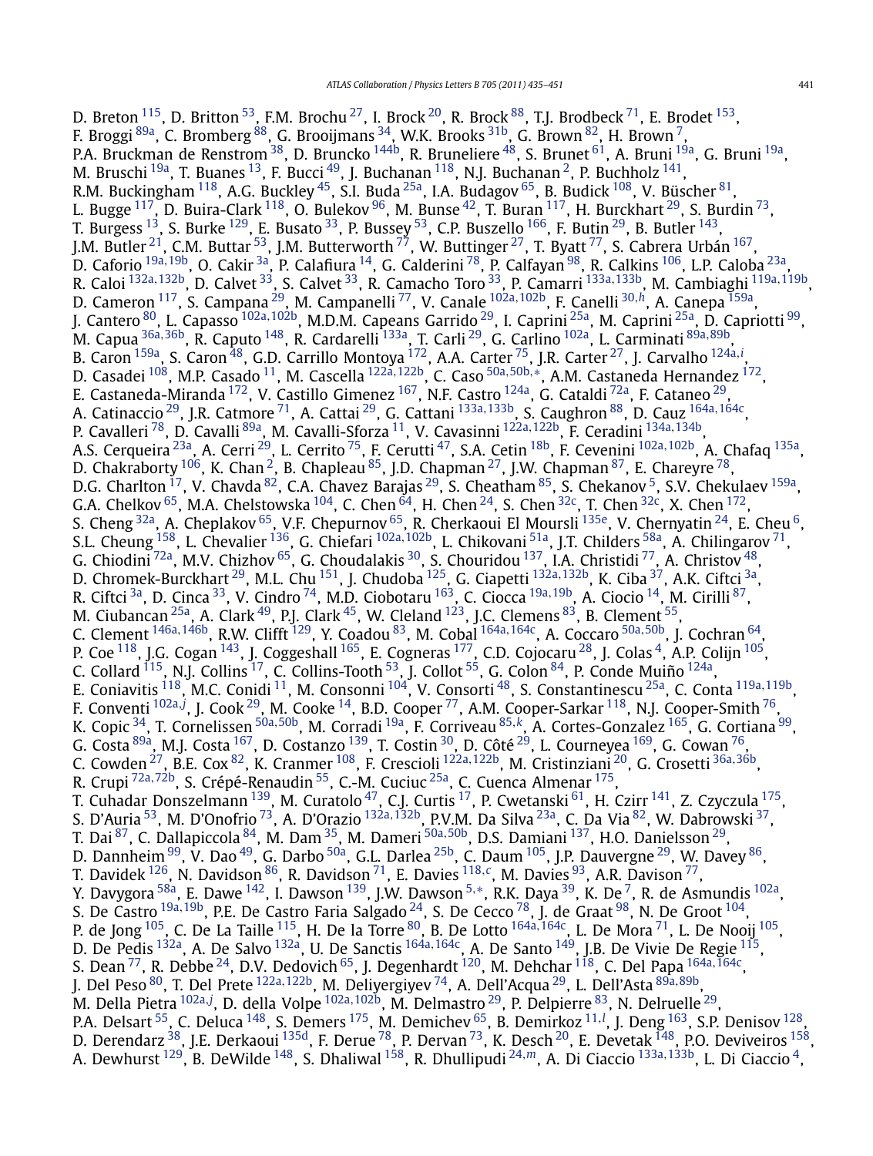D. Breton  $^{115}$  $^{115}$  $^{115}$ , D. Britton  $^{53}$ , F.M. Brochu  $^{27}$ , I. Brock  $^{20}$ , R. Brock  $^{88}$ , T.J. Brodbeck  $^{71}$ , E. Brodet  $^{153}$ , F. Broggi  $^{89a}$ , C. Bromberg  $^{88}$ , G. Brooijmans  $^{34}$ , W.K. Brooks  $^{31b}$ , G. Brown  $^{82}$ , H. Brown  $^7$ , P.A. Bruckman de Renstrom<sup>[38](#page-14-0)</sup>, D. Bruncko <sup>144b</sup>, R. Bruneliere <sup>48</sup>, S. Brunet <sup>61</sup>, A. Bruni <sup>[19a](#page-14-0)</sup>, G. Bruni <sup>19a</sup>, M. Bruschi  $^{19a}$ , T. Buanes  $^{13}$ , F. Bucci  $^{49}$ , J. Buchanan  $^{118}$ , N.J. Buchanan  $^2$ , P. Buchholz  $^{141}$ , R.M. Buckingham  $^{118}$ , A.G. Buckley  $^{45}$ , S.I. Buda  $^{25a}$ , I.A. Budagov  $^{65}$ , B. Budick  $^{108}$ , V. Büscher  $^{81}$ , L. Bugge  $^{117}$ , D. Buira-Clark  $^{118}$ , O. Bulekov  $^{96}$ , M. Bunse  $^{42}$ , T. Buran  $^{117}$ , H. Burckhart  $^{29}$  $^{29}$  $^{29}$ , S. Burdin  $^{73}$ , T. Burgess  $^{13}$ , S. Burke  $^{129}$ , E. Busato  $^{33}$ , P. Bussey  $^{53}$ , C.P. Buszello  $^{166}$ , F. Butin  $^{29}$ , B. Butler  $^{143}$ , J.M. Butler <sup>21</sup>, C.M. Buttar <sup>53</sup>, J.M. Butterworth  $^{77}$ , W. Buttinger  $^{27}$ , T. Byatt  $^{77}$ , S. Cabrera Urbán  $^{167}$  $^{167}$  $^{167}$ , D. Caforio [19a](#page-14-0)*,*[19b](#page-14-0), O. Cakir [3a,](#page-14-0) P. Calafiura [14](#page-14-0), G. Calderini [78,](#page-15-0) P. Calfayan [98,](#page-15-0) R. Calkins [106,](#page-15-0) L.P. Caloba [23a,](#page-14-0) R. Caloi [132a](#page-15-0)*,*[132b,](#page-15-0) D. Calvet [33,](#page-14-0) S. Calvet [33,](#page-14-0) R. Camacho Toro [33,](#page-14-0) P. Camarri [133a](#page-15-0)*,*[133b,](#page-15-0) M. Cambiaghi [119a](#page-15-0)*,*[119b,](#page-15-0) D. Cameron [117,](#page-15-0) S. Campana [29,](#page-14-0) M. Campanelli [77,](#page-15-0) V. Canale [102a](#page-15-0)*,*[102b,](#page-15-0) F. Canelli [30](#page-14-0)*,[h](#page-16-0)*, A. Canepa [159a,](#page-16-0) J. Cantero [80,](#page-15-0) L. Capasso [102a](#page-15-0)*,*[102b,](#page-15-0) M.D.M. Capeans Garrido [29,](#page-14-0) I. Caprini [25a,](#page-14-0) M. Caprini [25a](#page-14-0), D. Capriotti [99,](#page-15-0) M. Capua [36a](#page-14-0)*,*[36b,](#page-14-0) R. Caputo [148,](#page-16-0) R. Cardarelli [133a](#page-15-0), T. Carli [29,](#page-14-0) G. Carlino [102a,](#page-15-0) L. Carminati [89a](#page-15-0)*,*[89b,](#page-15-0) B. Caron <sup>159a</sup>, S. Caron <sup>48</sup>, G.D. Carrillo Montoya <sup>172</sup>, A.A. Carter <sup>75</sup>, J.R. Carter <sup>27</sup>, J. Carvalho <sup>[124a](#page-15-0),*[i](#page-16-0)*</sup>, D. Casadei [108,](#page-15-0) M.P. Casado [11,](#page-14-0) M. Cascella [122a](#page-15-0)*,*[122b,](#page-15-0) C. Caso [50a](#page-14-0)*,*[50b](#page-14-0)*,*[∗](#page-16-0), A.M. Castaneda Hernandez [172,](#page-16-0) E. Castaneda-Miranda [172](#page-16-0), V. Castillo Gimenez [167,](#page-16-0) N.F. Castro [124a,](#page-15-0) G. Cataldi [72a,](#page-15-0) F. Cataneo [29,](#page-14-0) A. Catinaccio [29,](#page-14-0) J.R. Catmore [71,](#page-15-0) A. Cattai [29,](#page-14-0) G. Cattani [133a](#page-15-0)*,*[133b,](#page-15-0) S. Caughron [88,](#page-15-0) D. Cauz [164a](#page-16-0)*,*[164c](#page-16-0), P. Cavalleri [78,](#page-15-0) D. Cavalli [89a,](#page-15-0) M. Cavalli-Sforza [11,](#page-14-0) V. Cavasinni [122a](#page-15-0)*,*[122b,](#page-15-0) F. Ceradini [134a](#page-15-0)*,*[134b,](#page-15-0) A.S. Cerqueira [23a,](#page-14-0) A. Cerri [29,](#page-14-0) L. Cerrito [75,](#page-15-0) F. Cerutti [47](#page-14-0), S.A. Cetin [18b,](#page-14-0) F. Cevenini [102a](#page-15-0)*,*[102b,](#page-15-0) A. Chafaq [135a,](#page-15-0) D. Chakraborty  $^{106}$ , K. Chan  $^2$ , B. Chapleau  $^{85}$ , J.D. Chapman  $^{27}$ , J.W. Chapman  $^{87}$ , E. Chareyre  $^{78}$  $^{78}$  $^{78}$ , D.G. Charlton  $^{17}$ , V. Chavda  $^{82}$ , C.A. Chavez Barajas  $^{29}$ , S. Cheatham  $^{85}$  $^{85}$  $^{85}$ , S. Chekanov  $^5$ , S.V. Chekulaev  $^{159\mathrm{a}},$ G.A. Chelkov  $^{65}$ , M.A. Chelstowska  $^{104}$ , C. Chen  $^{64}$  $^{64}$  $^{64}$ , H. Chen  $^{24}$  $^{24}$  $^{24}$ , S. Chen  $^{32c}$ , T. Chen  $^{32c}$ , X. Chen  $^{172}$ , S. Cheng  $32a$ , A. Cheplakov  $65$ , V.F. Chepurnov  $65$ , R. Cherkaoui El Moursli  $135e$ , V. Chernyatin  $24$ , E. Cheu  $6$ , S.L. Cheung [158,](#page-16-0) L. Chevalier [136](#page-15-0), G. Chiefari [102a](#page-15-0)*,*[102b](#page-15-0), L. Chikovani [51a,](#page-14-0) J.T. Childers [58a,](#page-14-0) A. Chilingarov [71,](#page-15-0) G. Chiodini <sup>72a</sup>, M.V. Chizhov <sup>[65](#page-14-0)</sup>, G. Choudalakis <sup>[30](#page-14-0)</sup>, S. Chouridou <sup>137</sup>, I.A. Christidi <sup>77</sup>, A. Christov <sup>48</sup>, D. Chromek-Burckhart [29,](#page-14-0) M.L. Chu [151,](#page-16-0) J. Chudoba [125,](#page-15-0) G. Ciapetti [132a](#page-15-0)*,*[132b,](#page-15-0) K. Ciba [37,](#page-14-0) A.K. Ciftci [3a,](#page-14-0) R. Ciftci [3a,](#page-14-0) D. Cinca [33,](#page-14-0) V. Cindro [74,](#page-15-0) M.D. Ciobotaru [163,](#page-16-0) C. Ciocca [19a](#page-14-0)*,*[19b,](#page-14-0) A. Ciocio [14,](#page-14-0) M. Cirilli [87,](#page-15-0) M. Ciubancan  $^{25a}$ , A. Clark  $^{49}$  $^{49}$  $^{49}$ , P.J. Clark  $^{45}$ , W. Cleland  $^{123}$ , J.C. Clemens  $^{83}$  $^{83}$  $^{83}$ , B. Clement  $^{55}$ , C. Clement [146a](#page-16-0)*,*[146b](#page-16-0), R.W. Clifft [129,](#page-15-0) Y. Coadou [83,](#page-15-0) M. Cobal [164a](#page-16-0)*,*[164c,](#page-16-0) A. Coccaro [50a](#page-14-0)*,*[50b,](#page-14-0) J. Cochran [64,](#page-14-0) P. Coe  $^{118}$ , J.G. Cogan  $^{143}$ , J. Coggeshall  $^{165}$ , E. Cogneras  $^{177}$ , C.D. Cojocaru  $^{28}$ , J. Colas  $^4$ , A.P. Colijn  $^{105}$ , C. Collard  $^{115}$ , N.J. Collins  $^{17}$  $^{17}$  $^{17}$ , C. Collins-Tooth  $^{53}$ , J. Collot  $^{55}$ , G. Colon  $^{84}$ , P. Conde Muiño  $^{124a}$ , E. Coniavitis [118](#page-15-0), M.C. Conidi [11,](#page-14-0) M. Consonni [104,](#page-15-0) V. Consorti [48](#page-14-0), S. Constantinescu [25a,](#page-14-0) C. Conta [119a](#page-15-0)*,*[119b,](#page-15-0) F. Conventi [102a](#page-15-0)*,[j](#page-16-0)* , J. Cook [29,](#page-14-0) M. Cooke [14,](#page-14-0) B.D. Cooper [77,](#page-15-0) A.M. Cooper-Sarkar [118,](#page-15-0) N.J. Cooper-Smith [76,](#page-15-0) K. Copic [34,](#page-14-0) T. Cornelissen [50a](#page-14-0)*,*[50b,](#page-14-0) M. Corradi [19a,](#page-14-0) F. Corriveau [85](#page-15-0)*,[k](#page-16-0)*, A. Cortes-Gonzalez [165,](#page-16-0) G. Cortiana [99,](#page-15-0) G. Costa <sup>89a</sup>, M.J. Costa <sup>167</sup>, D. Costanzo <sup>139</sup>, T. Costin <sup>30</sup>, D. Côté <sup>29</sup>, L. Courneyea <sup>169</sup>, G. Cowan <sup>76</sup>, C. Cowden [27,](#page-14-0) B.E. Cox [82,](#page-15-0) K. Cranmer [108,](#page-15-0) F. Crescioli [122a](#page-15-0)*,*[122b,](#page-15-0) M. Cristinziani [20,](#page-14-0) G. Crosetti [36a](#page-14-0)*,*[36b,](#page-14-0) R. Crupi [72a](#page-15-0)*,*[72b,](#page-15-0) S. Crépé-Renaudin [55,](#page-14-0) C.-M. Cuciuc [25a,](#page-14-0) C. Cuenca Almenar [175,](#page-16-0) T. Cuhadar Donszelmann <sup>139</sup>, M. Curatolo <sup>47</sup>, C.J. Curtis <sup>17</sup>, P. Cwetanski <sup>61</sup>, H. Czirr <sup>141</sup>, Z. Czyczula <sup>[175](#page-16-0)</sup>, S. D'Auria [53,](#page-14-0) M. D'Onofrio [73,](#page-15-0) A. D'Orazio [132a](#page-15-0)*,*[132b](#page-15-0), P.V.M. Da Silva [23a,](#page-14-0) C. Da Via [82,](#page-15-0) W. Dabrowski [37,](#page-14-0) T. Dai [87](#page-15-0), C. Dallapiccola [84,](#page-15-0) M. Dam [35,](#page-14-0) M. Dameri [50a](#page-14-0)*,*[50b](#page-14-0), D.S. Damiani [137,](#page-15-0) H.O. Danielsson [29,](#page-14-0) D. Dannheim  $^{99}$ , V. Dao  $^{49}$ , G. Darbo  $^{50$ a, G.L. Darlea  $^{25\mathrm{b}}$ , C. Daum  $^{105}$ , J.P. Dauvergne  $^{29}$ , W. Davey  $^{86}$ , T. Davidek [126,](#page-15-0) N. Davidson [86](#page-15-0), R. Davidson [71](#page-15-0), E. Davies [118](#page-15-0)*,[c](#page-16-0)*, M. Davies [93,](#page-15-0) A.R. Davison [77](#page-15-0), Y. Davygora [58a,](#page-14-0) E. Dawe [142,](#page-15-0) I. Dawson [139,](#page-15-0) J.W. Dawson [5](#page-14-0)*,*[∗](#page-16-0), R.K. Daya [39,](#page-14-0) K. De [7,](#page-14-0) R. de Asmundis [102a,](#page-15-0) S. De Castro [19a](#page-14-0)*,*[19b,](#page-14-0) P.E. De Castro Faria Salgado [24,](#page-14-0) S. De Cecco [78,](#page-15-0) J. de Graat [98,](#page-15-0) N. De Groot [104,](#page-15-0) P. de Jong [105,](#page-15-0) C. De La Taille [115](#page-15-0), H. De la Torre [80](#page-15-0), B. De Lotto [164a](#page-16-0)*,*[164c,](#page-16-0) L. De Mora [71,](#page-15-0) L. De Nooij [105,](#page-15-0) D. De Pedis [132a,](#page-15-0) A. De Salvo [132a,](#page-15-0) U. De Sanctis [164a](#page-16-0)*,*[164c,](#page-16-0) A. De Santo [149,](#page-16-0) J.B. De Vivie De Regie [115,](#page-15-0) S. Dean [77,](#page-15-0) R. Debbe [24](#page-14-0), D.V. Dedovich [65](#page-14-0), J. Degenhardt [120,](#page-15-0) M. Dehchar [118,](#page-15-0) C. Del Papa [164a](#page-16-0)*,*[164c,](#page-16-0) J. Del Peso [80,](#page-15-0) T. Del Prete [122a](#page-15-0)*,*[122b,](#page-15-0) M. Deliyergiyev [74,](#page-15-0) A. Dell'Acqua [29,](#page-14-0) L. Dell'Asta [89a](#page-15-0)*,*[89b,](#page-15-0) M. Della Pietra [102a](#page-15-0)*,[j](#page-16-0)* , D. della Volpe [102a](#page-15-0)*,*[102b,](#page-15-0) M. Delmastro [29,](#page-14-0) P. Delpierre [83,](#page-15-0) N. Delruelle [29](#page-14-0), P.A. Delsart <sup>[55](#page-14-0)</sup>, C. Deluca <sup>148</sup>, S. Demers <sup>175</sup>, M. Demichev <sup>65</sup>, B. Demirkoz <sup>[11](#page-14-0), !</sup>, J. Deng <sup>163</sup>, S.P. Denisov <sup>128</sup>, D. Derendarz  $^{38}$ , J.E. Derkaoui  $^{135d}$ , F. Derue  $^{78}$ , P. Dervan  $^{73}$ , K. Desch  $^{20}$  $^{20}$  $^{20}$ , E. Devetak  $^{148}$ , P.O. Deviveiros  $^{158}$ , A. Dewhurst [129,](#page-15-0) B. DeWilde [148,](#page-16-0) S. Dhaliwal [158,](#page-16-0) R. Dhullipudi [24](#page-14-0)*,[m](#page-16-0)*, A. Di Ciaccio [133a](#page-15-0)*,*[133b](#page-15-0), L. Di Ciaccio [4,](#page-14-0)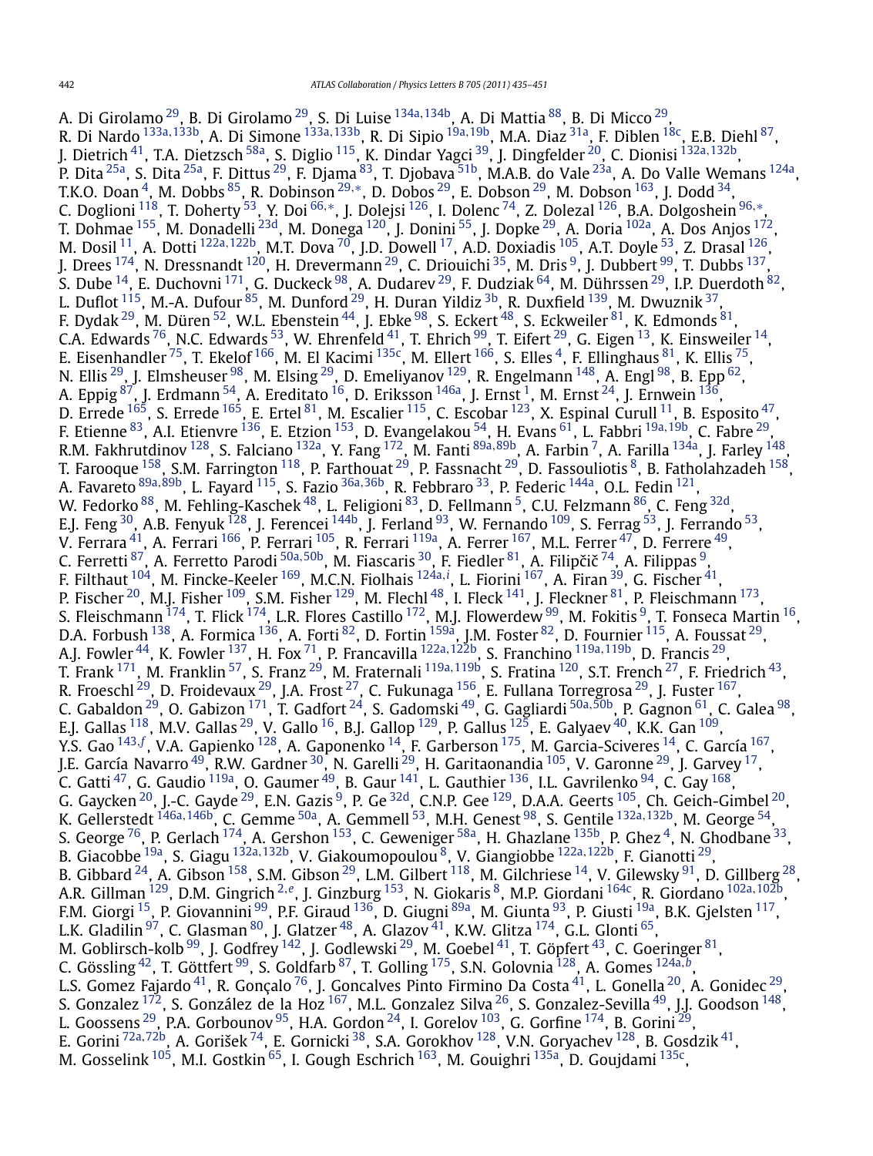A. Di Girolamo [29,](#page-14-0) B. Di Girolamo [29,](#page-14-0) S. Di Luise [134a](#page-15-0)*,*[134b,](#page-15-0) A. Di Mattia [88,](#page-15-0) B. Di Micco [29,](#page-14-0) R. Di Nardo [133a](#page-15-0)*,*[133b,](#page-15-0) A. Di Simone [133a](#page-15-0)*,*[133b,](#page-15-0) R. Di Sipio [19a](#page-14-0)*,*[19b,](#page-14-0) M.A. Diaz [31a,](#page-14-0) F. Diblen [18c,](#page-14-0) E.B. Diehl [87,](#page-15-0) J. Dietrich [41](#page-14-0), T.A. Dietzsch [58a,](#page-14-0) S. Diglio [115,](#page-15-0) K. Dindar Yagci [39,](#page-14-0) J. Dingfelder [20,](#page-14-0) C. Dionisi [132a](#page-15-0)*,*[132b,](#page-15-0) P. Dita <sup>[25a](#page-14-0)</sup>, S. Dita <sup>25a</sup>, F. Dittus <sup>29</sup>, F. Djama <sup>83</sup>, T. Djobava <sup>51b</sup>, M.A.B. do Vale <sup>23a</sup>, A. Do Valle Wemans <sup>124a</sup>, T.K.O. Doan [4,](#page-14-0) M. Dobbs [85,](#page-15-0) R. Dobinson [29](#page-14-0)*,*[∗](#page-16-0), D. Dobos [29](#page-14-0), E. Dobson [29,](#page-14-0) M. Dobson [163,](#page-16-0) J. Dodd [34,](#page-14-0) C. Doglioni [118,](#page-15-0) T. Doherty [53,](#page-14-0) Y. Doi [66](#page-14-0)*,*[∗](#page-16-0), J. Dolejsi [126,](#page-15-0) I. Dolenc [74,](#page-15-0) Z. Dolezal [126,](#page-15-0) B.A. Dolgoshein [96](#page-15-0)*,*[∗](#page-16-0), T. Dohmae <sup>1[55](#page-14-0)</sup>, M. Donadelli <sup>23d</sup>, M. Donega <sup>120</sup>, J. Donini <sup>55</sup>, J. Dopke <sup>29</sup>, A. Doria <sup>102a</sup>, A. Dos Anjos <sup>172</sup>, M. Dosil [11,](#page-14-0) A. Dotti [122a](#page-15-0)*,*[122b,](#page-15-0) M.T. Dova [70,](#page-15-0) J.D. Dowell [17,](#page-14-0) A.D. Doxiadis [105,](#page-15-0) A.T. Doyle [53,](#page-14-0) Z. Drasal [126,](#page-15-0) J. Drees <sup>174</sup>, N. Dressnandt <sup>120</sup>, H. Drevermann <sup>29</sup>, C. Driouichi <sup>35</sup>, M. Dris <sup>9</sup>, J. Dubbert <sup>99</sup>, T. Dubbs <sup>137</sup>, S. Dube  $^{14}$  $^{14}$  $^{14}$ , E. Duchovni  $^{171}$ , G. Duckeck  $^{98}$ , A. Dudarev  $^{29}$ , F. Dudziak  $^{64}$ , M. Dührssen  $^{29}$ , I.P. Duerdoth  $^{82}$ , L. Duflot  $^{115}$ , M.-A. Dufour  $^{85}$ , M. Dunford  $^{29}$ , H. Duran Yildiz  $^{3b}$ , R. Duxfield  $^{139}$ , M. Dwuznik  $^{37}$ , F. Dydak  $^{29}$ , M. Düren  $^{52}$ , W.L. Ebenstein  $^{44}$  $^{44}$  $^{44}$ , J. Ebke  $^{98}$ , S. Eckert  $^{48}$ , S. Eckweiler  $^{81}$ , K. Edmonds  $^{81}$ , C.A. Edwards <sup>76</sup>, N.C. Edwards <sup>53</sup>, W. Ehrenfeld <sup>41</sup>, T. Ehrich <sup>99</sup>, T. Eifert <sup>29</sup>, G. Eigen <sup>13</sup>, K. Einsweiler <sup>14</sup>, E. Eisenhandler <sup>75</sup>, T. Ekelof <sup>166</sup>, M. El Kacimi <sup>135c</sup>, M. Ellert <sup>166</sup>, S. Elles <sup>4</sup>, F. Ellinghaus <sup>81</sup>, K. Ellis <sup>75</sup>, N. Ellis  $^{29}$ , J. Elmsheuser  $^{98}$ , M. Elsing  $^{29}$ , D. Emeliyanov  $^{129}$ , R. Engelmann  $^{148}$ , A. Engl  $^{98}$ , B. Epp  $^{62}$ , A. Eppig  $^{87}$ , J. Erdmann  $^{54}$ , A. Ereditato  $^{16}$ , D. Eriksson  $^{146}$ , J. Ernst  $^1$ , M. Ernst  $^{24}$ , J. Ernwein  $^{136}$  $^{136}$  $^{136}$ , D. Errede  $^{165}$  $^{165}$  $^{165}$ , S. Errede  $^{165}$ , E. Ertel  $^{81}$ , M. Escalier  $^{115}$ , C. Escobar  $^{123}$ , X. Espinal Curull  $^{11}$ , B. Esposito  $^{47}$ , F. Etienne [83,](#page-15-0) A.I. Etienvre [136,](#page-15-0) E. Etzion [153,](#page-16-0) D. Evangelakou [54,](#page-14-0) H. Evans [61,](#page-14-0) L. Fabbri [19a](#page-14-0)*,*[19b,](#page-14-0) C. Fabre [29,](#page-14-0) R.M. Fakhrutdinov [128](#page-15-0), S. Falciano [132a,](#page-15-0) Y. Fang [172,](#page-16-0) M. Fanti [89a](#page-15-0)*,*[89b,](#page-15-0) A. Farbin [7,](#page-14-0) A. Farilla [134a,](#page-15-0) J. Farley [148](#page-16-0), T. Farooque <sup>158</sup>, S.M. Farrington <sup>118</sup>, P. Farthouat <sup>[29](#page-14-0)</sup>, P. Fassnacht <sup>29</sup>, D. Fassouliotis <sup>8</sup>, B. Fatholahzadeh <sup>158</sup>, A. Favareto [89a](#page-15-0)*,*[89b,](#page-15-0) L. Fayard [115,](#page-15-0) S. Fazio [36a](#page-14-0)*,*[36b,](#page-14-0) R. Febbraro [33,](#page-14-0) P. Federic [144a,](#page-15-0) O.L. Fedin [121,](#page-15-0) W. Fedorko <sup>88</sup>, M. Fehling-Kaschek <sup>48</sup>, L. Feligioni <sup>83</sup>, D. Fellmann <sup>[5](#page-14-0)</sup>, C.U. Felzmann <sup>86</sup>, C. Feng <sup>32d</sup>, E.J. Feng  $^{30}$ , A.B. Fenyuk  $^{128}$ , J. Ferencei  $^{144\mathrm{b}}$ , J. Ferland  $^{93}$  $^{93}$  $^{93}$ , W. Fernando  $^{109}$  $^{109}$  $^{109}$ , S. Ferrag  $^{53}$ , J. Ferrando  $^{53}$ , V. Ferrara $^{41}$ , A. Ferrari  $^{166}$ , P. Ferrari  $^{105}$ , R. Ferrari  $^{119}$ , A. Ferrer  $^{167}$ , M.L. Ferrer  $^{47}$ , D. Ferrere  $^{49}$ , C. Ferretti <sup>[87](#page-15-0)</sup>, A. Ferretto Parodi <sup>[50a](#page-14-0),50b</sup>, M. Fiascaris <sup>30</sup>, F. Fiedler <sup>[81](#page-15-0)</sup>, A. Filipčič <sup>[74](#page-15-0)</sup>, A. Filippas <sup>9</sup>, F. Filthaut [104,](#page-15-0) M. Fincke-Keeler [169,](#page-16-0) M.C.N. Fiolhais [124a](#page-15-0)*,[i](#page-16-0)* , L. Fiorini [167,](#page-16-0) A. Firan [39,](#page-14-0) G. Fischer [41,](#page-14-0) P. Fischer  $^{20}$ , M.J. Fisher  $^{109}$ , S.M. Fisher  $^{129}$ , M. Flechl  $^{48}$ , I. Fleck  $^{141}$ , J. Fleckner  $^{81}$ , P. Fleischmann  $^{173},$ S. Fleischmann  $^{174}$ , T. Flick  $^{174}$ , L.R. Flores Castillo  $^{172}$ , M.J. Flowerdew  $^{99}$  $^{99}$  $^{99}$ , M. Fokitis  $^9$ , T. Fonseca Martin  $^{16}$ , D.A. Forbush  $^{138}$ , A. Formica  $^{136}$  $^{136}$  $^{136}$ , A. Forti  $^{82}$ , D. Fortin  $^{159a}$ , J.M. Foster  $^{82}$ , D. Fournier  $^{115}$ , A. Foussat  $^{29}$ , A.J. Fowler [44,](#page-14-0) K. Fowler [137,](#page-15-0) H. Fox [71,](#page-15-0) P. Francavilla [122a](#page-15-0)*,*[122b,](#page-15-0) S. Franchino [119a](#page-15-0)*,*[119b,](#page-15-0) D. Francis [29,](#page-14-0) T. Frank [171,](#page-16-0) M. Franklin [57,](#page-14-0) S. Franz [29,](#page-14-0) M. Fraternali [119a](#page-15-0)*,*[119b,](#page-15-0) S. Fratina [120,](#page-15-0) S.T. French [27](#page-14-0), F. Friedrich [43,](#page-14-0) R. Froeschl $^{29}$ , D. Froidevaux $^{29}$ , J.A. Frost $^{27}$ , C. Fukunaga  $^{156}$  $^{156}$  $^{156}$ , E. Fullana Torregrosa $^{29}$ , J. Fuster  $^{167},$ C. Gabaldon [29,](#page-14-0) O. Gabizon [171,](#page-16-0) T. Gadfort [24,](#page-14-0) S. Gadomski [49,](#page-14-0) G. Gagliardi [50a](#page-14-0)*,*[50b](#page-14-0), P. Gagnon [61,](#page-14-0) C. Galea [98,](#page-15-0) E.J. Gallas  $^{118}$ , M.V. Gallas  $^{29}$ , V. Gallo  $^{16}$ , B.J. Gallop  $^{129}$  $^{129}$  $^{129}$ , P. Gallus  $^{125}$ , E. Galyaev  $^{40}$ , K.K. Gan  $^{109}$ , Y.S. Gao [143](#page-15-0)*,[f](#page-16-0)* , V.A. Gapienko [128,](#page-15-0) A. Gaponenko [14,](#page-14-0) F. Garberson [175,](#page-16-0) M. Garcia-Sciveres [14,](#page-14-0) C. García [167,](#page-16-0) J.E. García Navarro <sup>49</sup>, R.W. Gardner <sup>30</sup>, N. Garelli <sup>29</sup>, H. Garitaonandia <sup>105</sup>, V. Garonne <sup>29</sup>, J. Garvey <sup>17</sup>, C. Gatti $^{\,47}$ , G. Gaudio  $^{\rm 119a}$ , O. Gaumer $^{\,49}$  $^{\,49}$  $^{\,49}$ , B. Gaur $^{\,141}$ , L. Gauthier  $^{\rm 136}$ , I.L. Gavrilenko  $^{\rm 94}$ , C. Gay  $^{\rm 168}$ , G. Gaycken <sup>[20](#page-14-0)</sup>, J.-C. Gayde <sup>29</sup>, E.N. Gazis <sup>9</sup>, P. Ge <sup>32d</sup>, C.N.P. Gee <sup>[129](#page-15-0)</sup>, D.A.A. Geerts <sup>105</sup>, Ch. Geich-Gimbel <sup>20</sup>, K. Gellerstedt [146a](#page-16-0)*,*[146b,](#page-16-0) C. Gemme [50a,](#page-14-0) A. Gemmell [53,](#page-14-0) M.H. Genest [98,](#page-15-0) S. Gentile [132a](#page-15-0)*,*[132b](#page-15-0), M. George [54,](#page-14-0) S. George  $^{76}$ , P. Gerlach  $^{174}$ , A. Gershon  $^{153}$ , C. Geweniger  $^{58a}$ , H. Ghazlane  $^{135b}$ , P. Ghez  $^4$ , N. Ghodbane  $^{33}$ , B. Giacobbe [19a,](#page-14-0) S. Giagu [132a](#page-15-0)*,*[132b,](#page-15-0) V. Giakoumopoulou [8,](#page-14-0) V. Giangiobbe [122a](#page-15-0)*,*[122b,](#page-15-0) F. Gianotti [29](#page-14-0), B. Gibbard  $^{24}$ , A. Gibson  $^{158}$ , S.M. Gibson  $^{29}$ , L.M. Gilbert  $^{118}$ , M. Gilchriese  $^{14}$ , V. Gilewsky  $^{91}$ , D. Gillberg  $^{28}$ , A.R. Gillman [129,](#page-15-0) D.M. Gingrich [2](#page-14-0)*,[e](#page-16-0)*, J. Ginzburg [153,](#page-16-0) N. Giokaris [8,](#page-14-0) M.P. Giordani [164c,](#page-16-0) R. Giordano [102a](#page-15-0)*,*[102b,](#page-15-0) F.M. Giorgi <sup>15</sup>, P. Giovannini <sup>99</sup>, P.F. Giraud <sup>136</sup>, D. Giugni <sup>89a</sup>, M. Giunta <sup>93</sup>, P. Giusti <sup>19a</sup>, B.K. Gjelsten <sup>117</sup>, L.K. Gladilin  $^{97}$ , C. Glasman  $^{80}$ , J. Glatzer  $^{48}$ , A. Glazov  $^{41}$  $^{41}$  $^{41}$ , K.W. Glitza  $^{174}$ , G.L. Glonti  $^{65},$ M. Goblirsch-kolb  $^{99}$ , J. Godfrey  $^{142}$ , J. Godlewski  $^{29}$ , M. Goebel  $^{41}$ , T. Göpfert  $^{43}$ , C. Goeringer  $^{81}$ , C. Gössling [42,](#page-14-0) T. Göttfert [99,](#page-15-0) S. Goldfarb [87,](#page-15-0) T. Golling [175](#page-16-0), S.N. Golovnia [128](#page-15-0), A. Gomes [124a](#page-15-0)*,[b](#page-16-0)*, L.S. Gomez Fajardo <sup>41</sup>, R. Gonçalo <sup>76</sup>, J. Goncalves Pinto Firmino Da Costa <sup>41</sup>, L. Gonella <sup>20</sup>, A. Gonidec <sup>29</sup>, S. Gonzalez <sup>172</sup>, S. González de la Hoz <sup>167</sup>, M.L. Gonzalez Silva <sup>26</sup>, S. Gonzalez-Sevilla <sup>49</sup>, J.J. Goodson <sup>148</sup>, L. Goossens <sup>29</sup>, P.A. Gorbounov <sup>95</sup>, H.A. Gordon <sup>24</sup>, I. Gorelov <sup>[103](#page-15-0)</sup>, G. Gorfine <sup>174</sup>, B. Gorini <sup>[29](#page-14-0)</sup>, E. Gorini <sup>[72a](#page-15-0), 72b</sup>, A. Gorišek <sup>74</sup>, E. Gornicki <sup>38</sup>, S.A. Gorokhov <sup>[128](#page-15-0)</sup>, V.N. Goryachev <sup>128</sup>, B. Gosdzik <sup>41</sup>, M. Gosselink <sup>105</sup>, M.I. Gostkin <sup>65</sup>, I. Gough Eschrich <sup>163</sup>, M. Gouighri <sup>135a</sup>, D. Goujdami <sup>135c</sup>,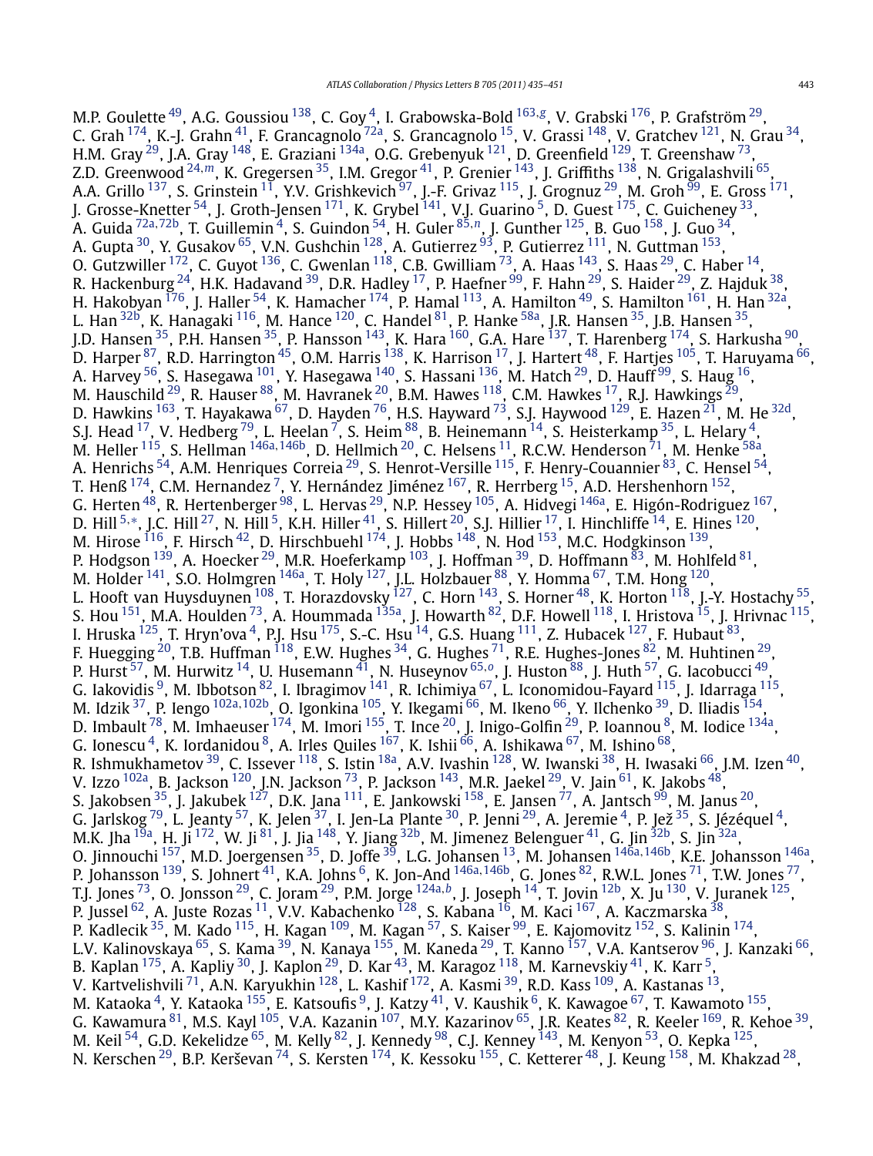M.P. Goulette [49,](#page-14-0) A.G. Goussiou [138,](#page-15-0) C. Goy [4,](#page-14-0) I. Grabowska-Bold [163](#page-16-0)*,[g](#page-16-0)*, V. Grabski [176,](#page-16-0) P. Grafström [29,](#page-14-0) C. Grah <sup>[174](#page-16-0)</sup>, K.-J. Grahn<sup>41</sup>, F. Grancagnolo <sup>72a</sup>, S. Grancagnolo <sup>[15](#page-14-0)</sup>, V. Grassi <sup>148</sup>, V. Gratchev <sup>121</sup>, N. Grau <sup>34</sup>, H.M. Gray  $^{29}$ , J.A. Gray  $^{148}$ , E. Graziani  $^{134}$ , O.G. Grebenyuk  $^{121}$ , D. Greenfield  $^{129}$ , T. Greenshaw  $^{73},$ Z.D. Greenwood [24](#page-14-0)*,[m](#page-16-0)*, K. Gregersen [35,](#page-14-0) I.M. Gregor [41,](#page-14-0) P. Grenier [143,](#page-15-0) J. Griffiths [138,](#page-15-0) N. Grigalashvili [65,](#page-14-0) A.A. Grillo <sup>137</sup>, S. Grinstein <sup>11</sup>, Y.V. Grishkevich <sup>97</sup>, J.-F. Grivaz <sup>115</sup>, J. Grognuz <sup>29</sup>, M. Groh <sup>99</sup>, E. Gross <sup>171</sup>, J. Grosse-Knetter  $^{54}$ , J. Groth-Jensen  $^{171}$ , K. Grybel  $^{141}$ , V.J. Guarino  $^5$ , D. Guest  $^{175}$ , C. Guicheney  $^{33}$ , A. Guida [72a](#page-15-0)*,*[72b,](#page-15-0) T. Guillemin [4,](#page-14-0) S. Guindon [54,](#page-14-0) H. Guler [85](#page-15-0)*,[n](#page-16-0)*, J. Gunther [125](#page-15-0), B. Guo [158,](#page-16-0) J. Guo [34,](#page-14-0) A. Gupta  $^{30}$  $^{30}$  $^{30}$ , Y. Gusakov  $^{65}$ , V.N. Gushchin  $^{128}$ , A. Gutierrez  $^{93}$ , P. Gutierrez  $^{111}$ , N. Guttman  $^{153}$ , O. Gutzwiller  $^{172}$ , C. Guyot  $^{136}$ , C. Gwenlan  $^{118}$ , C.B. Gwilliam  $^{73}$ , A. Haas  $^{143}$ , S. Haas  $^{29}$ , C. Haber  $^{14}$ , R. Hackenburg  $^{24}$ , H.K. Hadavand  $^{39}$ , D.R. Hadley  $^{17}$ , P. Haefner  $^{99}$ , F. Hahn  $^{29}$ , S. Haider  $^{29}$ , Z. Hajduk  $^{38}$ , H. Hakobyan <sup>176</sup>, J. Haller <sup>54</sup>, K. Hamacher <sup>174</sup>, P. Hamal <sup>113</sup>, A. Hamilton <sup>49</sup>, S. Hamilton <sup>161</sup>, H. Han <sup>32a</sup>, L. Han <sup>32b</sup>, K. Hanagaki <sup>116</sup>, M. Hance <sup>120</sup>, C. Handel <sup>81</sup>, P. Hanke <sup>58a</sup>, J.R. Hansen <sup>35</sup>, J.B. Hansen <sup>35</sup>, J.D. Hansen <sup>35</sup>, P.H. Hansen <sup>35</sup>, P. Hansson <sup>[143](#page-15-0)</sup>, K. Hara <sup>160</sup>, G.A. Hare <sup>137</sup>, T. Harenberg <sup>174</sup>, S. Harkusha <sup>90</sup>, D. Harper  $^{87}$  $^{87}$  $^{87}$ , R.D. Harrington  $^{45}$ , O.M. Harris  $^{138}$ , K. Harrison  $^{17}$ , J. Hartert  $^{48}$ , F. Hartjes  $^{105}$ , T. Haruyama  $^{66}$ , A. Harvey <sup>56</sup>, S. Hasegawa <sup>101</sup>, Y. Hasegawa <sup>140</sup>, S. Hassani <sup>136</sup>, M. Hatch <sup>29</sup>, D. Hauff <sup>99</sup>, S. Haug <sup>16</sup>, M. Hauschild  $^{29}$  $^{29}$  $^{29}$ , R. Hauser  $^{88}$ , M. Havranek  $^{20}$ , B.M. Hawes  $^{118}$ , C.M. Hawkes  $^{17}$ , R.J. Hawkings  $^{29}$ , D. Hawkins  $^{163}$  $^{163}$  $^{163}$ , T. Hayakawa  $^{67}$ , D. Hayden  $^{76}$ , H.S. Hayward  $^{73}$ , S.J. Haywood  $^{129}$ , E. Hazen  $^{21}$ , M. He  $^{32\mathrm{d}}$ , S.J. Head  $^{17}$ , V. Hedberg  $^{79}$ , L. Heelan  $^7$ , S. Heim  $^{88}$ , B. Heinemann  $^{14}$ , S. Heisterkamp  $^{35}$ , L. Helary  $^4$ , M. Heller [115,](#page-15-0) S. Hellman [146a](#page-16-0)*,*[146b,](#page-16-0) D. Hellmich [20,](#page-14-0) C. Helsens [11,](#page-14-0) R.C.W. Henderson [71,](#page-15-0) M. Henke [58a,](#page-14-0) A. Henrichs  $^{54}$ , A.M. Henriques Correia  $^{29}$ , S. Henrot-Versille  $^{115}$ , F. Henry-Couannier  $^{83}$ , C. Hensel  $^{54}$ , T. Henß  $^{174}$  $^{174}$  $^{174}$ , C.M. Hernandez  $^7$ , Y. Hernández Jiménez  $^{167}$ , R. Herrberg  $^{15}$ , A.D. Hershenhorn  $^{152}$ , G. Herten  $^{48}$ , R. Hertenberger  $^{98}$ , L. Hervas  $^{29}$ , N.P. Hessey  $^{105}$ , A. Hidvegi  $^{146$ a, E. Higón-Rodriguez  $^{167},$  $^{167},$  $^{167},$ D. Hill <sup>[5](#page-14-0),[∗](#page-16-0)</sup>, J.C. Hill <sup>27</sup>, N. Hill <sup>5</sup>, K.H. Hiller <sup>[41](#page-14-0)</sup>, S. Hillert <sup>20</sup>, S.J. Hillier <sup>17</sup>, I. Hinchliffe <sup>14</sup>, E. Hines <sup>120</sup>, M. Hirose  $^{116}$ , F. Hirsch $^{42}$ , D. Hirschbuehl  $^{174}$ , J. Hobbs  $^{148}$ , N. Hod  $^{153}$ , M.C. Hodgkinson  $^{139}$ , P. Hodgson  $^{139}$ , A. Hoecker  $^{29}$ , M.R. Hoeferkamp  $^{103}$ , J. Hoffman  $^{39}$ , D. Hoffmann  $^{83}$ , M. Hohlfeld  $^{81}$  $^{81}$  $^{81}$ , M. Holder  $^{141}$ , S.O. Holmgren  $^{146}$ , T. Holy  $^{127}$ , J.L. Holzbauer  $^{88}$ , Y. Homma  $^{67}$ , T.M. Hong  $^{120}$ , L. Hooft van Huysduynen  $^{108}$ , T. Horazdovsky  $^{127}$ , C. Horn  $^{143}$ , S. Horner  $^{48}$ , K. Horton  $^{118}$  $^{118}$  $^{118}$ , J.-Y. Hostachy  $^{55}$ , S. Hou  $^{151}$  $^{151}$  $^{151}$ , M.A. Houlden  $^{73}$ , A. Hoummada  $^{135$ a, J. Howarth  $^{82}$ , D.F. Howell  $^{118}$ , I. Hristova  $^{15}$ , J. Hrivnac  $^{115}$ , I. Hruska  $^{125}$ , T. Hryn'ova  $^4$ , P.J. Hsu  $^{175}$ , S.-C. Hsu  $^{14}$ , G.S. Huang  $^{111}$ , Z. Hubacek  $^{127}$ , F. Hubaut  $^{83}$ , F. Huegging <sup>20</sup>, T.B. Huffman  $^{118}$ , E.W. Hughes  $^{34}$ , G. Hughes  $^{71}$ , R.E. Hughes-Jones  $^{82}$ , M. Huhtinen  $^{29}$ , P. Hurst [57,](#page-14-0) M. Hurwitz [14](#page-14-0), U. Husemann [41](#page-14-0), N. Huseynov [65](#page-14-0)*,[o](#page-16-0)*, J. Huston [88,](#page-15-0) J. Huth [57,](#page-14-0) G. Iacobucci [49,](#page-14-0) G. Iakovidis  $^9$ , M. Ibbotson  $^{82}$ , I. Ibragimov  $^{141}$ , R. Ichimiya  $^{67}$ , L. Iconomidou-Fayard  $^{115}$ , J. Idarraga  $^{115}$ , M. Idzik [37,](#page-14-0) P. Iengo [102a](#page-15-0)*,*[102b,](#page-15-0) O. Igonkina [105,](#page-15-0) Y. Ikegami [66,](#page-14-0) M. Ikeno [66,](#page-14-0) Y. Ilchenko [39,](#page-14-0) D. Iliadis [154,](#page-16-0) D. Imbault  $^{78}$ , M. Imhaeuser  $^{174}$ , M. Imori  $^{155}$ , T. Ince  $^{20}$ , J. Inigo-Golfin  $^{29}$ , P. Ioannou  $^8$ , M. Iodice  $^{134}$ , G. Ionescu  $^4$ , K. Iordanidou  $^8$ , A. Irles Quiles  $^{167}$ , K. Ishii  $^{66}$  $^{66}$  $^{66}$ , A. Ishikawa  $^{67}$ , M. Ishino  $^{68}$ , R. Ishmukhametov <sup>39</sup>, C. Issever <sup>118</sup>, S. Istin <sup>18a</sup>, A.V. Ivashin <sup>[128](#page-15-0)</sup>, W. Iwanski <sup>38</sup>, H. Iwasaki <sup>66</sup>, J.M. Izen <sup>[40](#page-14-0)</sup>, V. Izzo  $^{102}$ , B. Jackson  $^{120}$ , J.N. Jackson  $^{73}$  $^{73}$  $^{73}$ , P. Jackson  $^{143}$ , M.R. Jaekel  $^{29}$ , V. Jain  $^{61}$ , K. Jakobs  $^{48},$ S. Jakobsen  $35$ , J. Jakubek  $127$ , D.K. Jana  $111$ , E. Jankowski  $158$ , E. Jansen  $77$ , A. Jantsch  $99$ , M. Janus  $20$ , G. Jarlskog <sup>79</sup>, L. Jeanty <sup>57</sup>, K. Jelen <sup>37</sup>, I. Jen-La Plante <sup>30</sup>, P. Jenni <sup>29</sup>, A. Jeremie <sup>4</sup>, P. Jež <sup>35</sup>, S. Jézéquel <sup>4</sup>, M.K. Jha  $^{19a}$ , H. Ji  $^{172}$ , W. Ji $^{81}$ , J. Jia  $^{148}$ , Y. Jiang  $^{32b}$ , M. Jimenez Belenguer  $^{41}$ , G. Jin  $^{32b}$ , S. Jin  $^{32a}$ , O. Jinnouchi [157,](#page-16-0) M.D. Joergensen [35,](#page-14-0) D. Joffe [39](#page-14-0), L.G. Johansen [13,](#page-14-0) M. Johansen [146a](#page-16-0)*,*[146b,](#page-16-0) K.E. Johansson [146a,](#page-16-0) P. Johansson [139,](#page-15-0) S. Johnert [41,](#page-14-0) K.A. Johns [6,](#page-14-0) K. Jon-And [146a](#page-16-0)*,*[146b,](#page-16-0) G. Jones [82,](#page-15-0) R.W.L. Jones [71,](#page-15-0) T.W. Jones [77,](#page-15-0) T.J. Jones [73,](#page-15-0) O. Jonsson [29](#page-14-0), C. Joram [29,](#page-14-0) P.M. Jorge [124a](#page-15-0)*,[b](#page-16-0)*, J. Joseph [14,](#page-14-0) T. Jovin [12b,](#page-14-0) X. Ju [130,](#page-15-0) V. Juranek [125,](#page-15-0) P. Jussel <sup>62</sup>, A. Juste Rozas <sup>11</sup>, V.V. Kabachenko <sup>128</sup>, S. Kabana <sup>16</sup>, M. Kaci <sup>167</sup>, A. Kaczmarska <sup>38</sup>, P. Kadlecik <sup>35</sup>, M. Kado <sup>115</sup>, H. Kagan <sup>109</sup>, M. Kagan <sup>57</sup>, S. Kaiser <sup>99</sup>, E. Kajomovitz <sup>[152](#page-16-0)</sup>, S. Kalinin <sup>174</sup>, L.V. Kalinovskaya <sup>65</sup>, S. Kama <sup>39</sup>, N. Kanaya <sup>[155](#page-16-0)</sup>, M. Kaneda <sup>29</sup>, T. Kanno <sup>157</sup>, V.A. Kantserov <sup>96</sup>, J. Kanzaki <sup>66</sup>, B. Kaplan  $^{175}$ , A. Kapliy  $^{30}$ , J. Kaplon  $^{29}$ , D. Kar  $^{43}$  $^{43}$  $^{43}$ , M. Karagoz  $^{118}$ , M. Karnevskiy  $^{41}$ , K. Karr  $^5$ , V. Kartvelishvili  $^{71}$  $^{71}$  $^{71}$ , A.N. Karyukhin  $^{128}$ , L. Kashif  $^{172}$ , A. Kasmi  $^{39}$ , R.D. Kass  $^{109}$ , A. Kastanas  $^{13}$ , M. Kataoka<sup>4</sup>, Y. Kataoka <sup>155</sup>, E. Katsoufis <sup>9</sup>, J. Katzy <sup>41</sup>, V. Kaushik <sup>6</sup>, K. Kawagoe <sup>67</sup>, T. Kawamoto <sup>155</sup>, G. Kawamura <sup>[81](#page-15-0)</sup>, M.S. Kayl <sup>105</sup>, V.A. Kazanin <sup>107</sup>, M.Y. Kazarinov <sup>65</sup>, J.R. Keates <sup>82</sup>, R. Keeler <sup>169</sup>, R. Kehoe <sup>39</sup>, M. Keil  $^{54}$ , G.D. Kekelidze  $^{65}$ , M. Kelly  $^{82}$ , J. Kennedy  $^{98}$ , C.J. Kenney  $^{143}$ , M. Kenyon  $^{53}$ , O. Kepka  $^{125}$ , N. Kerschen  $^{29}$ , B.P. Kerševan  $^{74}$ , S. Kersten  $^{174}$ , K. Kessoku  $^{155}$ , C. Ketterer  $^{48}$ , J. Keung  $^{158}$ , M. Khakzad  $^{28}$ ,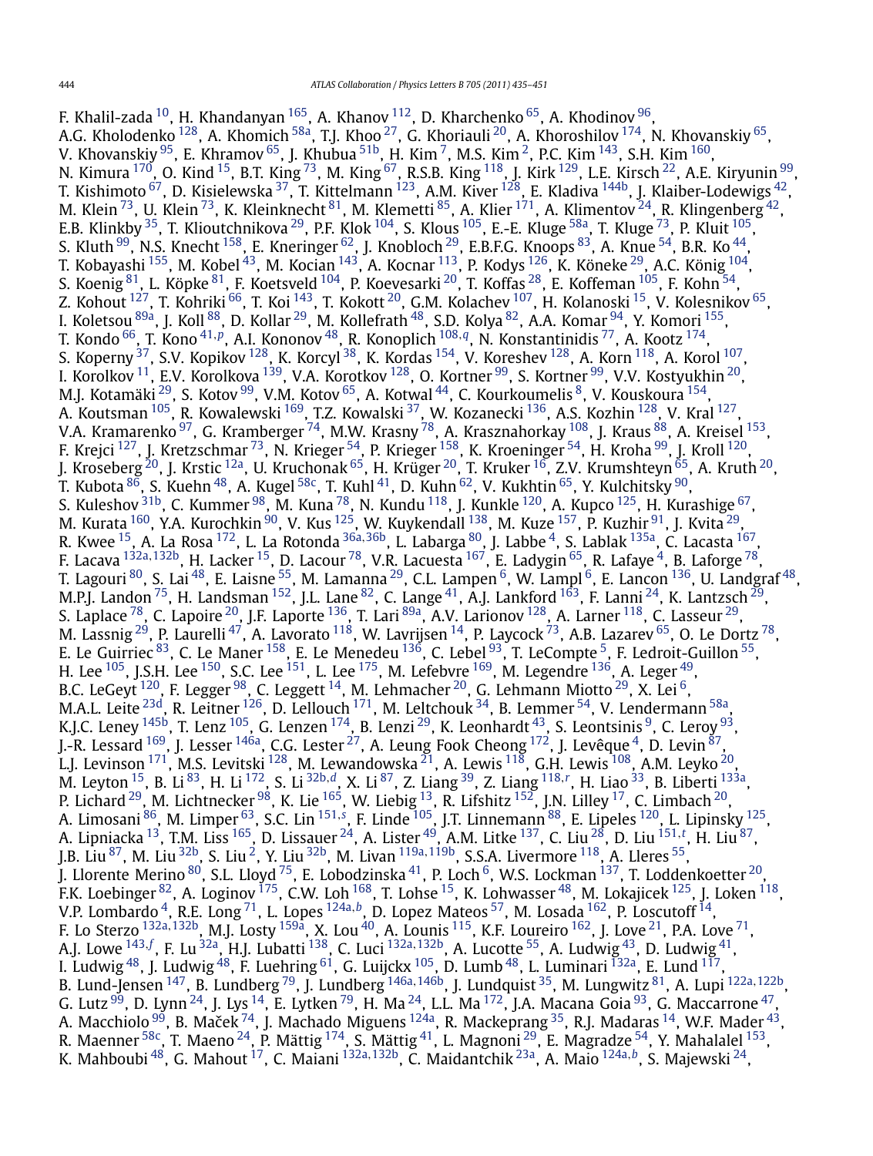F. Khalil-zada  $^{10}$ , H. Khandanyan  $^{165}$ , A. Khanov  $^{112}$ , D. Kharchenko  $^{65}$ , A. Khodinov  $^{96},$ A.G. Kholodenko  $^{128}$ , A. Khomich  $^{58a}$ , T.J. Khoo  $^{27}$ , G. Khoriauli  $^{20}$ , A. Khoroshilov  $^{174}$ , N. Khovanskiy  $^{65},$ V. Khovanskiy  $^{95}$ , E. Khramov  $^{65}$ , J. Khubua  $^{51\mathrm{b}}$ , H. Kim  $^7$ , M.S. Kim  $^2$ , P.C. Kim  $^{143}$ , S.H. Kim  $^{160}$ , N. Kimura  $^{170}$ , O. Kind  $^{15}$ , B.T. King  $^{73}$ , M. King  $^{67}$ , R.S.B. King  $^{118}$ , J. Kirk  $^{129}$ , L.E. Kirsch  $^{22}$  $^{22}$  $^{22}$ , A.E. Kiryunin  $^{99}$ , T. Kishimoto <sup>67</sup>, D. Kisielewska <sup>37</sup>, T. Kittelmann <sup>123</sup>, A.M. Kiver <sup>128</sup>, E. Kladiva <sup>144b</sup>, J. Klaiber-Lodewigs <sup>42</sup>, M. Klein  $^{73}$ , U. Klein  $^{73}$ , K. Kleinknecht  $^{81}$ , M. Klemetti  $^{85}$ , A. Klier  $^{171}$ , A. Klimentov  $^{24}$  $^{24}$  $^{24}$ , R. Klingenberg  $^{42}$ , E.B. Klinkby  $^{35}$ , T. Klioutchnikova  $^{29}$ , P.F. Klok  $^{104}$ , S. Klous  $^{105}$ , E.-E. Kluge  $^{58\text{a}}$ , T. Kluge  $^{73}$ , P. Kluit  $^{105}$ , S. Kluth  $^{99}$  $^{99}$  $^{99}$ , N.S. Knecht  $^{158}$ , E. Kneringer  $^{62}$ , J. Knobloch  $^{29}$ , E.B.F.G. Knoops  $^{83}$ , A. Knue  $^{54}$ , B.R. Ko  $^{44}$ , T. Kobayashi  $^{155}$ , M. Kobel  $^{43}$ , M. Kocian  $^{143}$  $^{143}$  $^{143}$ , A. Kocnar  $^{113}$  $^{113}$  $^{113}$ , P. Kodys  $^{126}$ , K. Köneke  $^{29}$ , A.C. König  $^{104}$ , S. Koenig $^{81}$ , L. Köpke $^{81}$ , F. Koetsveld  $^{104}$ , P. Koevesarki  $^{20}$ , T. Koffas  $^{28}$ , E. Koffeman  $^{105}$ , F. Kohn  $^{54}$ , Z. Kohout  $^{127}$ , T. Kohriki  $^{66}$ , T. Koi  $^{143}$ , T. Kokott  $^{20}$ , G.M. Kolachev  $^{107}$ , H. Kolanoski  $^{15}$ , V. Kolesnikov  $^{65}$ , I. Koletsou <sup>89a</sup>, J. Koll <sup>88</sup>, D. Kollar <sup>29</sup>, M. Kollefrath <sup>48</sup>, S.D. Kolya <sup>[82](#page-15-0)</sup>, A.A. Komar <sup>94</sup>, Y. Komori <sup>155</sup>, T. Kondo [66,](#page-14-0) T. Kono [41](#page-14-0)*,[p](#page-16-0)*, A.I. Kononov [48,](#page-14-0) R. Konoplich [108](#page-15-0)*,[q](#page-16-0)*, N. Konstantinidis [77,](#page-15-0) A. Kootz [174](#page-16-0), S. Koperny  $^{37}$ , S.V. Kopikov  $^{128}$ , K. Korcyl  $^{38}$  $^{38}$  $^{38}$ , K. Kordas  $^{154}$  $^{154}$  $^{154}$ , V. Koreshev  $^{128}$ , A. Korn  $^{118}$ , A. Korol  $^{107},$ I. Korolkov  $^{11}$ , E.V. Korolkova  $^{139}$  $^{139}$  $^{139}$ , V.A. Korotkov  $^{128}$ , O. Kortner  $^{99}$ , S. Kortner  $^{99}$ , V.V. Kostyukhin  $^{20}$ , M.J. Kotamäki <sup>29</sup>, S. Kotov <sup>99</sup>, V.M. Kotov <sup>65</sup>, A. Kotwal <sup>44</sup>, C. Kourkoumelis <sup>8</sup>, V. Kouskoura <sup>154</sup>, A. Koutsman <sup>105</sup>, R. Kowalewski <sup>169</sup>, T.Z. Kowalski <sup>37</sup>, W. Kozanecki <sup>136</sup>, A.S. Kozhin <sup>128</sup>, V. Kral <sup>127</sup>, V.A. Kramarenko  $^{97}$ , G. Kramberger  $^{74}$ , M.W. Krasny  $^{78}$ , A. Krasznahorkay  $^{108}$ , J. Kraus  $^{88}$ , A. Kreisel  $^{153}$ , F. Krejci <sup>127</sup>, J. Kretzschmar <sup>73</sup>, N. Krieger <sup>54</sup>, P. Krieger <sup>[158](#page-16-0)</sup>, K. Kroeninger <sup>54</sup>, H. Kroha <sup>99</sup>, J. Kroll <sup>[120](#page-15-0)</sup>, J. Kroseberg <sup>20</sup>, J. Krstic <sup>12a</sup>, U. Kruchonak <sup>[65](#page-14-0)</sup>, H. Krüger <sup>20</sup>, T. Kruker <sup>16</sup>, Z.V. Krumshteyn <sup>65</sup>, A. Kruth <sup>20</sup>, T. Kubota  $^{86}$ , S. Kuehn $^{48}$ , A. Kugel $^{58 \rm c}$ , T. Kuhl $^{41}$ , D. Kuhn $^{62}$ , V. Kukhtin $^{65}$ , Y. Kulchitsky  $^{90}$ , S. Kuleshov $^{\rm 31b}$ , C. Kummer $^{\rm 98}$ , M. Kuna $^{\rm 78}$ , N. Kundu $^{\rm 118}$ , J. Kunkle $^{\rm 120}$ , A. Kupco $^{\rm 125}$ , H. Kurashige $^{\rm 67}$ , M. Kurata  $^{160}$ , Y.A. Kurochkin  $^{90}$ , V. Kus  $^{125}$ , W. Kuykendall  $^{138}$ , M. Kuze  $^{157}$ , P. Kuzhir  $^{91}$ , J. Kvita  $^{29}$ , R. Kwee [15,](#page-14-0) A. La Rosa [172,](#page-16-0) L. La Rotonda [36a](#page-14-0)*,*[36b,](#page-14-0) L. Labarga [80](#page-15-0), J. Labbe [4,](#page-14-0) S. Lablak [135a,](#page-15-0) C. Lacasta [167,](#page-16-0) F. Lacava [132a](#page-15-0)*,*[132b,](#page-15-0) H. Lacker [15,](#page-14-0) D. Lacour [78,](#page-15-0) V.R. Lacuesta [167,](#page-16-0) E. Ladygin [65,](#page-14-0) R. Lafaye [4,](#page-14-0) B. Laforge [78,](#page-15-0) T. Lagouri  $^{80}$  $^{80}$  $^{80}$ , S. Lai  $^{48}$ , E. Laisne  $^{55}$ , M. Lamanna  $^{29}$ , C.L. Lampen  $^6$ , W. Lampl  $^6$ , E. Lancon  $^{136}$ , U. Landgraf  $^{48}$ , M.P.J. Landon  $^{75}$ , H. Landsman  $^{152}$ , J.L. Lane  $^{82}$ , C. Lange  $^{41}$ , A.J. Lankford  $^{163}$ , F. Lanni  $^{24}$ , K. Lantzsch  $^{29}$ , S. Laplace <sup>78</sup>, C. Lapoire <sup>20</sup>, J.F. Laporte <sup>136</sup>, T. Lari <sup>89a</sup>, A.V. Larionov <sup>128</sup>, A. Larner <sup>[118](#page-15-0)</sup>, C. Lasseur <sup>29</sup>, M. Lassnig  $^{29}$ , P. Laurelli  $^{47}$ , A. Lavorato  $^{118}$ , W. Lavrijsen  $^{14}$ , P. Laycock  $^{73}$ , A.B. Lazarev  $^{65}$ , O. Le Dortz  $^{78}$ , E. Le Guirriec  $^{83}$ , C. Le Maner  $^{158}$ , E. Le Menedeu  $^{136}$ , C. Lebel  $^{93}$ , T. LeCompte  $^5$ , F. Ledroit-Guillon  $^{55}$ , H. Lee  $^{105}$ , J.S.H. Lee  $^{150}$ , S.C. Lee  $^{151}$ , L. Lee  $^{175}$ , M. Lefebvre  $^{169}$ , M. Legendre  $^{136}$ , A. Leger  $^{49}$ , B.C. LeGeyt  $^{120}$  $^{120}$  $^{120}$ , F. Legger  $^{98}$ , C. Leggett  $^{14}$ , M. Lehmacher  $^{20}$ , G. Lehmann Miotto  $^{29}$ , X. Lei  $^6$ , M.A.L. Leite  $^{23\text{d}}$ , R. Leitner  $^{126}$ , D. Lellouch  $^{171}$ , M. Leltchouk  $^{34}$ , B. Lemmer  $^{54}$ , V. Lendermann  $^{58\text{a}}$ , K.J.C. Leney  $^{145\text{b}}$ , T. Lenz  $^{105}$ , G. Lenzen  $^{174}$ , B. Lenzi  $^{29}$  $^{29}$  $^{29}$ , K. Leonhardt  $^{43}$ , S. Leontsinis  $^9$ , C. Leroy  $^{93}$ , J.-R. Lessard  $^{169}$ , J. Lesser  $^{146$ a, C.G. Lester  $^{27}$ , A. Leung Fook Cheong  $^{172}$ , J. Levêque  $^4$ , D. Levin  $^{87}$ , L.J. Levinson  $^{171}$ , M.S. Levitski  $^{128}$ , M. Lewandowska  $^{21}$ , A. Lewis  $^{118}$ , G.H. Lewis  $^{108}$ , A.M. Leyko  $^{20}$ , M. Leyton [15,](#page-14-0) B. Li [83,](#page-15-0) H. Li [172,](#page-16-0) S. Li [32b](#page-14-0)*,[d](#page-16-0)*, X. Li [87,](#page-15-0) Z. Liang [39,](#page-14-0) Z. Liang [118](#page-15-0)*,[r](#page-16-0)* , H. Liao [33](#page-14-0), B. Liberti [133a,](#page-15-0) P. Lichard <sup>29</sup>, M. Lichtnecker  $^{98}$  $^{98}$  $^{98}$ , K. Lie  $^{165}$ , W. Liebig  $^{13}$ , R. Lifshitz  $^{152}$ , J.N. Lilley  $^{17}$ , C. Limbach  $^{20}$ , A. Limosani <sup>86</sup>, M. Limper <sup>63</sup>, S.C. Lin <sup>[151](#page-16-0),[s](#page-16-0)</sup>, F. Linde <sup>105</sup>, J.T. Linnemann <sup>88</sup>, E. Lipeles <sup>120</sup>, L. Lipinsky <sup>125</sup>, A. Lipniacka <sup>[13](#page-14-0)</sup>, T.M. Liss <sup>165</sup>, D. Lissauer <sup>24</sup>, A. Lister <sup>49</sup>, A.M. Litke <sup>137</sup>, C. Liu <sup>28</sup>, D. Liu <sup>[151](#page-16-0),*[t](#page-16-0)*</sup>, H. Liu <sup>87</sup>, J.B. Liu [87,](#page-15-0) M. Liu [32b,](#page-14-0) S. Liu [2,](#page-14-0) Y. Liu [32b](#page-14-0), M. Livan [119a](#page-15-0)*,*[119b,](#page-15-0) S.S.A. Livermore [118,](#page-15-0) A. Lleres [55,](#page-14-0) J. Llorente Merino  $^{80}$ , S.L. Lloyd  $^{75}$ , E. Lobodzinska  $^{41}$  $^{41}$  $^{41}$ , P. Loch  $^6$ , W.S. Lockman  $^{137}$ , T. Loddenkoetter  $^{20}$ , F.K. Loebinger  $^{82}$ , A. Loginov  $^{175}$  $^{175}$  $^{175}$ , C.W. Loh  $^{168}$ , T. Lohse  $^{15}$ , K. Lohwasser  $^{48}$ , M. Lokajicek  $^{125}$ , J. Loken  $^{118}$ , V.P. Lombardo [4,](#page-14-0) R.E. Long [71,](#page-15-0) L. Lopes [124a](#page-15-0)*,[b](#page-16-0)*, D. Lopez Mateos [57,](#page-14-0) M. Losada [162,](#page-16-0) P. Loscutoff [14,](#page-14-0) F. Lo Sterzo [132a](#page-15-0)*,*[132b,](#page-15-0) M.J. Losty [159a,](#page-16-0) X. Lou [40,](#page-14-0) A. Lounis [115,](#page-15-0) K.F. Loureiro [162,](#page-16-0) J. Love [21,](#page-14-0) P.A. Love [71,](#page-15-0) A.J. Lowe [143](#page-15-0)*,[f](#page-16-0)* , F. Lu [32a,](#page-14-0) H.J. Lubatti [138,](#page-15-0) C. Luci [132a](#page-15-0)*,*[132b](#page-15-0), A. Lucotte [55,](#page-14-0) A. Ludwig [43,](#page-14-0) D. Ludwig [41,](#page-14-0) I. Ludwig  $^{48}$ , J. Ludwig  $^{48}$ , F. Luehring  $^{61}$ , G. Luijckx  $^{105}$ , D. Lumb  $^{48}$ , L. Luminari  $^{132}$ , E. Lund  $^{117}$ , B. Lund-Jensen [147,](#page-16-0) B. Lundberg [79,](#page-15-0) J. Lundberg [146a](#page-16-0)*,*[146b,](#page-16-0) J. Lundquist [35,](#page-14-0) M. Lungwitz [81,](#page-15-0) A. Lupi [122a](#page-15-0)*,*[122b,](#page-15-0) G. Lutz  $^{99}$  $^{99}$  $^{99}$ , D. Lynn  $^{24}$ , J. Lys  $^{14}$ , E. Lytken  $^{79}$  $^{79}$  $^{79}$ , H. Ma  $^{24}$ , L.L. Ma  $^{172}$  $^{172}$  $^{172}$ , J.A. Macana Goia  $^{93}$  $^{93}$  $^{93}$ , G. Maccarrone  $^{47}$ , A. Macchiolo <sup>[99](#page-15-0)</sup>, B. Maček <sup>74</sup>, J. Machado Miguens <sup>[124a](#page-15-0)</sup>, R. Mackeprang <sup>35</sup>, R.J. Madaras <sup>14</sup>, W.F. Mader <sup>43</sup>, R. Maenner  $^{58\rm c}$ , T. Maeno  $^{24}$ , P. Mättig  $^{174}$ , S. Mättig  $^{41}$ , L. Magnoni  $^{29}$ , E. Magradze  $^{54}$ , Y. Mahalalel  $^{153}$ , K. Mahboubi [48,](#page-14-0) G. Mahout [17,](#page-14-0) C. Maiani [132a](#page-15-0)*,*[132b,](#page-15-0) C. Maidantchik [23a,](#page-14-0) A. Maio [124a](#page-15-0)*,[b](#page-16-0)*, S. Majewski [24,](#page-14-0)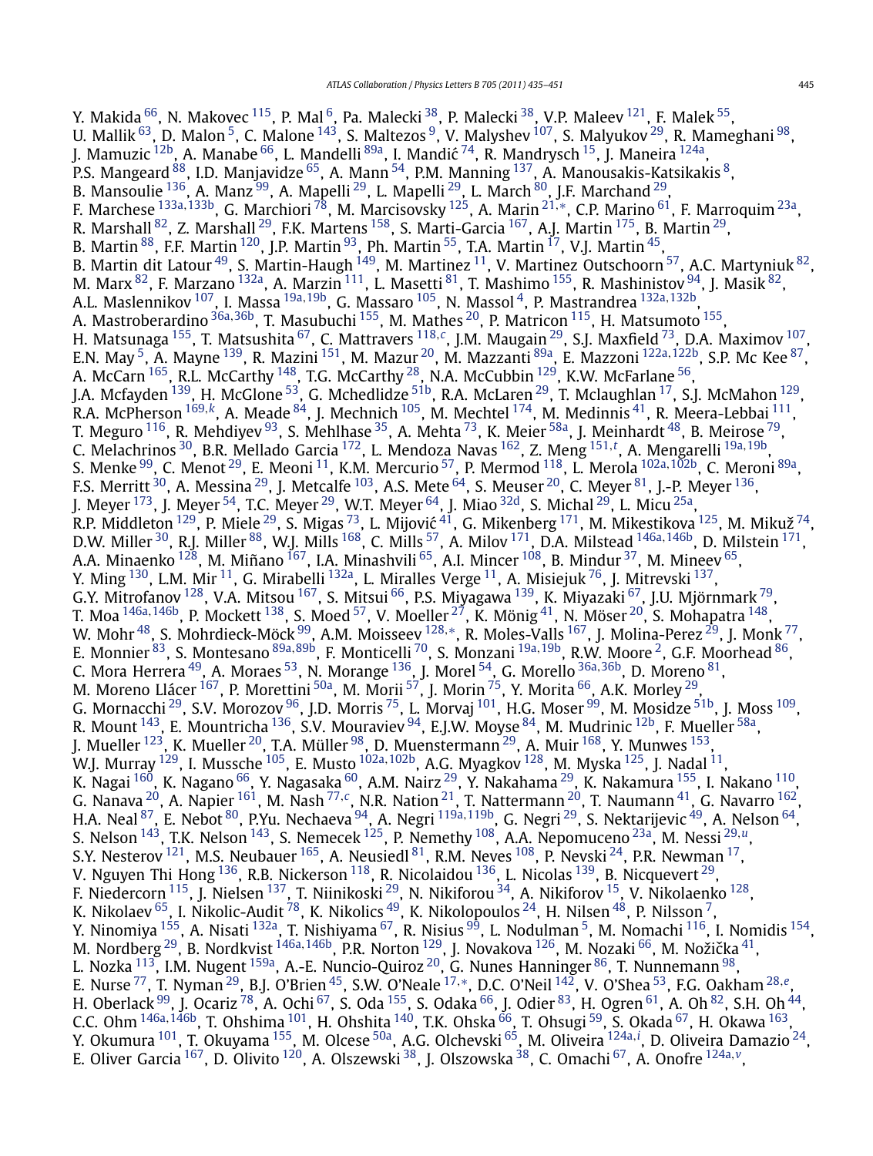Y. Makida  $^{66}$ , N. Makovec  $^{115}$ , P. Mal  $^6$ , Pa. Malecki  $^{38}$ , P. Malecki  $^{38}$ , V.P. Maleev  $^{121}$ , F. Malek  $^{55}$ , U. Mallik  $^{63}$ , D. Malon  $^5$ , C. Malone  $^{143}$ , S. Maltezos  $^9$ , V. Malyshev  $^{107}$ , S. Malyukov  $^{29}$ , R. Mameghani  $^{98}$ , J. Mamuzic <sup>12b</sup>, A. Manabe <sup>[66](#page-14-0)</sup>, L. Mandelli <sup>89a</sup>, I. Mandić <sup>74</sup>, R. Mandrysch <sup>15</sup>, J. Maneira <sup>124a</sup>, P.S. Mangeard <sup>88</sup>, I.D. Manjavidze <sup>65</sup>, A. Mann <sup>[54](#page-14-0)</sup>, P.M. Manning <sup>137</sup>, A. Manousakis-Katsikakis <sup>8</sup>, B. Mansoulie <sup>136</sup>, A. Manz <sup>99</sup>, A. Mapelli <sup>29</sup>, L. Mapelli <sup>29</sup>, L. March <sup>80</sup>, J.F. Marchand <sup>29</sup>, F. Marchese [133a](#page-15-0)*,*[133b,](#page-15-0) G. Marchiori [78,](#page-15-0) M. Marcisovsky [125,](#page-15-0) A. Marin [21](#page-14-0)*,*[∗](#page-16-0), C.P. Marino [61,](#page-14-0) F. Marroquim [23a,](#page-14-0) R. Marshall  $^{82}$ , Z. Marshall  $^{29}$ , F.K. Martens  $^{158}$ , S. Marti-Garcia  $^{167}$ , A.J. Martin  $^{175}$ , B. Martin  $^{29}$ , B. Martin [88,](#page-15-0) F.F. Martin [120,](#page-15-0) J.P. Martin [93,](#page-15-0) Ph. Martin [55,](#page-14-0) T.A. Martin [17](#page-14-0), V.J. Martin [45,](#page-14-0) B. Martin dit Latour  $^{49}$ , S. Martin-Haugh  $^{149}$ , M. Martinez  $^{11}$ , V. Martinez Outschoorn  $^{57}$ , A.C. Martyniuk  $^{82}$ , M. Marx <sup>[82](#page-15-0)</sup>, F. Marzano <sup>132a</sup>, A. Marzin <sup>111</sup>, L. Masetti <sup>81</sup>, T. Mashimo <sup>155</sup>, R. Mashinistov <sup>94</sup>, J. Masik <sup>82</sup>, A.L. Maslennikov [107,](#page-15-0) I. Massa [19a](#page-14-0)*,*[19b,](#page-14-0) G. Massaro [105,](#page-15-0) N. Massol [4,](#page-14-0) P. Mastrandrea [132a](#page-15-0)*,*[132b,](#page-15-0) A. Mastroberardino [36a](#page-14-0)*,*[36b,](#page-14-0) T. Masubuchi [155](#page-16-0), M. Mathes [20,](#page-14-0) P. Matricon [115,](#page-15-0) H. Matsumoto [155,](#page-16-0) H. Matsunaga [155,](#page-16-0) T. Matsushita [67,](#page-14-0) C. Mattravers [118](#page-15-0)*,[c](#page-16-0)*, J.M. Maugain [29,](#page-14-0) S.J. Maxfield [73,](#page-15-0) D.A. Maximov [107,](#page-15-0) E.N. May [5,](#page-14-0) A. Mayne [139,](#page-15-0) R. Mazini [151,](#page-16-0) M. Mazur [20,](#page-14-0) M. Mazzanti [89a,](#page-15-0) E. Mazzoni [122a](#page-15-0)*,*[122b](#page-15-0), S.P. Mc Kee [87,](#page-15-0) A. McCarn  $^{165}$ , R.L. McCarthy  $^{148}$ , T.G. McCarthy  $^{28}$ , N.A. McCubbin  $^{129}$ , K.W. McFarlane  $^{56}$ , J.A. Mcfayden <sup>139</sup>, H. McGlone <sup>53</sup>, G. Mchedlidze <sup>51b</sup>, R.A. McLaren <sup>[29](#page-14-0)</sup>, T. Mclaughlan <sup>17</sup>, S.J. McMahon <sup>[129](#page-15-0)</sup>, R.A. McPherson <sup>[169](#page-16-0),[k](#page-16-0)</sup>, A. Meade <sup>84</sup>, J. Mechnich <sup>105</sup>, M. Mechtel <sup>174</sup>, M. Medinnis <sup>41</sup>, R. Meera-Lebbai <sup>111</sup>, T. Meguro  $^{116}$ , R. Mehdiyev  $^{93}$  $^{93}$  $^{93}$ , S. Mehlhase  $^{35}$ , A. Mehta  $^{73}$ , K. Meier  $^{58\mathrm{a}}$ , J. Meinhardt  $^{48}$ , B. Meirose  $^{79}$ , C. Melachrinos [30,](#page-14-0) B.R. Mellado Garcia [172,](#page-16-0) L. Mendoza Navas [162,](#page-16-0) Z. Meng [151](#page-16-0)*,[t](#page-16-0)* , A. Mengarelli [19a](#page-14-0)*,*[19b,](#page-14-0) S. Menke [99,](#page-15-0) C. Menot [29,](#page-14-0) E. Meoni [11,](#page-14-0) K.M. Mercurio [57,](#page-14-0) P. Mermod [118,](#page-15-0) L. Merola [102a](#page-15-0)*,*[102b,](#page-15-0) C. Meroni [89a](#page-15-0), F.S. Merritt<sup>30</sup>, A. Messina <sup>29</sup>, J. Metcalfe <sup>103</sup>, A.S. Mete <sup>64</sup>, S. Meuser <sup>20</sup>, C. Meyer <sup>81</sup>, J.-P. Meyer <sup>[136](#page-15-0)</sup>, J. Meyer  $^{173}$ , J. Meyer  $^{54}$ , T.C. Meyer  $^{29}$ , W.T. Meyer  $^{64}$ , J. Miao  $^{32{\rm d}}$ , S. Michal  $^{29}$ , L. Micu  $^{25{\rm a}}$ , R.P. Middleton  $^{129}$ , P. Miele  $^{29}$ , S. Migas  $^{73}$ , L. Mijović  $^{41}$ , G. Mikenberg  $^{171}$ , M. Mikestikova  $^{125}$ , M. Mikuž  $^{74}$ , D.W. Miller [30,](#page-14-0) R.J. Miller [88,](#page-15-0) W.J. Mills [168,](#page-16-0) C. Mills [57,](#page-14-0) A. Milov [171](#page-16-0), D.A. Milstead [146a](#page-16-0)*,*[146b,](#page-16-0) D. Milstein [171,](#page-16-0) A.A. Minaenko <sup>128</sup>, M. Miñano <sup>[167](#page-16-0)</sup>, I.A. Minashvili <sup>65</sup>, A.I. Mincer <sup>108</sup>, B. Mindur <sup>[37](#page-14-0)</sup>, M. Mineev <sup>65</sup>, Y. Ming <sup>130</sup>, L.M. Mir <sup>11</sup>, G. Mirabelli <sup>[132a](#page-15-0)</sup>, L. Miralles Verge <sup>11</sup>, A. Misiejuk <sup>76</sup>, J. Mitrevski <sup>137</sup>, G.Y. Mitrofanov <sup>128</sup>, V.A. Mitsou <sup>167</sup>, S. Mitsui <sup>66</sup>, P.S. Miyagawa <sup>139</sup>, K. Miyazaki <sup>67</sup>, J.U. Mjörnmark <sup>79</sup>, T. Moa [146a](#page-16-0)*,*[146b,](#page-16-0) P. Mockett [138,](#page-15-0) S. Moed [57](#page-14-0), V. Moeller [27](#page-14-0), K. Mönig [41,](#page-14-0) N. Möser [20](#page-14-0), S. Mohapatra [148,](#page-16-0) W. Mohr [48,](#page-14-0) S. Mohrdieck-Möck [99,](#page-15-0) A.M. Moisseev [128](#page-15-0)*,*[∗](#page-16-0), R. Moles-Valls [167,](#page-16-0) J. Molina-Perez [29,](#page-14-0) J. Monk [77,](#page-15-0) E. Monnier [83,](#page-15-0) S. Montesano [89a](#page-15-0)*,*[89b,](#page-15-0) F. Monticelli [70,](#page-15-0) S. Monzani [19a](#page-14-0)*,*[19b,](#page-14-0) R.W. Moore [2,](#page-14-0) G.F. Moorhead [86,](#page-15-0) C. Mora Herrera [49,](#page-14-0) A. Moraes [53,](#page-14-0) N. Morange [136,](#page-15-0) J. Morel [54](#page-14-0), G. Morello [36a](#page-14-0)*,*[36b,](#page-14-0) D. Moreno [81,](#page-15-0) M. Moreno Llácer <sup>167</sup>, P. Morettini <sup>50a</sup>, M. Morii <sup>57</sup>, J. Morin <sup>75</sup>, Y. Morita <sup>66</sup>, A.K. Morley <sup>29</sup>, G. Mornacchi <sup>29</sup>, S.V. Morozov <sup>96</sup>, J.D. Morris <sup>[75](#page-15-0)</sup>, L. Morvaj <sup>101</sup>, H.G. Moser <sup>99</sup>, M. Mosidze <sup>51b</sup>, J. Moss <sup>109</sup>, R. Mount  $^{143}$ , E. Mountricha  $^{136}$ , S.V. Mouraviev  $^{94}$ , E.J.W. Moyse  $^{84}$ , M. Mudrinic  $^{12\mathrm{b}}$ , F. Mueller  $^{58\mathrm{a}}$ , J. Mueller  $^{123}$ , K. Mueller  $^{20}$ , T.A. Müller  $^{98}$ , D. Muenstermann  $^{29}$ , A. Muir  $^{168}$ , Y. Munwes  $^{153}$  $^{153}$  $^{153}$ , W.J. Murray [129,](#page-15-0) I. Mussche [105](#page-15-0), E. Musto [102a](#page-15-0)*,*[102b,](#page-15-0) A.G. Myagkov [128,](#page-15-0) M. Myska [125,](#page-15-0) J. Nadal [11,](#page-14-0) K. Nagai <sup>1[60](#page-14-0)</sup>, K. Nagano <sup>66</sup>, Y. Nagasaka <sup>60</sup>, A.M. Nairz <sup>29</sup>, Y. Nakahama <sup>29</sup>, K. Nakamura <sup>155</sup>, I. Nakano <sup>110</sup>, G. Nanava [20,](#page-14-0) A. Napier [161,](#page-16-0) M. Nash [77](#page-15-0)*,[c](#page-16-0)*, N.R. Nation [21](#page-14-0), T. Nattermann [20,](#page-14-0) T. Naumann [41,](#page-14-0) G. Navarro [162,](#page-16-0) H.A. Neal [87,](#page-15-0) E. Nebot [80,](#page-15-0) P.Yu. Nechaeva [94,](#page-15-0) A. Negri [119a](#page-15-0)*,*[119b,](#page-15-0) G. Negri [29,](#page-14-0) S. Nektarijevic [49,](#page-14-0) A. Nelson [64,](#page-14-0) S. Nelson [143,](#page-15-0) T.K. Nelson [143,](#page-15-0) S. Nemecek [125,](#page-15-0) P. Nemethy [108,](#page-15-0) A.A. Nepomuceno [23a,](#page-14-0) M. Nessi [29](#page-14-0)*,[u](#page-16-0)*, S.Y. Nesterov  $^{121}$ , M.S. Neubauer  $^{165}$ , A. Neusiedl  $^{81}$ , R.M. Neves  $^{108}$ , P. Nevski  $^{24}$ , P.R. Newman  $^{17}$  $^{17}$  $^{17}$ , V. Nguyen Thi Hong  $^{136}$ , R.B. Nickerson  $^{118}$ , R. Nicolaidou  $^{136}$ , L. Nicolas  $^{139}$ , B. Nicquevert  $^{29}$ , F. Niedercorn <sup>115</sup>, J. Nielsen <sup>[137](#page-15-0)</sup>, T. Niinikoski <sup>29</sup>, N. Nikiforou <sup>34</sup>, A. Nikiforov <sup>15</sup>, V. Nikolaenko <sup>128</sup>, K. Nikolaev  $^{65}$  $^{65}$  $^{65}$ , I. Nikolic-Audit  $^{78}$ , K. Nikolics  $^{49}$ , K. Nikolopoulos  $^{24}$  $^{24}$  $^{24}$ , H. Nilsen  $^{48}$  $^{48}$  $^{48}$ , P. Nilsson  $^7$ , Y. Ninomiya <sup>155</sup>, A. Nisati <sup>132a</sup>, T. Nishiyama <sup>67</sup>, R. Nisius <sup>99</sup>, L. Nodulman <sup>5</sup>, M. Nomachi <sup>[116](#page-15-0)</sup>, I. Nomidis <sup>154</sup>, M. Nordberg <sup>29</sup>, B. Nordkvist <sup>[146a](#page-16-0), 146b</sup>, P.R. Norton <sup>129</sup>, J. Novakova <sup>126</sup>, M. Nozaki <sup>[66](#page-14-0)</sup>, M. Nožička <sup>41</sup>, L. Nozka <sup>113</sup>, I.M. Nugent <sup>159a</sup>, A.-E. Nuncio-Quiroz <sup>20</sup>, G. Nunes Hanninger <sup>[86](#page-15-0)</sup>, T. Nunnemann <sup>98</sup>, E. Nurse [77](#page-15-0), T. Nyman [29,](#page-14-0) B.J. O'Brien [45,](#page-14-0) S.W. O'Neale [17](#page-14-0)*,*[∗](#page-16-0), D.C. O'Neil [142](#page-15-0), V. O'Shea [53,](#page-14-0) F.G. Oakham [28](#page-14-0)*,[e](#page-16-0)*, H. Oberlack  $^{99}$ , J. Ocariz  $^{78}$ , A. Ochi  $^{67}$ , S. Oda  $^{155}$ , S. Odaka  $^{66}$  $^{66}$  $^{66}$ , J. Odier  $^{83}$ , H. Ogren  $^{61}$ , A. Oh  $^{82}$ , S.H. Oh  $^{44}$ , C.C. Ohm [146a](#page-16-0)*,*[146b,](#page-16-0) T. Ohshima [101,](#page-15-0) H. Ohshita [140,](#page-15-0) T.K. Ohska [66](#page-14-0), T. Ohsugi [59,](#page-14-0) S. Okada [67,](#page-14-0) H. Okawa [163,](#page-16-0) Y. Okumura [101,](#page-15-0) T. Okuyama [155,](#page-16-0) M. Olcese [50a,](#page-14-0) A.G. Olchevski [65,](#page-14-0) M. Oliveira [124a](#page-15-0)*,[i](#page-16-0)* , D. Oliveira Damazio [24,](#page-14-0) E. Oliver Garcia [167,](#page-16-0) D. Olivito [120,](#page-15-0) A. Olszewski [38,](#page-14-0) J. Olszowska [38,](#page-14-0) C. Omachi [67,](#page-14-0) A. Onofre [124a](#page-15-0)*,[v](#page-16-0)*,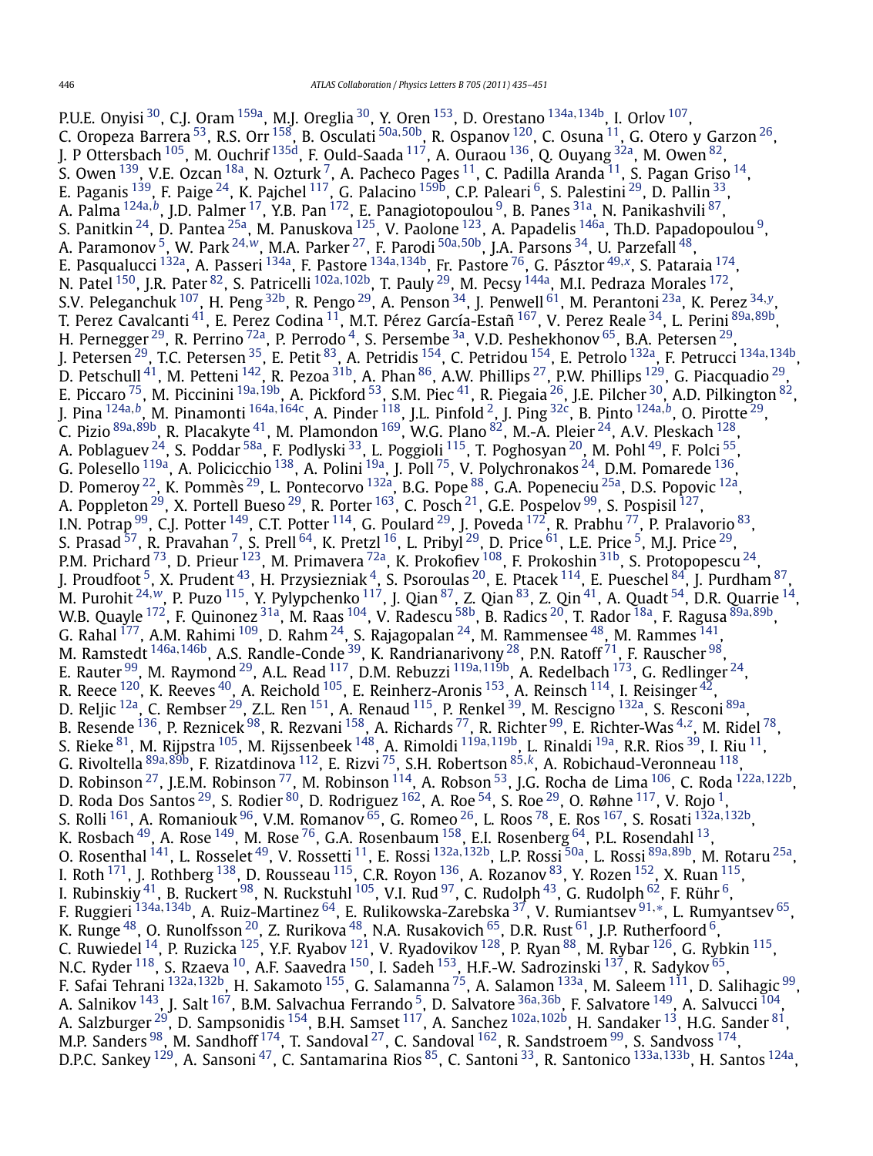P.U.E. Onyisi [30,](#page-14-0) C.J. Oram [159a,](#page-16-0) M.J. Oreglia [30,](#page-14-0) Y. Oren [153,](#page-16-0) D. Orestano [134a](#page-15-0)*,*[134b,](#page-15-0) I. Orlov [107,](#page-15-0) C. Oropeza Barrera [53,](#page-14-0) R.S. Orr [158,](#page-16-0) B. Osculati [50a](#page-14-0)*,*[50b,](#page-14-0) R. Ospanov [120,](#page-15-0) C. Osuna [11,](#page-14-0) G. Otero y Garzon [26](#page-14-0), J. P Ottersbach <sup>105</sup>, M. Ouchrif <sup>135d</sup>, F. Ould-Saada <sup>117</sup>, A. Ouraou <sup>[136](#page-15-0)</sup>, Q. Ouyang <sup>32a</sup>, M. Owen <sup>82</sup>, S. Owen  $^{139}$ , V.E. Ozcan  $^{18a}$ , N. Ozturk  $^7$ , A. Pacheco Pages  $^{11}$ , C. Padilla Aranda  $^{11}$ , S. Pagan Griso  $^{14}$ , E. Paganis  $^{139}$  $^{139}$  $^{139}$ , F. Paige  $^{24}$ , K. Pajchel  $^{117}$ , G. Palacino  $^{159b}$ , C.P. Paleari  $^6$ , S. Palestini  $^{29}$ , D. Pallin  $^{33}$ , A. Palma [124a](#page-15-0)*,[b](#page-16-0)*, J.D. Palmer [17,](#page-14-0) Y.B. Pan [172](#page-16-0), E. Panagiotopoulou [9,](#page-14-0) B. Panes [31a,](#page-14-0) N. Panikashvili [87,](#page-15-0) S. Panitkin <sup>24</sup>, D. Pantea <sup>25a</sup>, M. Panuskova <sup>125</sup>, V. Paolone <sup>123</sup>, A. Papadelis <sup>146a</sup>, Th.D. Papadopoulou <sup>9</sup>, A. Paramonov [5](#page-14-0), W. Park [24](#page-14-0)*,[w](#page-16-0)*, M.A. Parker [27,](#page-14-0) F. Parodi [50a](#page-14-0)*,*[50b,](#page-14-0) J.A. Parsons [34,](#page-14-0) U. Parzefall [48,](#page-14-0) E. Pasqualucci [132a,](#page-15-0) A. Passeri [134a,](#page-15-0) F. Pastore [134a](#page-15-0)*,*[134b,](#page-15-0) Fr. Pastore [76,](#page-15-0) G. Pásztor [49](#page-14-0)*,[x](#page-16-0)*, S. Pataraia [174,](#page-16-0) N. Patel [150](#page-16-0), J.R. Pater [82,](#page-15-0) S. Patricelli [102a](#page-15-0)*,*[102b,](#page-15-0) T. Pauly [29,](#page-14-0) M. Pecsy [144a,](#page-15-0) M.I. Pedraza Morales [172,](#page-16-0) S.V. Peleganchuk [107,](#page-15-0) H. Peng [32b](#page-14-0), R. Pengo [29,](#page-14-0) A. Penson [34,](#page-14-0) J. Penwell [61,](#page-14-0) M. Perantoni [23a,](#page-14-0) K. Perez [34](#page-14-0)*,[y](#page-16-0)*, T. Perez Cavalcanti [41,](#page-14-0) E. Perez Codina [11,](#page-14-0) M.T. Pérez García-Estañ [167,](#page-16-0) V. Perez Reale [34,](#page-14-0) L. Perini [89a](#page-15-0)*,*[89b,](#page-15-0) H. Pernegger  $^{29}$  $^{29}$  $^{29}$ , R. Perrino  $^{72}$ a, P. Perrodo  $^4$ , S. Persembe  $^{3a}$ , V.D. Peshekhonov  $^{65}$ , B.A. Petersen  $^{29}$ , J. Petersen [29,](#page-14-0) T.C. Petersen [35,](#page-14-0) E. Petit [83,](#page-15-0) A. Petridis [154,](#page-16-0) C. Petridou [154](#page-16-0), E. Petrolo [132a,](#page-15-0) F. Petrucci [134a](#page-15-0)*,*[134b,](#page-15-0) D. Petschull  $^{41}$ , M. Petteni  $^{142}$ , R. Pezoa  $^{31\mathrm{b}}$ , A. Phan  $^{86}$ , A.W. Phillips  $^{27}$ , P.W. Phillips  $^{129}$ , G. Piacquadio  $^{29}$ , E. Piccaro [75,](#page-15-0) M. Piccinini [19a](#page-14-0)*,*[19b,](#page-14-0) A. Pickford [53,](#page-14-0) S.M. Piec [41,](#page-14-0) R. Piegaia [26,](#page-14-0) J.E. Pilcher [30,](#page-14-0) A.D. Pilkington [82](#page-15-0), J. Pina [124a](#page-15-0)*,[b](#page-16-0)*, M. Pinamonti [164a](#page-16-0)*,*[164c,](#page-16-0) A. Pinder [118,](#page-15-0) J.L. Pinfold [2,](#page-14-0) J. Ping [32c,](#page-14-0) B. Pinto [124a](#page-15-0)*,[b](#page-16-0)*, O. Pirotte [29,](#page-14-0) C. Pizio [89a](#page-15-0)*,*[89b,](#page-15-0) R. Placakyte [41,](#page-14-0) M. Plamondon [169,](#page-16-0) W.G. Plano [82,](#page-15-0) M.-A. Pleier [24,](#page-14-0) A.V. Pleskach [128,](#page-15-0) A. Poblaguev <sup>24</sup>, S. Poddar <sup>58a</sup>, F. Podlyski <sup>33</sup>, L. Poggioli <sup>115</sup>, T. Poghosyan <sup>20</sup>, M. Pohl <sup>49</sup>, F. Polci <sup>55</sup>, G. Polesello  $^{119$ a, A. Policicchio  $^{138}$ , A. Polini  $^{19}$ a, J. Poll  $^{75}$ , V. Polychronakos  $^{24}$ , D.M. Pomarede  $^{136}$ , D. Pomeroy <sup>22</sup>, K. Pommès <sup>29</sup>, L. Pontecorvo <sup>132a</sup>, B.G. Pope <sup>88</sup>, G.A. Popeneciu <sup>25a</sup>, D.S. Popovic <sup>12a</sup>, A. Poppleton $^{29}$ , X. Portell Bueso $^{29}$ , R. Porter  $^{163}$ , C. Posch $^{21}$ , G.E. Pospelov $^{99}$ , S. Pospisil  $^{127},$ I.N. Potrap  $^{99}$ , C.J. Potter  $^{149}$ , C.T. Potter  $^{114}$ , G. Poulard  $^{29}$ , J. Poveda  $^{172}$ , R. Prabhu  $^{77}$ , P. Pralavorio  $^{83},$ S. Prasad  $^{57}$ , R. Pravahan  $^7$ , S. Prell  $^{64}$ , K. Pretzl  $^{16}$ , L. Pribyl  $^{29}$ , D. Price  $^{61}$ , L.E. Price  $^5$ , M.J. Price  $^{29}$ , P.M. Prichard <sup>73</sup>, D. Prieur <sup>123</sup>, M. Primavera <sup>72a</sup>, K. Prokofiev <sup>108</sup>, F. Prokoshin <sup>31b</sup>, S. Protopopescu <sup>24</sup>, J. Proudfoot <sup>5</sup>, X. Prudent <sup>43</sup>, H. Przysiezniak <sup>4</sup>, S. Psoroulas <sup>20</sup>, E. Ptacek <sup>114</sup>, E. Pueschel <sup>84</sup>, J. Purdham <sup>87</sup>, M. Purohit [24](#page-14-0)*,[w](#page-16-0)*, P. Puzo [115,](#page-15-0) Y. Pylypchenko [117,](#page-15-0) J. Qian [87,](#page-15-0) Z. Qian [83,](#page-15-0) Z. Qin [41,](#page-14-0) A. Quadt [54](#page-14-0), D.R. Quarrie [14,](#page-14-0) W.B. Quayle [172,](#page-16-0) F. Quinonez [31a,](#page-14-0) M. Raas [104,](#page-15-0) V. Radescu [58b,](#page-14-0) B. Radics [20,](#page-14-0) T. Rador [18a,](#page-14-0) F. Ragusa [89a](#page-15-0)*,*[89b,](#page-15-0) G. Rahal  $^{177}$ , A.M. Rahimi  $^{109}$  $^{109}$  $^{109}$ , D. Rahm  $^{24}$  $^{24}$  $^{24}$ , S. Rajagopalan  $^{24}$ , M. Rammensee  $^{48}$ , M. Rammes  $^{141}$ , M. Ramstedt [146a](#page-16-0)*,*[146b,](#page-16-0) A.S. Randle-Conde [39,](#page-14-0) K. Randrianarivony [28,](#page-14-0) P.N. Ratoff [71,](#page-15-0) F. Rauscher [98,](#page-15-0) E. Rauter [99,](#page-15-0) M. Raymond [29,](#page-14-0) A.L. Read [117,](#page-15-0) D.M. Rebuzzi [119a](#page-15-0)*,*[119b,](#page-15-0) A. Redelbach [173,](#page-16-0) G. Redlinger [24,](#page-14-0) R. Reece  $^{120}$ , K. Reeves  $^{40}$ , A. Reichold  $^{105}$ , E. Reinherz-Aronis  $^{153}$  $^{153}$  $^{153}$ , A. Reinsch  $^{114}$ , I. Reisinger  $^{42}$ , D. Reljic <sup>[12a](#page-14-0)</sup>, C. Rembser <sup>[29](#page-14-0)</sup>, Z.L. Ren <sup>151</sup>, A. Renaud <sup>115</sup>, P. Renkel <sup>39</sup>, M. Rescigno <sup>132a</sup>, S. Resconi <sup>89a</sup>, B. Resende [136,](#page-15-0) P. Reznicek [98,](#page-15-0) R. Rezvani [158,](#page-16-0) A. Richards [77,](#page-15-0) R. Richter [99,](#page-15-0) E. Richter-Was [4](#page-14-0)*,[z](#page-16-0)* , M. Ridel [78,](#page-15-0) S. Rieke [81,](#page-15-0) M. Rijpstra [105,](#page-15-0) M. Rijssenbeek [148,](#page-16-0) A. Rimoldi [119a](#page-15-0)*,*[119b,](#page-15-0) L. Rinaldi [19a,](#page-14-0) R.R. Rios [39,](#page-14-0) I. Riu [11,](#page-14-0) G. Rivoltella [89a](#page-15-0)*,*[89b,](#page-15-0) F. Rizatdinova [112,](#page-15-0) E. Rizvi [75,](#page-15-0) S.H. Robertson [85](#page-15-0)*,[k](#page-16-0)*, A. Robichaud-Veronneau [118,](#page-15-0) D. Robinson [27,](#page-14-0) J.E.M. Robinson [77,](#page-15-0) M. Robinson [114,](#page-15-0) A. Robson [53,](#page-14-0) J.G. Rocha de Lima [106,](#page-15-0) C. Roda [122a](#page-15-0)*,*[122b,](#page-15-0) D. Roda Dos Santos $^{29}$ , S. Rodier $^{80}$ , D. Rodriguez  $^{162}$ , A. Roe $^{54}$ , S. Roe $^{29}$ , O. Røhne $^{117}$ , V. Rojo $^1$ , S. Rolli [161,](#page-16-0) A. Romaniouk [96,](#page-15-0) V.M. Romanov [65,](#page-14-0) G. Romeo [26,](#page-14-0) L. Roos [78,](#page-15-0) E. Ros [167,](#page-16-0) S. Rosati [132a](#page-15-0)*,*[132b,](#page-15-0) K. Rosbach  $^{49}$ , A. Rose  $^{149}$ , M. Rose  $^{76}$ , G.A. Rosenbaum  $^{158}$ , E.I. Rosenberg  $^{64}$ , P.L. Rosendahl  $^{13}$ , O. Rosenthal [141,](#page-15-0) L. Rosselet [49,](#page-14-0) V. Rossetti [11,](#page-14-0) E. Rossi [132a](#page-15-0)*,*[132b,](#page-15-0) L.P. Rossi [50a,](#page-14-0) L. Rossi [89a](#page-15-0)*,*[89b,](#page-15-0) M. Rotaru [25a,](#page-14-0) I. Roth  $^{171}$ , J. Rothberg  $^{138}$ , D. Rousseau  $^{115}$ , C.R. Royon  $^{136}$ , A. Rozanov  $^{83}$ , Y. Rozen  $^{152}$ , X. Ruan  $^{115}$ , I. Rubinskiy $^{41}$ , B. Ruckert  $^{98}$ , N. Ruckstuhl  $^{105}$ , V.I. Rud  $^{97}$ , C. Rudolph  $^{43}$ , G. Rudolph  $^{62}$ , F. Rühr  $^6$ , F. Ruggieri [134a](#page-15-0)*,*[134b,](#page-15-0) A. Ruiz-Martinez [64,](#page-14-0) E. Rulikowska-Zarebska [37,](#page-14-0) V. Rumiantsev [91](#page-15-0)*,*[∗](#page-16-0), L. Rumyantsev [65,](#page-14-0) K. Runge  $^{48}$ , O. Runolfsson  $^{20}$ , Z. Rurikova  $^{48}$ , N.A. Rusakovich  $^{65}$ , D.R. Rust  $^{61}$  $^{61}$  $^{61}$ , J.P. Rutherfoord  $^6$ , C. Ruwiedel <sup>14</sup>, P. Ruzicka <sup>125</sup>, Y.F. Ryabov <sup>121</sup>, V. Ryadovikov <sup>128</sup>, P. Ryan <sup>88</sup>, M. Rybar <sup>126</sup>, G. Rybkin <sup>115</sup>, N.C. Ryder <sup>118</sup>, S. Rzaeva <sup>10</sup>, A.F. Saavedra <sup>150</sup>, I. Sadeh <sup>153</sup>, H.F.-W. Sadrozinski <sup>137</sup>, R. Sadykov <sup>65</sup>, F. Safai Tehrani [132a](#page-15-0)*,*[132b,](#page-15-0) H. Sakamoto [155,](#page-16-0) G. Salamanna [75,](#page-15-0) A. Salamon [133a](#page-15-0), M. Saleem [111](#page-15-0), D. Salihagic [99,](#page-15-0) A. Salnikov [143,](#page-15-0) J. Salt [167,](#page-16-0) B.M. Salvachua Ferrando [5](#page-14-0), D. Salvatore [36a](#page-14-0)*,*[36b,](#page-14-0) F. Salvatore [149,](#page-16-0) A. Salvucci [104,](#page-15-0) A. Salzburger [29,](#page-14-0) D. Sampsonidis [154,](#page-16-0) B.H. Samset [117,](#page-15-0) A. Sanchez [102a](#page-15-0)*,*[102b,](#page-15-0) H. Sandaker [13,](#page-14-0) H.G. Sander [81,](#page-15-0) M.P. Sanders  $^{98}$ , M. Sandhoff  $^{174}$ , T. Sandoval  $^{27}$ , C. Sandoval  $^{162}$ , R. Sandstroem  $^{99}$ , S. Sandvoss  $^{174}$ , D.P.C. Sankey [129,](#page-15-0) A. Sansoni [47,](#page-14-0) C. Santamarina Rios [85,](#page-15-0) C. Santoni [33,](#page-14-0) R. Santonico [133a](#page-15-0)*,*[133b,](#page-15-0) H. Santos [124a,](#page-15-0)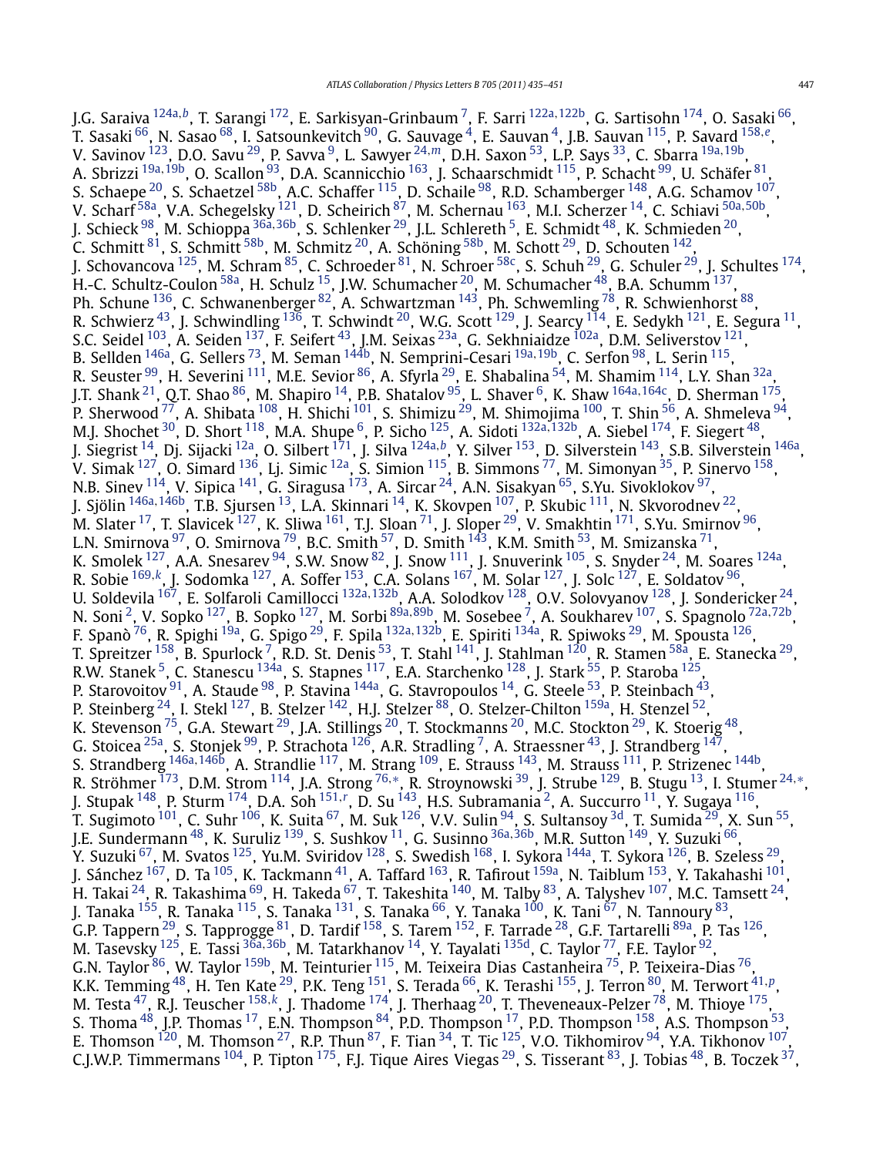J.G. Saraiva [124a](#page-15-0)*,[b](#page-16-0)*, T. Sarangi [172,](#page-16-0) E. Sarkisyan-Grinbaum [7](#page-14-0), F. Sarri [122a](#page-15-0)*,*[122b,](#page-15-0) G. Sartisohn [174,](#page-16-0) O. Sasaki [66](#page-14-0), T. Sasaki [66](#page-14-0), N. Sasao [68,](#page-14-0) I. Satsounkevitch [90,](#page-15-0) G. Sauvage [4,](#page-14-0) E. Sauvan [4,](#page-14-0) J.B. Sauvan [115,](#page-15-0) P. Savard [158](#page-16-0)*,[e](#page-16-0)*, V. Savinov [123,](#page-15-0) D.O. Savu [29,](#page-14-0) P. Savva [9,](#page-14-0) L. Sawyer [24](#page-14-0)*,[m](#page-16-0)*, D.H. Saxon [53,](#page-14-0) L.P. Says [33,](#page-14-0) C. Sbarra [19a](#page-14-0)*,*[19b](#page-14-0), A. Sbrizzi [19a](#page-14-0)*,*[19b,](#page-14-0) O. Scallon [93,](#page-15-0) D.A. Scannicchio [163,](#page-16-0) J. Schaarschmidt [115](#page-15-0), P. Schacht [99](#page-15-0), U. Schäfer [81,](#page-15-0) S. Schaepe $^{20}$ , S. Schaetzel  $^{58\mathrm{b}}$ , A.C. Schaffer  $^{115}$ , D. Schaile  $^{98}$ , R.D. Schamberger  $^{148}$ , A.G. Schamov  $^{107}$ , V. Scharf [58a](#page-14-0), V.A. Schegelsky [121,](#page-15-0) D. Scheirich [87,](#page-15-0) M. Schernau [163](#page-16-0), M.I. Scherzer [14](#page-14-0), C. Schiavi [50a](#page-14-0)*,*[50b,](#page-14-0) J. Schieck [98,](#page-15-0) M. Schioppa [36a](#page-14-0)*,*[36b,](#page-14-0) S. Schlenker [29,](#page-14-0) J.L. Schlereth [5,](#page-14-0) E. Schmidt [48,](#page-14-0) K. Schmieden [20,](#page-14-0) C. Schmitt <sup>81</sup>, S. Schmitt <sup>[58b](#page-14-0)</sup>, M. Schmitz <sup>20</sup>, A. Schöning <sup>58b</sup>, M. Schott <sup>29</sup>, D. Schouten <sup>142</sup>, J. Schovancova <sup>125</sup>, M. Schram <sup>[85](#page-15-0)</sup>, C. Schroeder <sup>81</sup>, N. Schroer <sup>58c</sup>, S. Schuh <sup>29</sup>, G. Schuler <sup>29</sup>, J. Schultes <sup>174</sup>, H.-C. Schultz-Coulon  $^{58a}$  $^{58a}$  $^{58a}$ , H. Schulz  $^{15}$ , J.W. Schumacher  $^{20}$ , M. Schumacher  $^{48}$ , B.A. Schumm  $^{137}$  $^{137}$  $^{137}$ , Ph. Schune  $^{136}$ , C. Schwanenberger  $^{82}$ , A. Schwartzman  $^{143}$ , Ph. Schwemling  $^{78}$ , R. Schwienhorst  $^{88},$ R. Schwierz  $^{43}$ , J. Schwindling  $^{136}$  $^{136}$  $^{136}$ , T. Schwindt  $^{20}$ , W.G. Scott  $^{129}$  $^{129}$  $^{129}$ , J. Searcy  $^{114}$  $^{114}$  $^{114}$ , E. Sedykh  $^{121}$ , E. Segura  $^{11}$ , S.C. Seidel <sup>103</sup>, A. Seiden <sup>137</sup>, F. Seifert <sup>43</sup>, J.M. Seixas <sup>23a</sup>, G. Sekhniaidze <sup>[102a](#page-15-0)</sup>, D.M. Seliverstov <sup>121</sup>, B. Sellden [146a,](#page-16-0) G. Sellers [73,](#page-15-0) M. Seman [144b,](#page-16-0) N. Semprini-Cesari [19a](#page-14-0)*,*[19b,](#page-14-0) C. Serfon [98,](#page-15-0) L. Serin [115,](#page-15-0) R. Seuster  $99$ , H. Severini  $^{111}$  $^{111}$  $^{111}$ , M.E. Sevior  $^{86}$ , A. Sfyrla  $^{29}$ , E. Shabalina  $^{54}$ , M. Shamim  $^{114}$ , L.Y. Shan  $^{32a}$ , J.T. Shank [21,](#page-14-0) Q.T. Shao [86,](#page-15-0) M. Shapiro [14,](#page-14-0) P.B. Shatalov [95,](#page-15-0) L. Shaver [6](#page-14-0), K. Shaw [164a](#page-16-0)*,*[164c,](#page-16-0) D. Sherman [175](#page-16-0), P. Sherwood <sup>77</sup>, A. Shibata <sup>108</sup>, H. Shichi <sup>101</sup>, S. Shimizu <sup>[29](#page-14-0)</sup>, M. Shimojima <sup>100</sup>, T. Shin <sup>56</sup>, A. Shmeleva <sup>[94](#page-15-0)</sup>, M.J. Shochet [30,](#page-14-0) D. Short [118,](#page-15-0) M.A. Shupe [6,](#page-14-0) P. Sicho [125,](#page-15-0) A. Sidoti [132a](#page-15-0)*,*[132b](#page-15-0), A. Siebel [174,](#page-16-0) F. Siegert [48,](#page-14-0) J. Siegrist [14,](#page-14-0) Dj. Sijacki [12a,](#page-14-0) O. Silbert [171,](#page-16-0) J. Silva [124a](#page-15-0)*,[b](#page-16-0)*, Y. Silver [153,](#page-16-0) D. Silverstein [143,](#page-15-0) S.B. Silverstein [146a](#page-16-0), V. Simak  $^{127}$ , O. Simard  $^{136}$ , Lj. Simic  $^{12a}$ , S. Simion  $^{115}$ , B. Simmons  $^{77}$ , M. Simonyan  $^{35}$ , P. Sinervo  $^{158}$ , N.B. Sinev  $^{114}$ , V. Sipica  $^{141}$ , G. Siragusa  $^{173}$  $^{173}$  $^{173}$ , A. Sircar  $^{24}$ , A.N. Sisakyan  $^{65}$ , S.Yu. Sivoklokov  $^{97},$ J. Sjölin [146a](#page-16-0)*,*[146b,](#page-16-0) T.B. Sjursen [13,](#page-14-0) L.A. Skinnari [14](#page-14-0), K. Skovpen [107](#page-15-0), P. Skubic [111,](#page-15-0) N. Skvorodnev [22,](#page-14-0) M. Slater  $^{17}$ , T. Slavicek  $^{127}$ , K. Sliwa  $^{161}$ , T.J. Sloan  $^{71}$ , J. Sloper  $^{29}$ , V. Smakhtin  $^{171}$ , S.Yu. Smirnov  $^{96}$ , L.N. Smirnova  $^{97}$ , O. Smirnova  $^{79}$  $^{79}$  $^{79}$ , B.C. Smith  $^{57}$ , D. Smith  $^{143}$ , K.M. Smith  $^{53}$ , M. Smizanska  $^{71}$ , K. Smolek  $^{127}$  $^{127}$  $^{127}$ , A.A. Snesarev  $^{94}$ , S.W. Snow  $^{82}$ , J. Snow  $^{111}$  $^{111}$  $^{111}$ , J. Snuverink  $^{105}$ , S. Snyder  $^{24}$  $^{24}$  $^{24}$ , M. Soares  $^{124}$ , R. Sobie [169](#page-16-0)*,[k](#page-16-0)*, J. Sodomka [127,](#page-15-0) A. Soffer [153,](#page-16-0) C.A. Solans [167,](#page-16-0) M. Solar [127,](#page-15-0) J. Solc [127](#page-15-0), E. Soldatov [96,](#page-15-0) U. Soldevila [167,](#page-16-0) E. Solfaroli Camillocci [132a](#page-15-0)*,*[132b,](#page-15-0) A.A. Solodkov [128,](#page-15-0) O.V. Solovyanov [128,](#page-15-0) J. Sondericker [24,](#page-14-0) N. Soni [2,](#page-14-0) V. Sopko [127,](#page-15-0) B. Sopko [127,](#page-15-0) M. Sorbi [89a](#page-15-0)*,*[89b,](#page-15-0) M. Sosebee [7,](#page-14-0) A. Soukharev [107,](#page-15-0) S. Spagnolo [72a](#page-15-0)*,*[72b,](#page-15-0) F. Spanò [76](#page-15-0), R. Spighi [19a,](#page-14-0) G. Spigo [29,](#page-14-0) F. Spila [132a](#page-15-0)*,*[132b,](#page-15-0) E. Spiriti [134a,](#page-15-0) R. Spiwoks [29,](#page-14-0) M. Spousta [126,](#page-15-0) T. Spreitzer <sup>158</sup>, B. Spurlock <sup>7</sup>, R.D. St. Denis <sup>53</sup>, T. Stahl <sup>141</sup>, J. Stahlman <sup>120</sup>, R. Stamen <sup>58a</sup>, E. Stanecka <sup>29</sup>, R.W. Stanek  $^5$ , C. Stanescu  $^{134}$ a, S. Stapnes  $^{117}$ , E.A. Starchenko  $^{128}$ , J. Stark  $^{55}$ , P. Staroba  $^{125}$ , P. Starovoitov  $^{91}$ , A. Staude  $^{98}$ , P. Stavina  $^{144\text{a}}$ , G. Stavropoulos  $^{14}$ , G. Steele  $^{53}$ , P. Steinbach  $^{43}$ , P. Steinberg <sup>24</sup>, I. Stekl <sup>127</sup>, B. Stelzer <sup>[142](#page-15-0)</sup>, H.J. Stelzer <sup>[88](#page-15-0)</sup>, O. Stelzer-Chilton <sup>159a</sup>, H. Stenzel <sup>52</sup>, K. Stevenson  $^{75}$ , G.A. Stewart  $^{29}$ , J.A. Stillings  $^{20}$ , T. Stockmanns  $^{20}$ , M.C. Stockton  $^{29}$ , K. Stoerig  $^{48},$ G. Stoicea  $^{25$ a, S. Stonjek  $^{99}$ , P. Strachota  $^{126}$  $^{126}$  $^{126}$ , A.R. Stradling  $^7$ , A. Straessner  $^{43}$ , J. Strandberg  $^{147},$  $^{147},$  $^{147},$ S. Strandberg [146a](#page-16-0)*,*[146b,](#page-16-0) A. Strandlie [117,](#page-15-0) M. Strang [109,](#page-15-0) E. Strauss [143,](#page-15-0) M. Strauss [111,](#page-15-0) P. Strizenec [144b,](#page-16-0) R. Ströhmer [173,](#page-16-0) D.M. Strom [114,](#page-15-0) J.A. Strong [76](#page-15-0)*,*[∗](#page-16-0), R. Stroynowski [39,](#page-14-0) J. Strube [129,](#page-15-0) B. Stugu [13,](#page-14-0) I. Stumer [24](#page-14-0)*,*[∗](#page-16-0), J. Stupak [148,](#page-16-0) P. Sturm [174,](#page-16-0) D.A. Soh [151](#page-16-0)*,[r](#page-16-0)* , D. Su [143,](#page-15-0) H.S. Subramania [2,](#page-14-0) A. Succurro [11,](#page-14-0) Y. Sugaya [116,](#page-15-0) T. Sugimoto  $^{101}$ , C. Suhr $^{106}$ , K. Suita $^{67}$ , M. Suk $^{126}$ , V.V. Sulin $^{94}$ , S. Sultansoy  $^{3{\rm d}}$ , T. Sumida  $^{29}$ , X. Sun $^{55}$ , J.E. Sundermann [48,](#page-14-0) K. Suruliz [139,](#page-15-0) S. Sushkov [11,](#page-14-0) G. Susinno [36a](#page-14-0)*,*[36b,](#page-14-0) M.R. Sutton [149,](#page-16-0) Y. Suzuki [66,](#page-14-0) Y. Suzuki <sup>67</sup>, M. Svatos <sup>125</sup>, Yu.M. Sviridov <sup>128</sup>, S. Swedish <sup>168</sup>, I. Sykora <sup>144a</sup>, T. Sykora <sup>126</sup>, B. Szeless <sup>[29](#page-14-0)</sup>, J. Sánchez <sup>167</sup>, D. Ta <sup>105</sup>, K. Tackmann <sup>41</sup>, A. Taffard <sup>163</sup>, R. Tafirout <sup>159a</sup>, N. Taiblum <sup>[153](#page-16-0)</sup>, Y. Takahashi <sup>[101](#page-15-0)</sup>, H. Takai  $^{24}$  $^{24}$  $^{24}$ , R. Takashima  $^{69}$ , H. Takeda  $^{67}$ , T. Takeshita  $^{140}$ , M. Talby  $^{83}$ , A. Talyshev  $^{107}$ , M.C. Tamsett  $^{24}$ , J. Tanaka <sup>155</sup>, R. Tanaka <sup>[115](#page-15-0)</sup>, S. Tanaka <sup>131</sup>, S. Tanaka <sup>66</sup>, Y. Tanaka <sup>100</sup>, K. Tani <sup>67</sup>, N. Tannoury <sup>[83](#page-15-0)</sup>, G.P. Tappern <sup>29</sup>, S. Tapprogge  $^{81}$ , D. Tardif  $^{158}$  $^{158}$  $^{158}$ , S. Tarem  $^{152}$ , F. Tarrade  $^{28}$ , G.F. Tartarelli  $^{89a}$ , P. Tas  $^{126}$  $^{126}$  $^{126}$ , M. Tasevsky [125](#page-15-0), E. Tassi [36a](#page-14-0)*,*[36b,](#page-14-0) M. Tatarkhanov [14](#page-14-0), Y. Tayalati [135d,](#page-15-0) C. Taylor [77,](#page-15-0) F.E. Taylor [92,](#page-15-0) G.N. Taylor  $86$ , W. Taylor  $159b$ , M. Teinturier  $115$ , M. Teixeira Dias Castanheira  $75$ , P. Teixeira-Dias  $76$ , K.K. Temming [48,](#page-14-0) H. Ten Kate [29,](#page-14-0) P.K. Teng [151,](#page-16-0) S. Terada [66,](#page-14-0) K. Terashi [155,](#page-16-0) J. Terron [80,](#page-15-0) M. Terwort [41](#page-14-0)*,[p](#page-16-0)*, M. Testa [47,](#page-14-0) R.J. Teuscher [158](#page-16-0)*,[k](#page-16-0)*, J. Thadome [174,](#page-16-0) J. Therhaag [20,](#page-14-0) T. Theveneaux-Pelzer [78,](#page-15-0) M. Thioye [175,](#page-16-0) S. Thoma  $^{48}$ , J.P. Thomas  $^{17}$  $^{17}$  $^{17}$ , E.N. Thompson  $^{84}$  $^{84}$  $^{84}$ , P.D. Thompson  $^{17}$ , P.D. Thompson  $^{158}$ , A.S. Thompson  $^{53},$ E. Thomson  $^{120}$ , M. Thomson  $^{27}$ , R.P. Thun  $^{87}$ , F. Tian  $^{34}$ , T. Tic  $^{125}$ , V.O. Tikhomirov  $^{94}$ , Y.A. Tikhonov  $^{107}$ , C.J.W.P. Timmermans <sup>104</sup>, P. Tipton <sup>175</sup>, F.J. Tique Aires Viegas <sup>29</sup>, S. Tisserant <sup>83</sup>, J. Tobias <sup>48</sup>, B. Toczek <sup>37</sup>,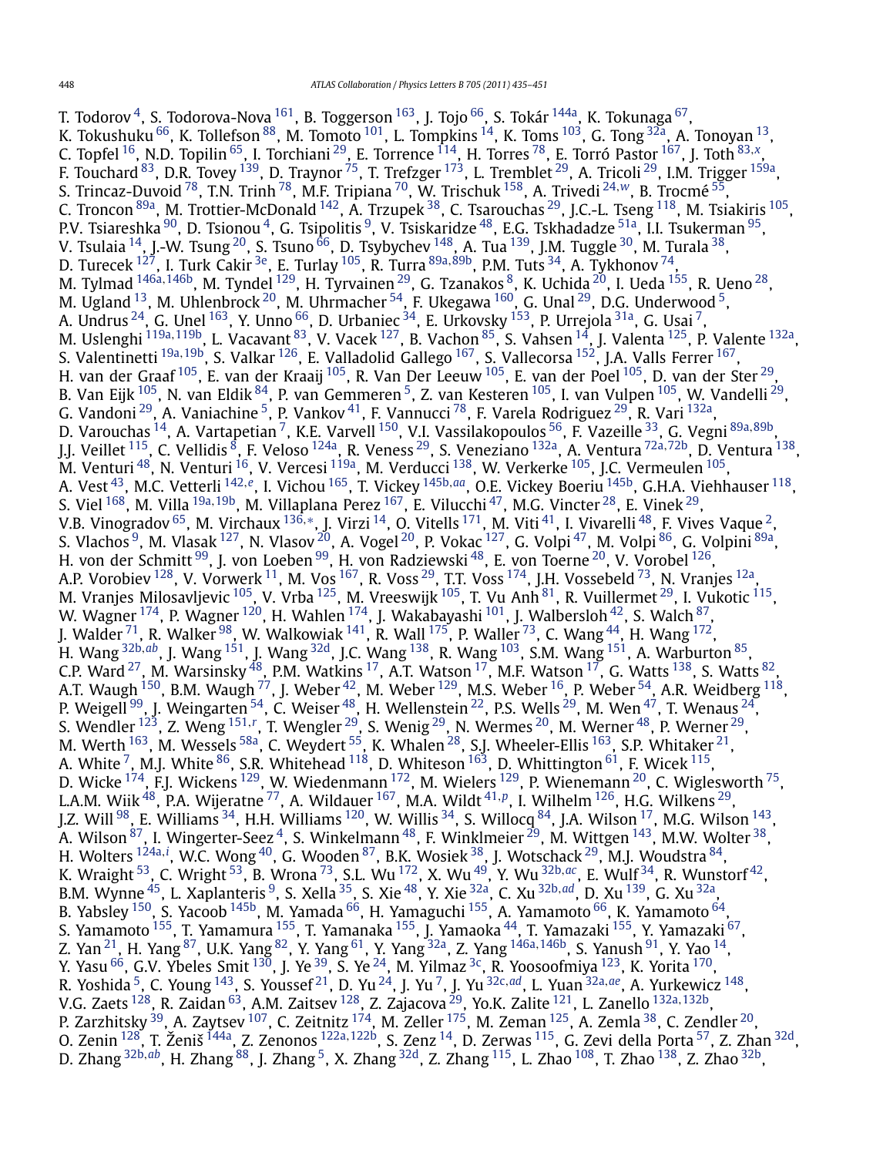T. Todorov <sup>4</sup>, S. Todorova-Nova <sup>161</sup>, B. Toggerson <sup>163</sup>, J. Tojo <sup>66</sup>, S. Tokár <sup>[144a](#page-15-0)</sup>, K. Tokunaga <sup>67</sup>, K. Tokushuku  $^{66}$ , K. Tollefson  $^{88}$ , M. Tomoto  $^{101}$ , L. Tompkins  $^{14}$ , K. Toms  $^{103}$ , G. Tong  $^{32}$ , A. Tonoyan  $^{13}$ , C. Topfel [16,](#page-14-0) N.D. Topilin [65,](#page-14-0) I. Torchiani [29,](#page-14-0) E. Torrence [114,](#page-15-0) H. Torres [78,](#page-15-0) E. Torró Pastor [167,](#page-16-0) J. Toth [83](#page-15-0)*,[x](#page-16-0)*, F. Touchard <sup>83</sup>, D.R. Tovey <sup>139</sup>, D. Traynor <sup>75</sup>, T. Trefzger <sup>173</sup>, L. Tremblet <sup>29</sup>, A. Tricoli <sup>29</sup>, I.M. Trigger <sup>[159a](#page-16-0)</sup>, S. Trincaz-Duvoid [78,](#page-15-0) T.N. Trinh [78,](#page-15-0) M.F. Tripiana [70,](#page-15-0) W. Trischuk [158](#page-16-0), A. Trivedi [24](#page-14-0)*,[w](#page-16-0)*, B. Trocmé [55,](#page-14-0) C. Troncon  $^{89\mathrm{a}}$ , M. Trottier-McDonald  $^{142}$ , A. Trzupek  $^{38}$ , C. Tsarouchas  $^{29}$ , J.C.-L. Tseng  $^{118}$ , M. Tsiakiris  $^{105}$ , P.V. Tsiareshka <sup>90</sup>, D. Tsionou<sup>4</sup>, G. Tsipolitis <sup>9</sup>, V. Tsiskaridze <sup>48</sup>, E.G. Tskhadadze <sup>51a</sup>, I.I. Tsukerman <sup>[95](#page-15-0)</sup>, V. Tsulaia  $^{14}$ , J.-W. Tsung  $^{20}$ , S. Tsuno  $^{66}$ , D. Tsybychev  $^{148}$ , A. Tua  $^{139}$ , J.M. Tuggle  $^{30}$ , M. Turala  $^{38}$ , D. Turecek [127,](#page-15-0) I. Turk Cakir [3e,](#page-14-0) E. Turlay [105,](#page-15-0) R. Turra [89a](#page-15-0)*,*[89b,](#page-15-0) P.M. Tuts [34,](#page-14-0) A. Tykhonov [74,](#page-15-0) M. Tylmad [146a](#page-16-0)*,*[146b,](#page-16-0) M. Tyndel [129,](#page-15-0) H. Tyrvainen [29](#page-14-0), G. Tzanakos [8,](#page-14-0) K. Uchida [20,](#page-14-0) I. Ueda [155,](#page-16-0) R. Ueno [28,](#page-14-0) M. Ugland  $^{13}$ , M. Uhlenbrock  $^{20}$ , M. Uhrmacher  $^{54}$ , F. Ukegawa  $^{160}$ , G. Unal  $^{29}$ , D.G. Underwood  $^{5}$ , A. Undrus  $^{24}$ , G. Unel  $^{163}$ , Y. Unno  $^{66}$ , D. Urbaniec  $^{34}$ , E. Urkovsky  $^{153}$ , P. Urrejola  $^{31a}$ , G. Usai  $^7$ , M. Uslenghi <sup>[119a](#page-15-0),119b</sup>, L. Vacavant <sup>83</sup>, V. Vacek <sup>127</sup>, B. Vachon <sup>85</sup>, S. Vahsen <sup>14</sup>, J. Valenta <sup>[125](#page-15-0)</sup>, P. Valente <sup>132a</sup>, S. Valentinetti [19a](#page-14-0)*,*[19b](#page-14-0), S. Valkar [126,](#page-15-0) E. Valladolid Gallego [167,](#page-16-0) S. Vallecorsa [152,](#page-16-0) J.A. Valls Ferrer [167,](#page-16-0) H. van der Graaf  $105$ , E. van der Kraaij  $105$ , R. Van Der Leeuw  $105$ , E. van der Poel  $105$ , D. van der Ster  $29$ , B. Van Eijk <sup>105</sup>, N. van Eldik <sup>84</sup>, P. van Gemmeren <sup>5</sup>, Z. van Kesteren <sup>105</sup>, I. van Vulpen <sup>105</sup>, W. Vandelli <sup>29</sup>, G. Vandoni  $^{29}$ , A. Vaniachine  $^5$ , P. Vankov $^{41}$ , F. Vannucci  $^{78}$ , F. Varela Rodriguez  $^{29}$ , R. Vari  $^{132}$ , D. Varouchas [14,](#page-14-0) A. Vartapetian [7,](#page-14-0) K.E. Varvell [150,](#page-16-0) V.I. Vassilakopoulos [56,](#page-14-0) F. Vazeille [33,](#page-14-0) G. Vegni [89a](#page-15-0)*,*[89b,](#page-15-0) J.J. Veillet [115,](#page-15-0) C. Vellidis [8,](#page-14-0) F. Veloso [124a,](#page-15-0) R. Veness [29,](#page-14-0) S. Veneziano [132a,](#page-15-0) A. Ventura [72a](#page-15-0)*,*[72b,](#page-15-0) D. Ventura [138,](#page-15-0) M. Venturi <sup>48</sup>, N. Venturi <sup>16</sup>, V. Vercesi <sup>119a</sup>, M. Verducci <sup>138</sup>, W. Verkerke <sup>105</sup>, J.C. Vermeulen <sup>105</sup>, A. Vest [43,](#page-14-0) M.C. Vetterli [142](#page-15-0)*,[e](#page-16-0)*, I. Vichou [165,](#page-16-0) T. Vickey [145b](#page-16-0)*,[aa](#page-16-0)*, O.E. Vickey Boeriu [145b,](#page-16-0) G.H.A. Viehhauser [118,](#page-15-0) S. Viel [168,](#page-16-0) M. Villa [19a](#page-14-0)*,*[19b,](#page-14-0) M. Villaplana Perez [167](#page-16-0), E. Vilucchi [47,](#page-14-0) M.G. Vincter [28,](#page-14-0) E. Vinek [29,](#page-14-0) V.B. Vinogradov <sup>65</sup>, M. Virchaux <sup>[136](#page-15-0),[∗](#page-16-0)</sup>, J. Virzi <sup>14</sup>, O. Vitells <sup>[171](#page-16-0)</sup>, M. Viti <sup>41</sup>, I. Vivarelli <sup>48</sup>, F. Vives Vaque<sup>2</sup>, S. Vlachos  $9$ , M. Vlasak  $127$ , N. Vlasov  $20$ , A. Vogel  $20$ , P. Vokac  $127$ , G. Volpi  $47$ , M. Volpi  $86$ , G. Volpini  $89a$ , H. von der Schmitt  $^{99}$ , J. von Loeben $^{99}$ , H. von Radziewski  $^{48}$ , E. von Toerne  $^{20}$ , V. Vorobel  $^{126},$ A.P. Vorobiev  $^{128}$ , V. Vorwerk  $^{11}$  $^{11}$  $^{11}$ , M. Vos  $^{167}$ , R. Voss  $^{29}$ , T.T. Voss  $^{174}$ , J.H. Vossebeld  $^{73}$ , N. Vranjes  $^{12a}$ , M. Vranjes Milosavljevic  $^{105}$ , V. Vrba  $^{125}$ , M. Vreeswijk  $^{105}$ , T. Vu Anh  $^{81}$ , R. Vuillermet  $^{29}$ , I. Vukotic  $^{115}$ , W. Wagner  $^{174}$  $^{174}$  $^{174}$ , P. Wagner  $^{120}$ , H. Wahlen  $^{174}$ , J. Wakabayashi  $^{101}$ , J. Walbersloh  $^{42}$ , S. Walch  $^{87},$ J. Walder  $^{71}$ , R. Walker  $^{98}$  $^{98}$  $^{98}$ , W. Walkowiak  $^{141}$ , R. Wall  $^{175}$ , P. Waller  $^{73}$ , C. Wang  $^{44}$ , H. Wang  $^{172}$ , H. Wang [32b](#page-14-0)*,[ab](#page-16-0)*, J. Wang [151,](#page-16-0) J. Wang [32d,](#page-14-0) J.C. Wang [138](#page-15-0), R. Wang [103,](#page-15-0) S.M. Wang [151,](#page-16-0) A. Warburton [85,](#page-15-0) C.P. Ward <sup>[27](#page-14-0)</sup>, M. Warsinsky  $^{48}$ , P.M. Watkins  $^{17}$ , A.T. Watson  $^{17}$ , M.F. Watson  $^{17}$ , G. Watts  $^{138}$ , S. Watts  $^{82}$ , A.T. Waugh  $^{150}$ , B.M. Waugh  $^{77}$  $^{77}$  $^{77}$ , J. Weber  $^{42}$ , M. Weber  $^{129}$ , M.S. Weber  $^{16}$ , P. Weber  $^{54}$ , A.R. Weidberg  $^{118}$ , P. Weigell <sup>99</sup>, J. Weingarten  $^{54}$ , C. Weiser  $^{48}$ , H. Wellenstein  $^{22}$ , P.S. Wells  $^{29}$ , M. Wen  $^{47}$ , T. Wenaus  $^{24}$ , S. Wendler <sup>123</sup>, Z. Weng <sup>[151](#page-16-0),[r](#page-16-0)</sup>, T. Wengler <sup>29</sup>, S. Wenig <sup>29</sup>, N. Wermes <sup>[20](#page-14-0)</sup>, M. Werner <sup>48</sup>, P. Werner <sup>29</sup>, M. Werth  $^{163}$  $^{163}$  $^{163}$ , M. Wessels  $^{58a}$ , C. Weydert  $^{55}$ , K. Whalen  $^{28}$ , S.J. Wheeler-Ellis  $^{163}$ , S.P. Whitaker  $^{21}$ , A. White  $^7$ , M.J. White  $^{86}$ , S.R. Whitehead  $^{118}$ , D. Whiteson  $^{163}$  $^{163}$  $^{163}$ , D. Whittington  $^{61}$ , F. Wicek  $^{115}$ , D. Wicke  $^{174}$ , F.J. Wickens  $^{129}$ , W. Wiedenmann  $^{172}$ , M. Wielers  $^{129}$ , P. Wienemann  $^{20}$ , C. Wiglesworth  $^{75}$ , L.A.M. Wiik [48,](#page-14-0) P.A. Wijeratne [77,](#page-15-0) A. Wildauer [167,](#page-16-0) M.A. Wildt [41](#page-14-0)*,[p](#page-16-0)*, I. Wilhelm [126](#page-15-0), H.G. Wilkens [29,](#page-14-0) J.Z. Will  $^{98}$  $^{98}$  $^{98}$ , E. Williams  $^{34}$ , H.H. Williams  $^{120}$ , W. Willis  $^{34}$ , S. Willocq  $^{84}$ , J.A. Wilson  $^{17}$ , M.G. Wilson  $^{143}$ , A. Wilson  $^{87}$ , I. Wingerter-Seez  $^4$ , S. Winkelmann  $^{48}$ , F. Winklmeier  $^{29}$ , M. Wittgen  $^{143}$ , M.W. Wolter  $^{38},$ H. Wolters [124a](#page-15-0)*,[i](#page-16-0)* , W.C. Wong [40,](#page-14-0) G. Wooden [87,](#page-15-0) B.K. Wosiek [38,](#page-14-0) J. Wotschack [29,](#page-14-0) M.J. Woudstra [84,](#page-15-0) K. Wraight [53,](#page-14-0) C. Wright [53,](#page-14-0) B. Wrona [73,](#page-15-0) S.L. Wu [172,](#page-16-0) X. Wu [49,](#page-14-0) Y. Wu [32b](#page-14-0)*,[ac](#page-16-0)*, E. Wulf [34,](#page-14-0) R. Wunstorf [42,](#page-14-0) B.M. Wynne [45,](#page-14-0) L. Xaplanteris [9,](#page-14-0) S. Xella [35,](#page-14-0) S. Xie [48,](#page-14-0) Y. Xie [32a,](#page-14-0) C. Xu [32b](#page-14-0)*,[ad](#page-16-0)*, D. Xu [139,](#page-15-0) G. Xu [32a,](#page-14-0) B. Yabsley <sup>150</sup>, S. Yacoob <sup>145b</sup>, M. Yamada <sup>66</sup>, H. Yamaguchi <sup>155</sup>, A. Yamamoto <sup>66</sup>, K. Yamamoto <sup>64</sup>, S. Yamamoto [155,](#page-16-0) T. Yamamura [155,](#page-16-0) T. Yamanaka [155,](#page-16-0) J. Yamaoka [44,](#page-14-0) T. Yamazaki [155,](#page-16-0) Y. Yamazaki [67,](#page-14-0) Z. Yan [21,](#page-14-0) H. Yang [87,](#page-15-0) U.K. Yang [82,](#page-15-0) Y. Yang [61,](#page-14-0) Y. Yang [32a,](#page-14-0) Z. Yang [146a](#page-16-0)*,*[146b,](#page-16-0) S. Yanush [91,](#page-15-0) Y. Yao [14,](#page-14-0) Y. Yasu  $^{66}$ , G.V. Ybeles Smit  $^{130}$ , J. Ye  $^{39}$ , S. Ye  $^{24}$  $^{24}$  $^{24}$ , M. Yilmaz  $^{3c}$ , R. Yoosoofmiya  $^{123}$ , K. Yorita  $^{170}$ , R. Yoshida [5,](#page-14-0) C. Young [143](#page-15-0), S. Youssef [21,](#page-14-0) D. Yu [24,](#page-14-0) J. Yu [7,](#page-14-0) J. Yu [32c](#page-14-0)*,[ad](#page-16-0)*, L. Yuan [32a](#page-14-0)*,[ae](#page-16-0)*, A. Yurkewicz [148,](#page-16-0) V.G. Zaets [128,](#page-15-0) R. Zaidan [63,](#page-14-0) A.M. Zaitsev [128,](#page-15-0) Z. Zajacova [29,](#page-14-0) Yo.K. Zalite [121,](#page-15-0) L. Zanello [132a](#page-15-0)*,*[132b,](#page-15-0) P. Zarzhitsky  $^{39}$ , A. Zaytsev  $^{107}$ , C. Zeitnitz  $^{174}$ , M. Zeller  $^{175}$ , M. Zeman  $^{125}$ , A. Zemla  $^{38}$ , C. Zendler  $^{20}$ , O. Zenin [128,](#page-15-0) T. Ženiš [144a,](#page-15-0) Z. Zenonos [122a](#page-15-0)*,*[122b,](#page-15-0) S. Zenz [14,](#page-14-0) D. Zerwas [115,](#page-15-0) G. Zevi della Porta [57,](#page-14-0) Z. Zhan [32d,](#page-14-0) D. Zhang [32b](#page-14-0)*,[ab](#page-16-0)*, H. Zhang [88,](#page-15-0) J. Zhang [5,](#page-14-0) X. Zhang [32d,](#page-14-0) Z. Zhang [115,](#page-15-0) L. Zhao [108,](#page-15-0) T. Zhao [138](#page-15-0), Z. Zhao [32b,](#page-14-0)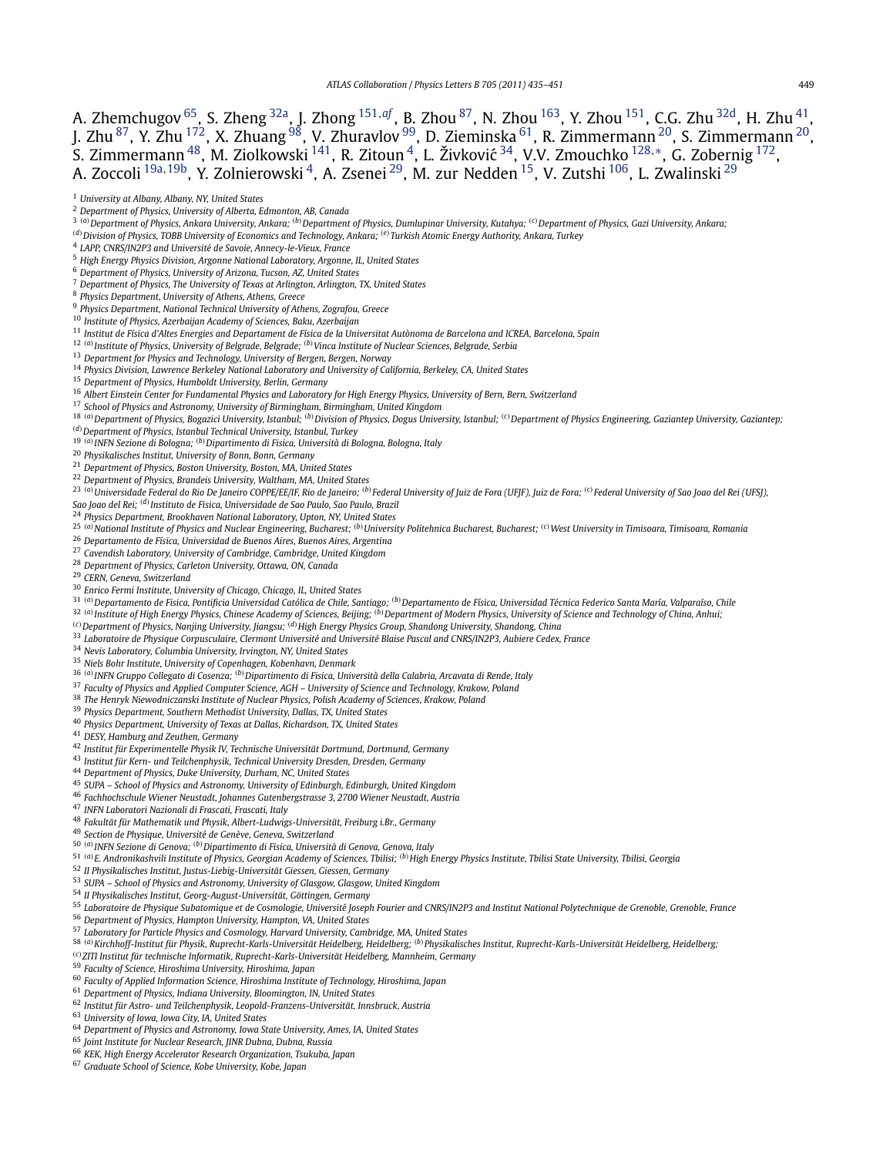<span id="page-14-0"></span>A. Zhemchugov 65, S. Zheng 32a, J. Zhong [151](#page-16-0)*,[af](#page-16-0)* , B. Zhou [87,](#page-15-0) N. Zhou [163,](#page-16-0) Y. Zhou [151,](#page-16-0) C.G. Zhu 32d, H. Zhu 41, J. Zhu <sup>87</sup>, Y. Zhu <sup>172</sup>, X. Zhuang <sup>98</sup>, V. Zhuravlov <sup>99</sup>, D. Zieminska <sup>61</sup>, R. Zimmermann <sup>20</sup>, S. Zimmermann <sup>20</sup>, S. Zimmermann 48, M. Ziolkowski [141,](#page-15-0) R. Zitoun 4, L. Živkovic´ 34, V.V. Zmouchko [128](#page-15-0)*,*[∗](#page-16-0), G. Zobernig [172](#page-16-0), A. Zoccoli 19a*,*19b, Y. Zolnierowski 4, A. Zsenei 29, M. zur Nedden 15, V. Zutshi [106,](#page-15-0) L. Zwalinski <sup>29</sup>

- *Department of Physics, University of Arizona, Tucson, AZ, United States*
- *Department of Physics, The University of Texas at Arlington, Arlington, TX, United States*
- *Physics Department, University of Athens, Athens, Greece*
- *Physics Department, National Technical University of Athens, Zografou, Greece*
- *Institute of Physics, Azerbaijan Academy of Sciences, Baku, Azerbaijan*
- *Institut de Física d'Altes Energies and Departament de Física de la Universitat Autònoma de Barcelona and ICREA, Barcelona, Spain*

*(a)Institute of Physics, University of Belgrade, Belgrade; (b)Vinca Institute of Nuclear Sciences, Belgrade, Serbia*

*Department for Physics and Technology, University of Bergen, Bergen, Norway*

*Physics Division, Lawrence Berkeley National Laboratory and University of California, Berkeley, CA, United States*

- *Department of Physics, Humboldt University, Berlin, Germany*
- *Albert Einstein Center for Fundamental Physics and Laboratory for High Energy Physics, University of Bern, Bern, Switzerland*
- *School of Physics and Astronomy, University of Birmingham, Birmingham, United Kingdom*
- <sup>18 (a)</sup> Department of Physics, Bogazici University, Istanbul; <sup>(b)</sup> Division of Physics, Dogus University, Istanbul; <sup>(c)</sup> Department of Physics Engineering, Gaziantep University, Gaziantep; *(d)Department of Physics, Istanbul Technical University, Istanbul, Turkey*
- *(a)INFN Sezione di Bologna; (b)Dipartimento di Fisica, Università di Bologna, Bologna, Italy*
- *Physikalisches Institut, University of Bonn, Bonn, Germany*
- *Department of Physics, Boston University, Boston, MA, United States*
- *Department of Physics, Brandeis University, Waltham, MA, United States*
- 
- <sup>23</sup> (a) Universidade Federal do Rio De Janeiro COPPE/EE/IF, Rio de Janeiro; <sup>(b)</sup> Federal University of Juiz de Fora (UFJF), Juiz de Fora; <sup>(c)</sup> Federal University of Sao Joao del Rei (UFSJ), *Sao Joao del Rei; (d)Instituto de Fisica, Universidade de Sao Paulo, Sao Paulo, Brazil*
- *Physics Department, Brookhaven National Laboratory, Upton, NY, United States*
- <sup>25</sup> (a) National Institute of Physics and Nuclear Engineering, Bucharest; <sup>(b)</sup> University Politehnica Bucharest, Bucharest; <sup>(c)</sup> West University in Timisoara, Timisoara, Romania
- *Departamento de Física, Universidad de Buenos Aires, Buenos Aires, Argentina*
- *Cavendish Laboratory, University of Cambridge, Cambridge, United Kingdom*
- *Department of Physics, Carleton University, Ottawa, ON, Canada*
- *CERN, Geneva, Switzerland*
- *Enrico Fermi Institute, University of Chicago, Chicago, IL, United States*
- *(a)Departamento de Fisica, Pontificia Universidad Católica de Chile, Santiago; (b)Departamento de Física, Universidad Técnica Federico Santa María, Valparaíso, Chile*
- *(a)Institute of High Energy Physics, Chinese Academy of Sciences, Beijing; (b)Department of Modern Physics, University of Science and Technology of China, Anhui;*
- *(c)Department of Physics, Nanjing University, Jiangsu; (d)High Energy Physics Group, Shandong University, Shandong, China*
- *Laboratoire de Physique Corpusculaire, Clermont Université and Université Blaise Pascal and CNRS/IN2P3, Aubiere Cedex, France*
- *Nevis Laboratory, Columbia University, Irvington, NY, United States*
- *Niels Bohr Institute, University of Copenhagen, Kobenhavn, Denmark*
- *(a)INFN Gruppo Collegato di Cosenza; (b)Dipartimento di Fisica, Università della Calabria, Arcavata di Rende, Italy*
- *Faculty of Physics and Applied Computer Science, AGH University of Science and Technology, Krakow, Poland*
- *The Henryk Niewodniczanski Institute of Nuclear Physics, Polish Academy of Sciences, Krakow, Poland*
- *Physics Department, Southern Methodist University, Dallas, TX, United States*
- *Physics Department, University of Texas at Dallas, Richardson, TX, United States*
- *DESY, Hamburg and Zeuthen, Germany*
- *Institut für Experimentelle Physik IV, Technische Universität Dortmund, Dortmund, Germany*
- *Institut für Kern- und Teilchenphysik, Technical University Dresden, Dresden, Germany*
- *Department of Physics, Duke University, Durham, NC, United States*
- *SUPA School of Physics and Astronomy, University of Edinburgh, Edinburgh, United Kingdom*
- *Fachhochschule Wiener Neustadt, Johannes Gutenbergstrasse 3, 2700 Wiener Neustadt, Austria*
- *INFN Laboratori Nazionali di Frascati, Frascati, Italy*
- 
- *Fakultät für Mathematik und Physik, Albert-Ludwigs-Universität, Freiburg i.Br., Germany*
- *Section de Physique, Université de Genève, Geneva, Switzerland*
- *(a)INFN Sezione di Genova; (b)Dipartimento di Fisica, Università di Genova, Genova, Italy*
- *(a)E. Andronikashvili Institute of Physics, Georgian Academy of Sciences, Tbilisi; (b)High Energy Physics Institute, Tbilisi State University, Tbilisi, Georgia*
- *II Physikalisches Institut, Justus-Liebig-Universität Giessen, Giessen, Germany*
- *SUPA School of Physics and Astronomy, University of Glasgow, Glasgow, United Kingdom*
- *II Physikalisches Institut, Georg-August-Universität, Göttingen, Germany*
- *Laboratoire de Physique Subatomique et de Cosmologie, Université Joseph Fourier and CNRS/IN2P3 and Institut National Polytechnique de Grenoble, Grenoble, France Department of Physics, Hampton University, Hampton, VA, United States*
- *Laboratory for Particle Physics and Cosmology, Harvard University, Cambridge, MA, United States*
- *(a)Kirchhoff-Institut für Physik, Ruprecht-Karls-Universität Heidelberg, Heidelberg; (b)Physikalisches Institut, Ruprecht-Karls-Universität Heidelberg, Heidelberg;*
- *(c)ZITI Institut für technische Informatik, Ruprecht-Karls-Universität Heidelberg, Mannheim, Germany*
- *Faculty of Science, Hiroshima University, Hiroshima, Japan*
- *Faculty of Applied Information Science, Hiroshima Institute of Technology, Hiroshima, Japan*
- *Department of Physics, Indiana University, Bloomington, IN, United States*
- *Institut für Astro- und Teilchenphysik, Leopold-Franzens-Universität, Innsbruck, Austria*
- *University of Iowa, Iowa City, IA, United States*
- *Department of Physics and Astronomy, Iowa State University, Ames, IA, United States*
- *Joint Institute for Nuclear Research, JINR Dubna, Dubna, Russia*
- *KEK, High Energy Accelerator Research Organization, Tsukuba, Japan*
- *Graduate School of Science, Kobe University, Kobe, Japan*

*University at Albany, Albany, NY, United States*

*Department of Physics, University of Alberta, Edmonton, AB, Canada*

<sup>&</sup>lt;sup>3</sup> (a) Department of Physics, Ankara University, Ankara; <sup>(b)</sup> Department of Physics, Dumlupinar University, Kutahya; <sup>(c)</sup> Department of Physics, Gazi University, Ankara;

*<sup>(</sup>d)Division of Physics, TOBB University of Economics and Technology, Ankara; (e)Turkish Atomic Energy Authority, Ankara, Turkey*

*LAPP, CNRS/IN2P3 and Université de Savoie, Annecy-le-Vieux, France*

*High Energy Physics Division, Argonne National Laboratory, Argonne, IL, United States*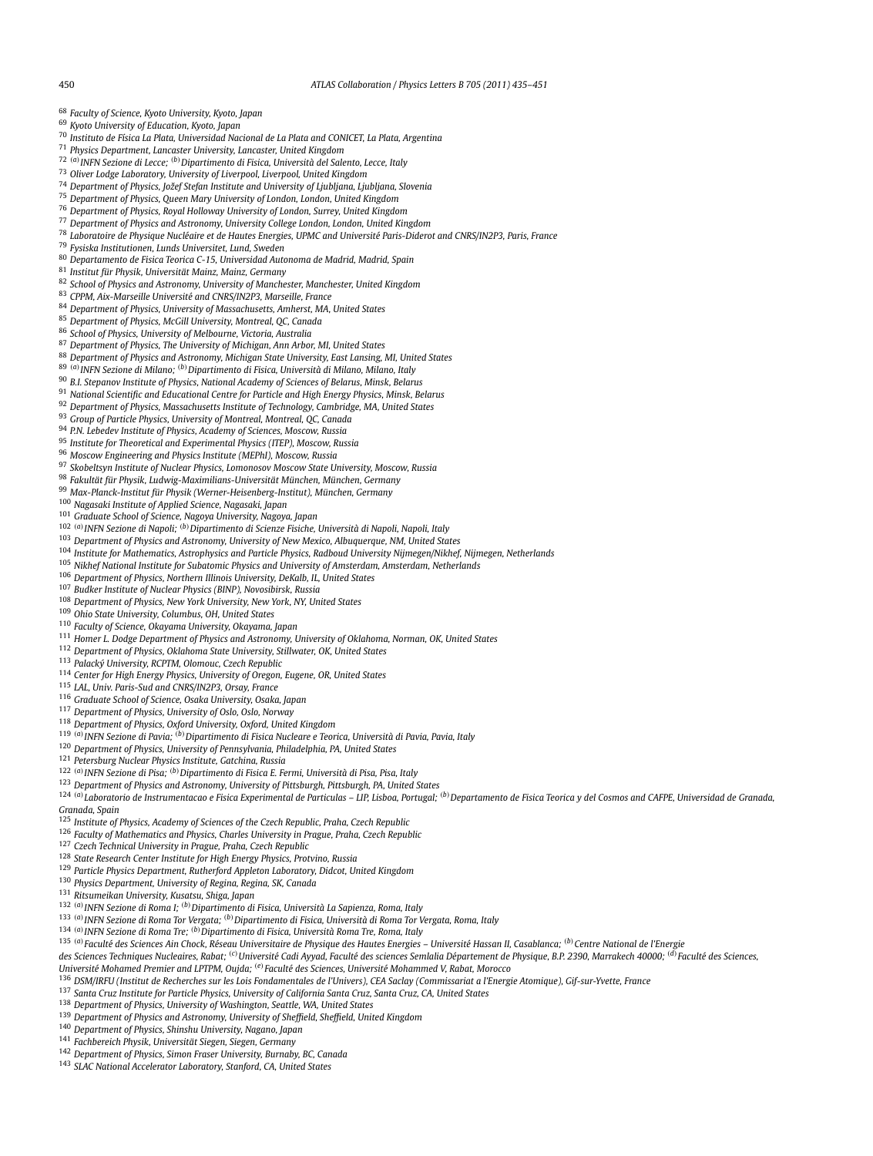<span id="page-15-0"></span>

- *Faculty of Science, Kyoto University, Kyoto, Japan*
- *Kyoto University of Education, Kyoto, Japan*
- *Instituto de Física La Plata, Universidad Nacional de La Plata and CONICET, La Plata, Argentina*
- *Physics Department, Lancaster University, Lancaster, United Kingdom*
- *(a)INFN Sezione di Lecce; (b)Dipartimento di Fisica, Università del Salento, Lecce, Italy*
- *Oliver Lodge Laboratory, University of Liverpool, Liverpool, United Kingdom*
- *Department of Physics, Jožef Stefan Institute and University of Ljubljana, Ljubljana, Slovenia*
- *Department of Physics, Queen Mary University of London, London, United Kingdom*
- *Department of Physics, Royal Holloway University of London, Surrey, United Kingdom*
- *Department of Physics and Astronomy, University College London, London, United Kingdom*
- *Laboratoire de Physique Nucléaire et de Hautes Energies, UPMC and Université Paris-Diderot and CNRS/IN2P3, Paris, France*
- *Fysiska Institutionen, Lunds Universitet, Lund, Sweden*
- *Departamento de Fisica Teorica C-15, Universidad Autonoma de Madrid, Madrid, Spain*
- *Institut für Physik, Universität Mainz, Mainz, Germany*
- *School of Physics and Astronomy, University of Manchester, Manchester, United Kingdom*
- *CPPM, Aix-Marseille Université and CNRS/IN2P3, Marseille, France*
- *Department of Physics, University of Massachusetts, Amherst, MA, United States*
- *Department of Physics, McGill University, Montreal, QC, Canada*
- *School of Physics, University of Melbourne, Victoria, Australia*
- *Department of Physics, The University of Michigan, Ann Arbor, MI, United States*
- *Department of Physics and Astronomy, Michigan State University, East Lansing, MI, United States*
- *(a)INFN Sezione di Milano; (b)Dipartimento di Fisica, Università di Milano, Milano, Italy*
- *B.I. Stepanov Institute of Physics, National Academy of Sciences of Belarus, Minsk, Belarus*
- *National Scientific and Educational Centre for Particle and High Energy Physics, Minsk, Belarus*
- *Department of Physics, Massachusetts Institute of Technology, Cambridge, MA, United States*
- *Group of Particle Physics, University of Montreal, Montreal, QC, Canada*
- *P.N. Lebedev Institute of Physics, Academy of Sciences, Moscow, Russia*
- *Institute for Theoretical and Experimental Physics (ITEP), Moscow, Russia*
- *Moscow Engineering and Physics Institute (MEPhI), Moscow, Russia*
- *Skobeltsyn Institute of Nuclear Physics, Lomonosov Moscow State University, Moscow, Russia*
- *Fakultät für Physik, Ludwig-Maximilians-Universität München, München, Germany*
- *Max-Planck-Institut für Physik (Werner-Heisenberg-Institut), München, Germany*
- *Nagasaki Institute of Applied Science, Nagasaki, Japan*
- *Graduate School of Science, Nagoya University, Nagoya, Japan*
- *(a)INFN Sezione di Napoli; (b)Dipartimento di Scienze Fisiche, Università di Napoli, Napoli, Italy*
- *Department of Physics and Astronomy, University of New Mexico, Albuquerque, NM, United States*
- *Institute for Mathematics, Astrophysics and Particle Physics, Radboud University Nijmegen/Nikhef, Nijmegen, Netherlands*
- *Nikhef National Institute for Subatomic Physics and University of Amsterdam, Amsterdam, Netherlands*
- *Department of Physics, Northern Illinois University, DeKalb, IL, United States*
- *Budker Institute of Nuclear Physics (BINP), Novosibirsk, Russia*
- *Department of Physics, New York University, New York, NY, United States*
- *Ohio State University, Columbus, OH, United States*
- *Faculty of Science, Okayama University, Okayama, Japan*
- *Homer L. Dodge Department of Physics and Astronomy, University of Oklahoma, Norman, OK, United States*
- *Department of Physics, Oklahoma State University, Stillwater, OK, United States*
- *Palacký University, RCPTM, Olomouc, Czech Republic*
- *Center for High Energy Physics, University of Oregon, Eugene, OR, United States*
- *LAL, Univ. Paris-Sud and CNRS/IN2P3, Orsay, France*
- *Graduate School of Science, Osaka University, Osaka, Japan*
- *Department of Physics, University of Oslo, Oslo, Norway*
- *Department of Physics, Oxford University, Oxford, United Kingdom*
- 
- *(a)INFN Sezione di Pavia; (b)Dipartimento di Fisica Nucleare e Teorica, Università di Pavia, Pavia, Italy*
- *Department of Physics, University of Pennsylvania, Philadelphia, PA, United States*
- *Petersburg Nuclear Physics Institute, Gatchina, Russia*
- *(a)INFN Sezione di Pisa; (b)Dipartimento di Fisica E. Fermi, Università di Pisa, Pisa, Italy*
- *Department of Physics and Astronomy, University of Pittsburgh, Pittsburgh, PA, United States*
- 124 (a) Laboratorio de Instrumentacao e Física Experimental de Particulas LIP, Lisboa, Portugal; (b) Departamento de Física Teorica y del Cosmos and CAFPE, Universidad de Granada, *Granada, Spain*
- *Institute of Physics, Academy of Sciences of the Czech Republic, Praha, Czech Republic*
- *Faculty of Mathematics and Physics, Charles University in Prague, Praha, Czech Republic*
- *Czech Technical University in Prague, Praha, Czech Republic*
- *State Research Center Institute for High Energy Physics, Protvino, Russia*
- *Particle Physics Department, Rutherford Appleton Laboratory, Didcot, United Kingdom*
- *Physics Department, University of Regina, Regina, SK, Canada*
- *Ritsumeikan University, Kusatsu, Shiga, Japan*
- *(a)INFN Sezione di Roma I; (b)Dipartimento di Fisica, Università La Sapienza, Roma, Italy*
- *(a)INFN Sezione di Roma Tor Vergata; (b)Dipartimento di Fisica, Università di Roma Tor Vergata, Roma, Italy*
- *(a)INFN Sezione di Roma Tre; (b)Dipartimento di Fisica, Università Roma Tre, Roma, Italy*
- *(a)Faculté des Sciences Ain Chock, Réseau Universitaire de Physique des Hautes Energies Université Hassan II, Casablanca; (b)Centre National de l'Energie*
- des Sciences Techniques Nucleaires, Rabat; <sup>(c)</sup>Université Cadi Ayyad, Faculté des sciences Semlalia Département de Physique, B.P. 2390, Marrakech 40000; <sup>(d)</sup>Faculté des Sciences, *Université Mohamed Premier and LPTPM, Oujda; (e)Faculté des Sciences, Université Mohammed V, Rabat, Morocco*
- *DSM/IRFU (Institut de Recherches sur les Lois Fondamentales de l'Univers), CEA Saclay (Commissariat a l'Energie Atomique), Gif-sur-Yvette, France*
- *Santa Cruz Institute for Particle Physics, University of California Santa Cruz, Santa Cruz, CA, United States*
- *Department of Physics, University of Washington, Seattle, WA, United States*
- *Department of Physics and Astronomy, University of Sheffield, Sheffield, United Kingdom*
- *Department of Physics, Shinshu University, Nagano, Japan*
- *Fachbereich Physik, Universität Siegen, Siegen, Germany*
- *Department of Physics, Simon Fraser University, Burnaby, BC, Canada*
- *SLAC National Accelerator Laboratory, Stanford, CA, United States*